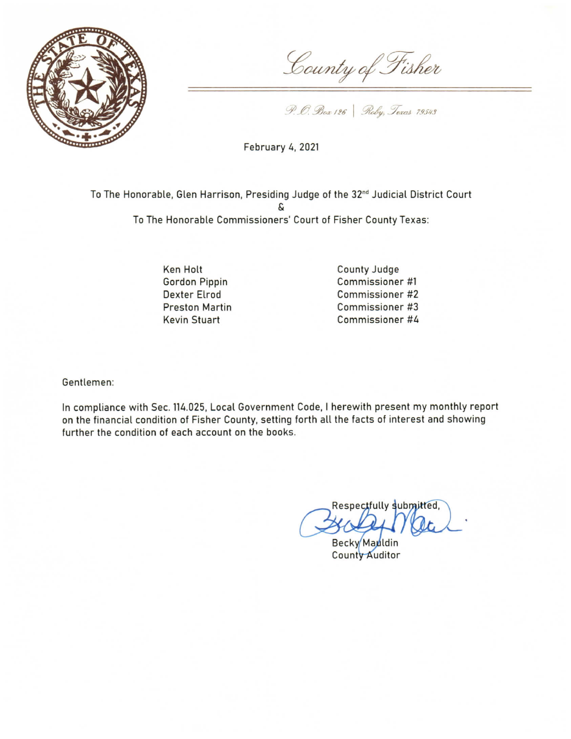

County of Fisher

P. O. Box 126 | Roby, Texas 79543

**February 4, 2021** 

To The Honorable, Glen Harrison, Presiding Judge of the 32<sup>nd</sup> Judicial District Court To The Honorable Commissioners' Court of Fisher County Texas:

> Ken Holt **Gordon Pippin Dexter Elrod Preston Martin Kevin Stuart**

County Judge Commissioner #1 Commissioner #2 Commissioner #3 Commissioner #4

Gentlemen:

In compliance with Sec. 114.025, Local Government Code, I herewith present my monthly report on the financial condition of Fisher County, setting forth all the facts of interest and showing further the condition of each account on the books.

Respectfully submitted,

Becky Mauldin **County Auditor**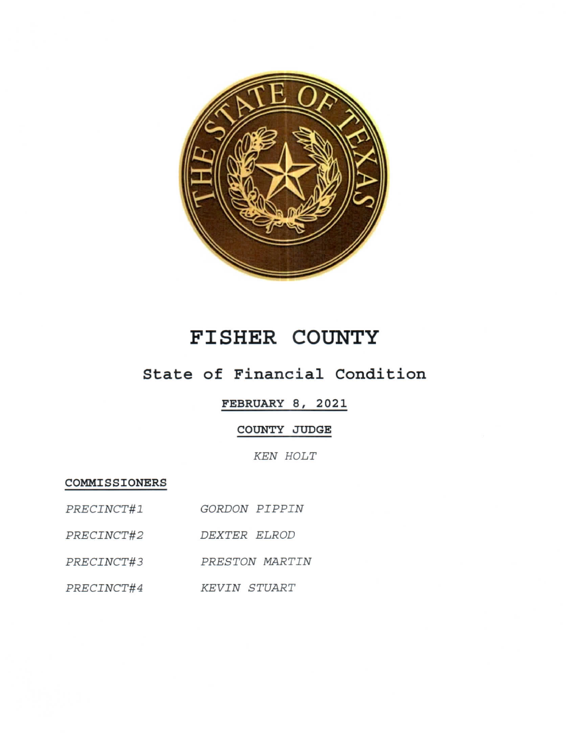

# **FISHER COUNTY**

## State of Financial Condition

#### FEBRUARY 8, 2021

### COUNTY JUDGE

**KEN HOLT** 

COMMISSIONERS

| PRECINCT#1 | GORDON PIPPIN |        |
|------------|---------------|--------|
|            |               | ______ |

- PRECINCT#2 DEXTER ELROD
- PRECINCT#3 PRESTON MARTIN
- PRECINCT#4 KEVIN STUART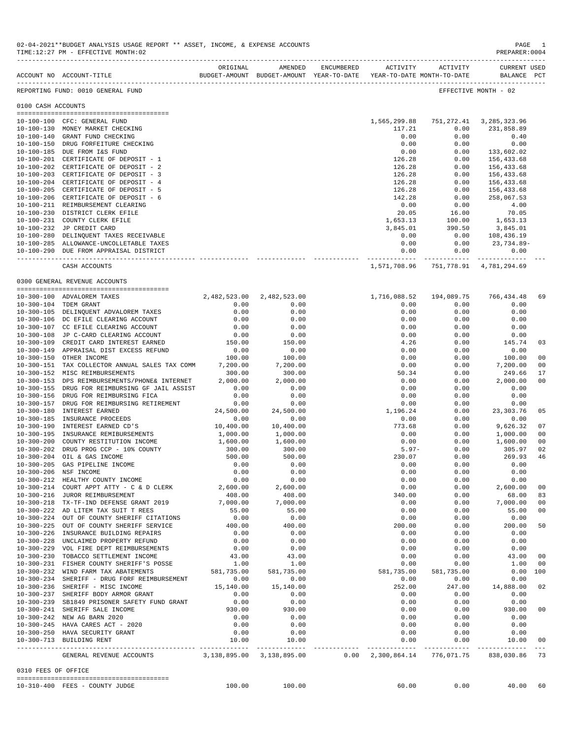|                     | ACCOUNT NO ACCOUNT-TITLE                                                       | ORIGINAL       | AMENDED<br>BUDGET-AMOUNT BUDGET-AMOUNT YEAR-TO-DATE YEAR-TO-DATE MONTH-TO-DATE | ENCUMBERED |                     | ACTIVITY ACTIVITY                                                    | <b>CURRENT USED</b><br>BALANCE PCT |    |
|---------------------|--------------------------------------------------------------------------------|----------------|--------------------------------------------------------------------------------|------------|---------------------|----------------------------------------------------------------------|------------------------------------|----|
|                     | REPORTING FUND: 0010 GENERAL FUND                                              |                |                                                                                |            |                     |                                                                      | EFFECTIVE MONTH - 02               |    |
| 0100 CASH ACCOUNTS  |                                                                                |                |                                                                                |            |                     |                                                                      |                                    |    |
|                     |                                                                                |                |                                                                                |            |                     |                                                                      |                                    |    |
|                     | 10-100-100 CFC: GENERAL FUND                                                   |                |                                                                                |            |                     | 1,565,299.88 751,272.41 3,285,323.96                                 |                                    |    |
|                     | 10-100-130 MONEY MARKET CHECKING                                               |                |                                                                                |            | 117.21              | 0.00                                                                 | 231,858.89                         |    |
|                     | 10-100-140 GRANT FUND CHECKING                                                 |                |                                                                                |            | 0.00                | 0.00                                                                 | 0.40                               |    |
|                     | 10-100-150 DRUG FORFEITURE CHECKING                                            |                |                                                                                |            | 0.00                | 0.00                                                                 | 0.00                               |    |
|                     | 10-100-185 DUE FROM I&S FUND                                                   |                |                                                                                |            | 0.00                | 0.00                                                                 | 133,602.02                         |    |
|                     | 10-100-201 CERTIFICATE OF DEPOSIT - 1<br>10-100-202 CERTIFICATE OF DEPOSIT - 2 |                |                                                                                |            | 126.28<br>126.28    | 0.00<br>0.00                                                         | 156,433.68<br>156,433.68           |    |
|                     | 10-100-203 CERTIFICATE OF DEPOSIT - 3                                          |                |                                                                                |            | 126.28              | 0.00                                                                 | 156,433.68                         |    |
|                     | 10-100-204 CERTIFICATE OF DEPOSIT - 4                                          |                |                                                                                |            | 126.28              | 0.00                                                                 | 156,433.68                         |    |
|                     | 10-100-205 CERTIFICATE OF DEPOSIT - 5                                          |                |                                                                                |            | 126.28              | 0.00                                                                 | 156,433.68                         |    |
|                     | 10-100-206 CERTIFICATE OF DEPOSIT - 6                                          |                |                                                                                |            | 142.28              | 0.00                                                                 | 258,067.53                         |    |
|                     | 10-100-211 REIMBURSEMENT CLEARING                                              |                |                                                                                |            | 0.00                | 0.00                                                                 | 4.00                               |    |
|                     | 10-100-230 DISTRICT CLERK EFILE                                                |                |                                                                                |            | 20.05               | 16.00                                                                | 70.05                              |    |
|                     | 10-100-231 COUNTY CLERK EFILE                                                  |                |                                                                                |            | 1,653.13            | 100.00                                                               | 1,653.13                           |    |
|                     | 10-100-232 JP CREDIT CARD                                                      |                |                                                                                |            | 3,845.01            | 390.50                                                               | 3,845.01                           |    |
|                     | 10-100-280 DELINQUENT TAXES RECEIVABLE                                         |                |                                                                                |            | 0.00                | 0.00                                                                 | 108,436.19                         |    |
|                     | 10-100-285 ALLOWANCE-UNCOLLETABLE TAXES                                        |                |                                                                                |            | 0.00                | 0.00                                                                 | 23,734.89-                         |    |
|                     | 10-100-290 DUE FROM APPRAISAL DISTRICT                                         |                |                                                                                |            | 0.00<br>----------- | 0.00                                                                 | 0.00                               |    |
|                     | CASH ACCOUNTS                                                                  |                |                                                                                |            |                     | 1,571,708.96 751,778.91 4,781,294.69                                 |                                    |    |
|                     | 0300 GENERAL REVENUE ACCOUNTS                                                  |                |                                                                                |            |                     |                                                                      |                                    |    |
|                     |                                                                                |                |                                                                                |            |                     |                                                                      |                                    |    |
|                     | 10-300-100 ADVALOREM TAXES                                                     |                | 2,482,523.00 2,482,523.00                                                      |            |                     | 1,716,088.52 194,089.75                                              | 766,434.48                         | 69 |
|                     | 10-300-104 TDEM GRANT                                                          | 0.00           | 0.00                                                                           |            | 0.00                | 0.00                                                                 | 0.00                               |    |
|                     | 10-300-105 DELINQUENT ADVALOREM TAXES                                          | 0.00           | 0.00                                                                           |            | 0.00                | 0.00                                                                 | 0.00                               |    |
|                     | 10-300-106 DC EFILE CLEARING ACCOUNT                                           | 0.00           | 0.00                                                                           |            | 0.00                | 0.00                                                                 | 0.00                               |    |
|                     | 10-300-107 CC EFILE CLEARING ACCOUNT                                           | 0.00           | 0.00                                                                           |            | 0.00                | 0.00                                                                 | 0.00                               |    |
|                     | 10-300-108 JP C-CARD CLEARING ACCOUNT                                          | 0.00           | 0.00                                                                           |            | 0.00                | 0.00                                                                 | 0.00                               |    |
|                     | 10-300-109 CREDIT CARD INTEREST EARNED                                         | 150.00         | 150.00                                                                         |            | 4.26                | 0.00                                                                 | 145.74                             | 03 |
|                     | 10-300-149 APPRAISAL DIST EXCESS REFUND<br>10-300-150 OTHER INCOME             | 0.00<br>100.00 | 0.00                                                                           |            | 0.00                | 0.00                                                                 | 0.00                               | 00 |
|                     | 10-300-151 TAX COLLECTOR ANNUAL SALES TAX COMM                                 | 7,200.00       | 100.00<br>7,200.00                                                             |            | 0.00<br>0.00        | 0.00<br>0.00                                                         | 100.00<br>7,200.00                 | 00 |
|                     | 10-300-152 MISC REIMBURSEMENTS                                                 | 300.00         | 300.00                                                                         |            | 50.34               | 0.00                                                                 | 249.66                             | 17 |
|                     | 10-300-153 DPS REIMBURSEMENTS/PHONE& INTERNET                                  | 2,000.00       | 2,000.00                                                                       |            | 0.00                | 0.00                                                                 | 2,000.00                           | 00 |
|                     | 10-300-155 DRUG FOR REIMBURSING GF JAIL ASSIST                                 | 0.00           | 0.00                                                                           |            | 0.00                | 0.00                                                                 | 0.00                               |    |
|                     | 10-300-156 DRUG FOR REIMBURSING FICA                                           | 0.00           | 0.00                                                                           |            | 0.00                | 0.00                                                                 | 0.00                               |    |
|                     | 10-300-157 DRUG FOR REIMBURSING RETIREMENT                                     | 0.00           | 0.00                                                                           |            | 0.00                | 0.00                                                                 | 0.00                               |    |
|                     | 10-300-180 INTEREST EARNED                                                     | 24,500.00      | 24,500.00                                                                      |            | 1,196.24            | 0.00                                                                 | 23, 303. 76                        | 05 |
|                     | 10-300-185 INSURANCE PROCEEDS                                                  | 0.00           | 0.00                                                                           |            | 0.00                | 0.00                                                                 | 0.00                               |    |
|                     | 10-300-190 INTEREST EARNED CD'S                                                | 10,400.00      | 10,400.00                                                                      |            | 773.68              | 0.00                                                                 | 9,626.32                           | 07 |
|                     | 10-300-195 INSURANCE REMIBURSEMENTS                                            | 1,000.00       | 1,000.00                                                                       |            | 0.00                | 0.00                                                                 | 1,000.00                           | 00 |
|                     | 10-300-200 COUNTY RESTITUTION INCOME                                           | 1,600.00       | 1,600.00                                                                       |            | 0.00                | 0.00                                                                 | 1,600.00                           | 00 |
|                     | 10-300-202 DRUG PROG CCP - 10% COUNTY                                          | 300.00         | 300.00                                                                         |            | 5.97-               | 0.00                                                                 | 305.97                             | 02 |
|                     | 10-300-204 OIL & GAS INCOME                                                    | 500.00         | 500.00                                                                         |            | 230.07              | 0.00                                                                 | 269.93                             | 46 |
|                     | 10-300-205 GAS PIPELINE INCOME                                                 | 0.00           | 0.00                                                                           |            | 0.00                | 0.00                                                                 | 0.00                               |    |
|                     | 10-300-206 NSF INCOME                                                          | 0.00           | 0.00                                                                           |            | 0.00                | 0.00                                                                 | 0.00                               |    |
|                     | 10-300-212 HEALTHY COUNTY INCOME                                               | 0.00           | 0.00                                                                           |            | 0.00                | 0.00                                                                 | 0.00                               |    |
|                     | 10-300-214 COURT APPT ATTY - C & D CLERK                                       | 2,600.00       | 2,600.00                                                                       |            | 0.00                | 0.00                                                                 | 2,600.00 00                        |    |
|                     | 10-300-216 JUROR REIMBURSEMENT                                                 | 408.00         | 408.00                                                                         |            | 340.00              | 0.00                                                                 | 68.00 83                           |    |
|                     | 10-300-218 TX-TF-IND DEFENSE GRANT 2019                                        | 7,000.00       | 7,000.00                                                                       |            | 0.00                | 0.00                                                                 | 7,000.00 00                        |    |
|                     | 10-300-222 AD LITEM TAX SUIT T REES                                            | 55.00          | 55.00                                                                          |            | 0.00                | 0.00                                                                 | 55.00 00                           |    |
|                     | 10-300-224 OUT OF COUNTY SHERIFF CITATIONS                                     | 0.00           | 0.00                                                                           |            | 0.00                | 0.00                                                                 | 0.00                               |    |
|                     | 10-300-225 OUT OF COUNTY SHERIFF SERVICE                                       | 400.00         | 400.00                                                                         |            | 200.00              | 0.00                                                                 | 200.00 50                          |    |
|                     | 10-300-226 INSURANCE BUILDING REPAIRS                                          | 0.00           | 0.00                                                                           |            | 0.00                | 0.00                                                                 | 0.00                               |    |
|                     | 10-300-228 UNCLAIMED PROPERTY REFUND                                           | 0.00           | 0.00                                                                           |            | 0.00                | 0.00                                                                 | 0.00                               |    |
|                     | 10-300-229 VOL FIRE DEPT REIMBURSEMENTS                                        | 0.00           | 0.00                                                                           |            | 0.00                | 0.00                                                                 | 0.00                               |    |
|                     | 10-300-230 TOBACCO SETTLEMENT INCOME                                           | 43.00          | 43.00                                                                          |            | 0.00                | 0.00                                                                 | 43.00 00                           |    |
|                     | 10-300-231 FISHER COUNTY SHERIFF'S POSSE                                       | 1.00           | 1.00                                                                           |            | 0.00                | 0.00                                                                 | 1.00 00                            |    |
|                     | 10-300-232 WIND FARM TAX ABATEMENTS                                            | 581,735.00     | 581,735.00                                                                     |            | 581,735.00          | 581,735.00                                                           | 0.00 100                           |    |
|                     | 10-300-234 SHERIFF - DRUG FORF REIMBURSEMENT                                   | 0.00           | 0.00                                                                           |            | 0.00                | 0.00                                                                 | 0.00                               |    |
|                     | 10-300-236 SHERIFF - MISC INCOME                                               | 15,140.00      | 15,140.00                                                                      |            | 252.00              | 247.00                                                               | 14,888.00 02                       |    |
|                     | 10-300-237 SHERIFF BODY ARMOR GRANT                                            | 0.00           | 0.00                                                                           |            | 0.00                | 0.00                                                                 | 0.00                               |    |
|                     | 10-300-239 SB1849 PRISONER SAFETY FUND GRANT                                   | 0.00           | 0.00                                                                           |            | 0.00                | 0.00                                                                 | 0.00                               |    |
|                     | 10-300-241 SHERIFF SALE INCOME                                                 | 930.00         | 930.00                                                                         |            | 0.00                | 0.00                                                                 | 930.00 00                          |    |
|                     | 10-300-242 NEW AG BARN 2020                                                    | 0.00           | 0.00                                                                           |            | 0.00                | 0.00                                                                 | 0.00                               |    |
|                     | 10-300-245 HAVA CARES ACT - 2020                                               | 0.00           | 0.00                                                                           |            | 0.00                | 0.00                                                                 | 0.00                               |    |
|                     | 10-300-250 HAVA SECURITY GRANT                                                 | 0.00           | 0.00                                                                           |            | 0.00                | 0.00                                                                 | 0.00                               |    |
|                     | 10-300-713 BUILDING RENT                                                       | 10.00          | 10.00                                                                          |            | 0.00                | 0.00                                                                 | 10.00 00                           |    |
|                     | GENERAL REVENUE ACCOUNTS 3,138,895.00 3,138,895.00                             |                |                                                                                |            |                     | $0.00 \quad 2,300,864.14 \quad 776,071.75 \quad 838,030.86 \quad 73$ |                                    |    |
| 0310 FEES OF OFFICE |                                                                                |                |                                                                                |            |                     |                                                                      |                                    |    |
|                     | 10-310-400 FEES - COUNTY JUDGE                                                 | 100.00         | 100.00                                                                         |            | 60.00               |                                                                      | 0.00<br>40.00 60                   |    |
|                     |                                                                                |                |                                                                                |            |                     |                                                                      |                                    |    |

02-04-2021\*\*BUDGET ANALYSIS USAGE REPORT \*\* ASSET, INCOME, & EXPENSE ACCOUNTS PAGE 1<br>TIME:12:27 PM - EFFECTIVE MONTH:02 TIME:12:27 PM - EFFECTIVE MONTH:02

-------------------------------------------------------------------------------------------------------------------------------------------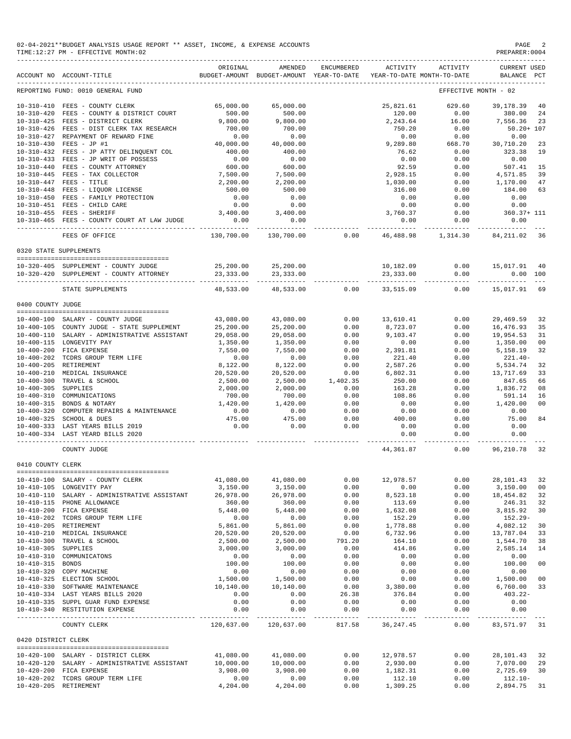|                   | TIME: 12:27 PM - EFFECTIVE MONTH: 02               |                                                                                 |                                    |      |                                    |                                                                        | PREPARER:0004         |    |
|-------------------|----------------------------------------------------|---------------------------------------------------------------------------------|------------------------------------|------|------------------------------------|------------------------------------------------------------------------|-----------------------|----|
|                   | ACCOUNT NO ACCOUNT-TITLE                           | ORIGINAL<br>BUDGET-AMOUNT BUDGET-AMOUNT YEAR-TO-DATE YEAR-TO-DATE MONTH-TO-DATE | AMENDED                            |      |                                    | ENCUMBERED ACTIVITY ACTIVITY CURRENT USED                              | BALANCE PCT           |    |
|                   | REPORTING FUND: 0010 GENERAL FUND                  |                                                                                 |                                    |      |                                    | EFFECTIVE MONTH - 02                                                   |                       |    |
|                   | 10-310-410 FEES - COUNTY CLERK                     | 65,000.00                                                                       | 65,000.00                          |      |                                    | 25,821.61 629.60 39,178.39                                             |                       | 40 |
|                   | 10-310-420 FEES - COUNTY & DISTRICT COURT          | 500.00                                                                          | 500.00                             |      |                                    | $120.00$ $0.00$ $380.00$ $24$<br>$2,243.64$ $16.00$ $7,556.36$ $23$    |                       |    |
|                   | 10-310-425 FEES - DISTRICT CLERK                   | 9,800.00                                                                        | 9,800.00                           |      |                                    |                                                                        |                       |    |
|                   | 10-310-426 FEES - DIST CLERK TAX RESEARCH          | 700.00                                                                          | 700.00                             |      | 750.20                             | 0.00                                                                   | $50.20 + 107$         |    |
|                   | 10-310-427 REPAYMENT OF REWARD FINE                | 0.00                                                                            | 0.00                               |      | 0.00                               | 0.00                                                                   | 0.00                  |    |
|                   | 10-310-430 FEES - JP #1                            | 40,000.00                                                                       | 40,000.00                          |      |                                    | 9,289.80 668.70 30,710.20 23                                           |                       |    |
|                   | 10-310-432 FEES - JP ATTY DELINQUENT COL           | 400.00                                                                          | $400.00$<br>0.00                   |      | 76.62                              | 0.00                                                                   | 323.38 19             |    |
|                   | 10-310-433 FEES - JP WRIT OF POSSESS               | 0.00                                                                            |                                    |      | 0.00                               | 0.00                                                                   | 0.00                  |    |
|                   | 10-310-440 FEES - COUNTY ATTORNEY                  | 600.00                                                                          | 600.00                             |      | 92.59                              | 0.00                                                                   | 507.41 15             |    |
|                   | 10-310-445 FEES - TAX COLLECTOR                    | 7,500.00                                                                        | 7,500.00                           |      | 2,928.15                           | 0.00                                                                   | 4,571.85              | 39 |
|                   | 10-310-447 FEES - TITLE                            | 2,200.00                                                                        | 2,200.00                           |      | 1,030.00                           | 0.00                                                                   | 1,170.00              | 47 |
|                   | 10-310-448 FEES - LIQUOR LICENSE                   | 500.00                                                                          | 500.00                             |      | 316.00                             | 0.00                                                                   | 184.00                | 63 |
|                   | 10-310-450 FEES - FAMILY PROTECTION                | 0.00                                                                            | 0.00                               |      | 0.00                               | 0.00                                                                   | 0.00                  |    |
|                   | 10-310-451 FEES - CHILD CARE                       |                                                                                 | $0.00$ 0.00                        |      | 0.00                               | 0.00                                                                   | 0.00                  |    |
|                   | $3,400.00$ $3,400.00$<br>10-310-455 FEES - SHERIFF |                                                                                 |                                    |      | 3,760.37                           |                                                                        | $0.00$ $360.37 + 111$ |    |
|                   | 10-310-465 FEES - COUNTY COURT AT LAW JUDGE        | 0.00                                                                            | 0.00                               |      | 0.00                               | 0.00                                                                   | 0.00                  |    |
|                   | FEES OF OFFICE                                     |                                                                                 |                                    |      |                                    | $130,700.00$ $130,700.00$ $0.00$ $46,488.98$ $1,314.30$ $84,211.02$ 36 |                       |    |
|                   | 0320 STATE SUPPLEMENTS                             |                                                                                 |                                    |      |                                    |                                                                        |                       |    |
|                   | 10-320-405 SUPPLEMENT - COUNTY JUDGE               |                                                                                 | 25,200.00 25,200.00                |      |                                    | 10,182.09   0.00   15,017.91   40                                      |                       |    |
|                   | 10-320-420 SUPPLEMENT - COUNTY ATTORNEY            |                                                                                 | 23, 333.00 23, 333.00              |      | 23, 333.00                         | 0.00                                                                   | 0.00 100              |    |
|                   | STATE SUPPLEMENTS                                  |                                                                                 | 48,533.00 48,533.00 0.00 33,515.09 |      |                                    |                                                                        | $0.00$ 15,017.91 69   |    |
| 0400 COUNTY JUDGE |                                                    |                                                                                 |                                    |      |                                    |                                                                        |                       |    |
|                   |                                                    |                                                                                 |                                    |      |                                    |                                                                        |                       |    |
|                   | 10-400-100 SALARY - COUNTY JUDGE                   | 43,080.00                                                                       | 43,080.00                          |      | 0.00 13,610.41                     | 0.00                                                                   | 29,469.59             | 32 |
|                   | 10-400-105 COUNTY JUDGE - STATE SUPPLEMENT         | 25,200.00                                                                       | 25,200.00                          | 0.00 | 8,723.07                           | 0.00                                                                   | 16,476.93             | 35 |
|                   | 10-400-110 SALARY - ADMINISTRATIVE ASSISTANT       | 29,058.00                                                                       | 29,058.00                          |      | $0.00$ $9,103.47$<br>$0.00$ $0.00$ | 0.00                                                                   | 19,954.53             | 31 |
|                   | 10-400-115 LONGEVITY PAY                           | 1,350.00                                                                        | 1,350.00                           |      |                                    | 0.00                                                                   | 1,350.00              | 00 |
|                   | 10-400-200 FICA EXPENSE                            | 7,550.00                                                                        | 7,550.00                           |      | 0.00 2,391.81                      | 0.00                                                                   | 5, 158. 19            | 32 |
| 10-400-202        | TCDRS GROUP TERM LIFE                              | 0.00                                                                            | 0.00                               | 0.00 | 221.40                             | 0.00                                                                   | $221.40-$             |    |
|                   | 10-400-205 RETIREMENT                              | 8,122.00                                                                        | 8,122.00                           | 0.00 | 2,587.26                           | 0.00                                                                   | 5.534.74 32           |    |

| $10 - 400 - 300$    | TRAVEL & SCHOOL                              | 2,500.00  | 2,500.00              | 1,402.35              | 250.00     | 0.00 | 847.65         | 66 |
|---------------------|----------------------------------------------|-----------|-----------------------|-----------------------|------------|------|----------------|----|
| $10 - 400 - 305$    | SUPPLIES                                     | 2,000.00  | 2,000.00              | 0.00                  | 163.28     | 0.00 | 1,836.72       | 08 |
| $10 - 400 - 310$    | COMMUNICATIONS                               | 700.00    | 700.00                | 0.00                  | 108.86     | 0.00 | 591.14         | 16 |
| $10 - 400 - 315$    | BONDS & NOTARY                               | 1,420.00  | 1,420.00              | 0.00                  | 0.00       | 0.00 | 1,420.00       | 00 |
| $10 - 400 - 320$    | COMPUTER REPAIRS & MAINTENANCE               | 0.00      | 0.00                  | 0.00                  | 0.00       | 0.00 | 0.00           |    |
| $10 - 400 - 325$    | SCHOOL & DUES                                | 475.00    | 475.00                | 0.00                  | 400.00     | 0.00 | 75.00          | 84 |
|                     | 10-400-333 LAST YEARS BILLS 2019             | 0.00      | 0.00                  | 0.00                  | 0.00       | 0.00 | 0.00           |    |
|                     | 10-400-334 LAST YEARD BILLS 2020             |           |                       |                       | 0.00       | 0.00 | 0.00           |    |
|                     | COUNTY JUDGE                                 |           |                       |                       | 44,361.87  | 0.00 | 96,210.78 32   |    |
| 0410 COUNTY CLERK   |                                              |           |                       |                       |            |      |                |    |
|                     | 10-410-100 SALARY - COUNTY CLERK             | 41,080.00 | 41,080.00             | 0.00                  | 12,978.57  | 0.00 | 28,101.43      | 32 |
|                     | 10-410-105 LONGEVITY PAY                     | 3,150.00  | 3,150.00              | 0.00                  | 0.00       | 0.00 | 3,150.00       | 00 |
| $10 - 410 - 110$    | SALARY - ADMINISTRATIVE ASSISTANT            | 26,978.00 | 26,978.00             | 0.00                  | 8,523.18   | 0.00 | 18,454.82      | 32 |
| $10 - 410 - 115$    | PHONE ALLOWANCE                              | 360.00    | 360.00                | 0.00                  | 113.69     | 0.00 | 246.31         | 32 |
| $10 - 410 - 200$    | FICA EXPENSE                                 | 5,448.00  | 5,448.00              | 0.00                  | 1,632.08   | 0.00 | 3,815.92       | 30 |
| $10 - 410 - 202$    | TCDRS GROUP TERM LIFE                        | 0.00      | 0.00                  | 0.00                  | 152.29     | 0.00 | 152.29-        |    |
| $10 - 410 - 205$    | RETIREMENT                                   | 5,861.00  | 5,861.00              | 0.00                  | 1,778.88   | 0.00 | 4,082.12       | 30 |
| $10 - 410 - 210$    | MEDICAL INSURANCE                            | 20,520.00 | 20,520.00             | 0.00                  | 6,732.96   | 0.00 | 13,787.04      | 33 |
| $10 - 410 - 300$    | TRAVEL & SCHOOL                              | 2,500.00  | 2,500.00              | 791.20                | 164.10     | 0.00 | 1,544.70       | 38 |
| $10 - 410 - 305$    | <b>SUPPLIES</b>                              | 3,000.00  | 3,000.00              | 0.00                  | 414.86     | 0.00 | 2,585.14       | 14 |
| $10 - 410 - 310$    | COMMUNICATONS                                | 0.00      | 0.00                  | 0.00                  | 0.00       | 0.00 | 0.00           |    |
| $10 - 410 - 315$    | <b>BONDS</b>                                 | 100.00    | 100.00                | 0.00                  | 0.00       | 0.00 | 100.00         | 00 |
| $10 - 410 - 320$    | COPY MACHINE                                 | 0.00      | 0.00                  | 0.00                  | 0.00       | 0.00 | 0.00           |    |
| $10 - 410 - 325$    | ELECTION SCHOOL                              | 1,500.00  | 1,500.00              | 0.00                  | 0.00       | 0.00 | 1,500.00       | 00 |
| $10 - 410 - 330$    | SOFTWARE MAINTENANCE                         | 10,140.00 | 10,140.00             | 0.00                  | 3,380.00   | 0.00 | 6,760.00       | 33 |
|                     | 10-410-334 LAST YEARS BILLS 2020             | 0.00      | 0.00                  | 26.38                 | 376.84     | 0.00 | 403.22-        |    |
|                     | 10-410-335 SUPPL GUAR FUND EXPENSE           | 0.00      | 0.00                  | 0.00                  | 0.00       | 0.00 | 0.00           |    |
|                     | 10-410-340 RESTITUTION EXPENSE               | 0.00      | 0.00<br>------------- | 0.00<br>_____________ | 0.00<br>.  | 0.00 | 0.00           |    |
|                     | COUNTY CLERK                                 |           | 120,637.00 120,637.00 | 817.58                | 36, 247.45 | 0.00 | 83,571.97 31   |    |
| 0420 DISTRICT CLERK |                                              |           |                       |                       |            |      |                |    |
|                     |                                              |           |                       |                       |            |      |                |    |
|                     | 10-420-100 SALARY - DISTRICT CLERK           | 41,080.00 | 41,080.00             | 0.00                  | 12,978.57  | 0.00 | 28, 101. 43 32 |    |
|                     | 10-420-120 SALARY - ADMINISTRATIVE ASSISTANT | 10,000.00 | 10,000.00             | 0.00                  | 2,930.00   | 0.00 | 7,070.00       | 29 |
| $10 - 420 - 200$    | FICA EXPENSE                                 | 3,908.00  | 3,908.00              | 0.00                  | 1,182.31   | 0.00 | 2,725.69       | 30 |
|                     | 10-420-202 TCDRS GROUP TERM LIFE             | 0.00      | 0.00                  | 0.00                  | 112.10     | 0.00 | 112.10-        |    |
|                     | 10-420-205 RETIREMENT                        | 4,204.00  | 4,204.00              | 0.00                  | 1,309.25   | 0.00 | 2,894.75       | 31 |

10-400-210 MEDICAL INSURANCE 20,520.00 20,520.00 0.00 6,802.31 0.00 13,717.69 33

## 02-04-2021\*\*BUDGET ANALYSIS USAGE REPORT \*\* ASSET, INCOME, & EXPENSE ACCOUNTS<br>TIME:12:27 PM - EFFECTIVE MONTH:02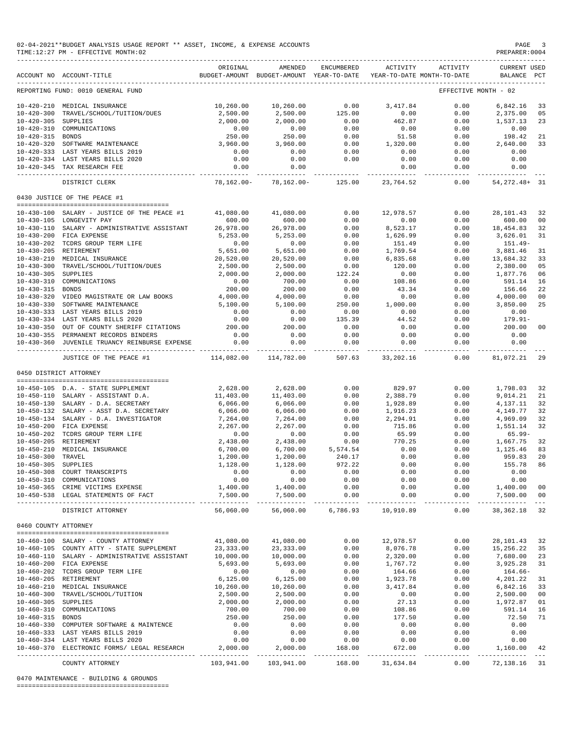| 02-04-2021**BUDGET ANALYSIS USAGE REPORT ** ASSET, INCOME, & EXPENSE ACCOUNTS<br>PAGE<br>$\overline{\phantom{a}}$<br>PREPARER: 0004<br>TIME:12:27 PM - EFFECTIVE MONTH:02 |                                                                         |                                                                                 |                              |                       |                            |                                     |                                    |                 |
|---------------------------------------------------------------------------------------------------------------------------------------------------------------------------|-------------------------------------------------------------------------|---------------------------------------------------------------------------------|------------------------------|-----------------------|----------------------------|-------------------------------------|------------------------------------|-----------------|
|                                                                                                                                                                           | ACCOUNT NO ACCOUNT-TITLE                                                | ORIGINAL<br>BUDGET-AMOUNT BUDGET-AMOUNT YEAR-TO-DATE YEAR-TO-DATE MONTH-TO-DATE | AMENDED                      | ENCUMBERED            | ACTIVITY                   | ACTIVITY                            | <b>CURRENT USED</b><br>BALANCE PCT |                 |
|                                                                                                                                                                           | REPORTING FUND: 0010 GENERAL FUND                                       |                                                                                 |                              |                       |                            |                                     | EFFECTIVE MONTH - 02               |                 |
|                                                                                                                                                                           | 10-420-210 MEDICAL INSURANCE                                            | 10,260.00                                                                       | 10,260.00                    | 0.00                  | 3,417.84                   | 0.00                                | 6,842.16                           | 33              |
| $10 - 420 - 300$                                                                                                                                                          | TRAVEL/SCHOOL/TUITION/DUES                                              | 2,500.00                                                                        | 2,500.00                     | 125.00                | 0.00                       | 0.00                                | 2,375.00 05                        |                 |
| 10-420-305 SUPPLIES                                                                                                                                                       |                                                                         | 2,000.00                                                                        | 2,000.00                     | 0.00                  | 462.87                     | 0.00                                | 1,537.13                           | 23              |
|                                                                                                                                                                           | 10-420-310 COMMUNICATIONS                                               | 0.00                                                                            | 0.00                         | 0.00                  | 0.00                       | 0.00                                | 0.00                               |                 |
| 10-420-315 BONDS                                                                                                                                                          |                                                                         | 250.00                                                                          | 250.00                       | 0.00                  | 51.58                      | 0.00                                | 198.42                             | 21              |
|                                                                                                                                                                           | 10-420-320 SOFTWARE MAINTENANCE                                         | 3,960.00                                                                        | 3,960.00                     | 0.00                  | 1,320.00                   | 0.00                                | 2,640.00                           | 33              |
|                                                                                                                                                                           | 10-420-333 LAST YEARS BILLS 2019                                        | 0.00                                                                            | 0.00                         | 0.00<br>0.00          | 0.00<br>0.00               | 0.00                                | 0.00<br>0.00                       |                 |
|                                                                                                                                                                           | 10-420-334 LAST YEARS BILLS 2020<br>10-420-345 TAX RESEARCH FEE         | 0.00<br>0.00                                                                    | 0.00<br>0.00                 |                       | 0.00                       | 0.00<br>0.00                        | 0.00                               |                 |
|                                                                                                                                                                           | -----------------------------                                           |                                                                                 | ------------ ------------    |                       | -----------                | ----------                          | ------------                       |                 |
|                                                                                                                                                                           | DISTRICT CLERK                                                          |                                                                                 | 78,162.00- 78,162.00- 125.00 |                       | 23,764.52                  | 0.00                                | 54, 272. 48+ 31                    |                 |
|                                                                                                                                                                           | 0430 JUSTICE OF THE PEACE #1                                            |                                                                                 |                              |                       |                            |                                     |                                    |                 |
|                                                                                                                                                                           | 10-430-100 SALARY - JUSTICE OF THE PEACE #1                             | 41,080.00                                                                       | 41,080.00                    | 0.00                  | 12,978.57                  | 0.00                                | 28,101.43                          | 32              |
|                                                                                                                                                                           | 10-430-105 LONGEVITY PAY                                                | 600.00                                                                          | 600.00                       | 0.00                  | 0.00                       | 0.00                                | 600.00                             | 00              |
|                                                                                                                                                                           | 10-430-110 SALARY - ADMINISTRATIVE ASSISTANT                            | 26,978.00                                                                       | 26,978.00                    | 0.00                  | 8,523.17                   | 0.00                                | 18,454.83                          | 32              |
|                                                                                                                                                                           | 10-430-200 FICA EXPENSE                                                 | 5,253.00                                                                        | 5,253.00                     | 0.00                  | 1,626.99                   | 0.00                                | 3,626.01                           | 31              |
|                                                                                                                                                                           | 10-430-202 TCDRS GROUP TERM LIFE                                        | 0.00                                                                            | 0.00                         | 0.00                  | 151.49                     | 0.00                                | $151.49-$                          |                 |
|                                                                                                                                                                           | 10-430-205 RETIREMENT                                                   | 5,651.00                                                                        | 5,651.00                     | 0.00                  | 1,769.54                   | 0.00                                | 3,881.46                           | 31              |
|                                                                                                                                                                           | 10-430-210 MEDICAL INSURANCE                                            | 20,520.00                                                                       | 20,520.00                    | 0.00                  | 6,835.68                   | 0.00                                | 13,684.32                          | 33              |
|                                                                                                                                                                           | 10-430-300 TRAVEL/SCHOOL/TUITION/DUES                                   | 2,500.00                                                                        | 2,500.00                     | 0.00                  | 120.00                     | 0.00                                | 2,380.00                           | 05              |
| 10-430-305 SUPPLIES                                                                                                                                                       |                                                                         | 2,000.00<br>0.00                                                                | 2,000.00<br>700.00           | 122.24                | 0.00<br>108.86             | 0.00                                | 1,877.76                           | 06              |
| 10-430-315 BONDS                                                                                                                                                          | 10-430-310 COMMUNICATIONS                                               | 200.00                                                                          | 200.00                       | 0.00<br>0.00          | 43.34                      | 0.00<br>0.00                        | 591.14<br>156.66                   | 16<br>22        |
|                                                                                                                                                                           | 10-430-320 VIDEO MAGISTRATE OR LAW BOOKS                                | 4,000.00                                                                        | 4,000.00                     | 0.00                  | 0.00                       | 0.00                                | 4,000.00                           | 00              |
|                                                                                                                                                                           | 10-430-330 SOFTWARE MAINTENANCE                                         | 5,100.00                                                                        | 5,100.00                     | 250.00                | 1,000.00                   | 0.00                                | 3,850.00                           | 25              |
|                                                                                                                                                                           | 10-430-333 LAST YEARS BILLS 2019                                        | 0.00                                                                            | 0.00                         | 0.00                  | 0.00                       | 0.00                                | 0.00                               |                 |
|                                                                                                                                                                           | 10-430-334 LAST YEARS BILLS 2020                                        | 0.00                                                                            | 0.00                         | 135.39                | 44.52                      | 0.00                                | 179.91-                            |                 |
|                                                                                                                                                                           | 10-430-350 OUT OF COUNTY SHERIFF CITATIONS                              | 200.00                                                                          | 200.00                       | 0.00                  | 0.00                       | 0.00                                | 200.00                             | 00              |
|                                                                                                                                                                           | 10-430-355 PERMANENT RECORDS BINDERS                                    | 0.00                                                                            | 0.00                         | 0.00                  | 0.00                       | 0.00                                | 0.00                               |                 |
|                                                                                                                                                                           | 10-430-360 JUVENILE TRUANCY REINBURSE EXPENSE                           | 0.00                                                                            | 0.00                         | 0.00<br>_____________ | 0.00                       | 0.00<br>-------------- ------------ | 0.00<br>------------               |                 |
|                                                                                                                                                                           | JUSTICE OF THE PEACE #1                                                 | 114,082.00                                                                      | 114,782.00                   | 507.63                | 33,202.16                  | 0.00                                | 81,072.21                          | 29              |
| 0450 DISTRICT ATTORNEY                                                                                                                                                    |                                                                         |                                                                                 |                              |                       |                            |                                     |                                    |                 |
|                                                                                                                                                                           | 10-450-105 D.A. - STATE SUPPLEMENT                                      | 2,628.00                                                                        | 2,628.00                     | 0.00                  | 829.97                     | 0.00                                | 1,798.03                           | 32              |
|                                                                                                                                                                           | 10-450-110 SALARY - ASSISTANT D.A.                                      | 11,403.00                                                                       | 11,403.00                    | 0.00                  | 2,388.79                   | 0.00                                | 9,014.21                           | 21              |
|                                                                                                                                                                           | 10-450-130 SALARY - D.A. SECRETARY                                      | 6,066.00                                                                        | 6,066.00                     | 0.00                  | 1,928.89                   | 0.00                                | 4,137.11                           | 32              |
|                                                                                                                                                                           | 10-450-132 SALARY - ASST D.A. SECRETARY                                 | 6,066.00                                                                        | 6,066.00                     | 0.00                  | 1,916.23                   | 0.00                                | 4,149.77                           | 32              |
|                                                                                                                                                                           | 10-450-134 SALARY - D.A. INVESTIGATOR                                   | 7,264.00                                                                        | 7,264.00                     | 0.00                  | 2,294.91                   | 0.00                                | 4,969.09                           | 32              |
|                                                                                                                                                                           | 10-450-200 FICA EXPENSE                                                 | 2,267.00                                                                        | 2,267.00                     | 0.00                  | 715.86                     | 0.00                                | 1,551.14                           | 32              |
|                                                                                                                                                                           | 10-450-202 TCDRS GROUP TERM LIFE                                        | 0.00                                                                            | 0.00                         | 0.00                  | 65.99                      | 0.00                                | $65.99 -$                          |                 |
|                                                                                                                                                                           | 10-450-205 RETIREMENT                                                   | 2,438.00                                                                        | 2,438.00                     | 0.00                  | 770.25                     | 0.00                                | 1,667.75                           | 32              |
|                                                                                                                                                                           | 10-450-210 MEDICAL INSURANCE                                            | 6,700.00                                                                        | 6,700.00                     | 5,574.54              | 0.00                       | 0.00                                | 1,125.46                           | 83              |
| 10-450-300 TRAVEL                                                                                                                                                         |                                                                         | 1,200.00                                                                        | 1,200.00                     | 240.17                | 0.00                       | 0.00                                | 959.83 20                          |                 |
| 10-450-305 SUPPLIES                                                                                                                                                       | 10-450-308 COURT TRANSCRIPTS                                            | 1,128.00<br>0.00                                                                | 1,128.00<br>0.00             | 972.22<br>0.00        | 0.00<br>0.00               | 0.00<br>0.00                        | 155.78<br>0.00                     | 86              |
|                                                                                                                                                                           | 10-450-310 COMMUNICATIONS                                               | 0.00                                                                            | 0.00                         | 0.00                  | 0.00                       | 0.00                                | 0.00                               |                 |
|                                                                                                                                                                           | 10-450-365 CRIME VICTIMS EXPENSE                                        | 1,400.00                                                                        | 1,400.00                     | 0.00                  | 0.00                       | 0.00                                | 1,400.00                           | 00              |
|                                                                                                                                                                           | 10-450-538 LEGAL STATEMENTS OF FACT                                     | 7,500.00                                                                        | 7,500.00                     | 0.00                  | 0.00                       | 0.00                                | 7,500.00                           | 00              |
|                                                                                                                                                                           | DISTRICT ATTORNEY                                                       | 56,060.00                                                                       | 56,060.00                    | 6,786.93              | -------------<br>10,910.89 | ------------<br>0.00                | -------------<br>38, 362.18        | $- - - -$<br>32 |
| 0460 COUNTY ATTORNEY                                                                                                                                                      |                                                                         |                                                                                 |                              |                       |                            |                                     |                                    |                 |
|                                                                                                                                                                           |                                                                         |                                                                                 |                              |                       |                            |                                     |                                    |                 |
|                                                                                                                                                                           | 10-460-100 SALARY - COUNTY ATTORNEY                                     | 41,080.00                                                                       | 41,080.00                    | 0.00                  | 12,978.57                  | 0.00                                | 28, 101. 43 32                     |                 |
|                                                                                                                                                                           | 10-460-105 COUNTY ATTY - STATE SUPPLEMENT                               | 23,333.00                                                                       | 23,333.00                    | 0.00                  | 8,076.78                   | 0.00                                | 15, 256. 22 35                     |                 |
|                                                                                                                                                                           | 10-460-110 SALARY - ADMINISTRATIVE ASSISTANT<br>10-460-200 FICA EXPENSE | 10,000.00<br>5,693.00                                                           | 10,000.00<br>5,693.00        | 0.00<br>0.00          | 2,320.00<br>1,767.72       | 0.00<br>0.00                        | 7,680.00<br>3,925.28               | 23<br>31        |
|                                                                                                                                                                           | 10-460-202 TCDRS GROUP TERM LIFE                                        | 0.00                                                                            | 0.00                         | 0.00                  | 164.66                     | 0.00                                | 164.66-                            |                 |
| 10-460-205 RETIREMENT                                                                                                                                                     |                                                                         | 6, 125.00                                                                       | 6, 125.00                    | 0.00                  | 1,923.78                   | 0.00                                | 4,201.22                           | 31              |
|                                                                                                                                                                           | 10-460-210 MEDICAL INSURANCE                                            | 10,260.00                                                                       | 10,260.00                    | 0.00                  | 3,417.84                   | 0.00                                | 6,842.16                           | 33              |
|                                                                                                                                                                           | 10-460-300 TRAVEL/SCHOOL/TUITION                                        | 2,500.00                                                                        | 2,500.00                     | 0.00                  | 0.00                       | 0.00                                | 2,500.00                           | 00              |
| 10-460-305 SUPPLIES                                                                                                                                                       |                                                                         | 2,000.00                                                                        | 2,000.00                     | 0.00                  | 27.13                      | 0.00                                | 1,972.87                           | 01              |
|                                                                                                                                                                           | 10-460-310 COMMUNICATIONS                                               | 700.00                                                                          | 700.00                       | 0.00                  | 108.86                     | 0.00                                | 591.14                             | 16              |
| 10-460-315 BONDS                                                                                                                                                          |                                                                         | 250.00                                                                          | 250.00                       | 0.00                  | 177.50                     | 0.00                                | 72.50                              | 71              |
|                                                                                                                                                                           | 10-460-330 COMPUTER SOFTWARE & MAINTENCE                                | 0.00                                                                            | 0.00                         | 0.00                  | 0.00                       | 0.00                                | 0.00                               |                 |
|                                                                                                                                                                           | 10-460-333 LAST YEARS BILLS 2019                                        | 0.00                                                                            | 0.00                         | 0.00                  | 0.00                       | 0.00                                | 0.00                               |                 |
|                                                                                                                                                                           | 10-460-334 LAST YEARS BILLS 2020                                        | 0.00<br>2,000.00                                                                | 0.00                         | 0.00<br>168.00        | 0.00                       | 0.00<br>0.00                        | 0.00                               |                 |
|                                                                                                                                                                           | 10-460-370 ELECTRONIC FORMS/ LEGAL RESEARCH                             |                                                                                 | 2,000.00                     |                       | 672.00                     |                                     | 1,160.00                           | 42              |
|                                                                                                                                                                           | COUNTY ATTORNEY                                                         | 103,941.00                                                                      | 103,941.00                   | 168.00                | 31,634.84                  | 0.00                                | 72, 138. 16 31                     |                 |

0470 MAINTENANCE - BUILDING & GROUNDS

========================================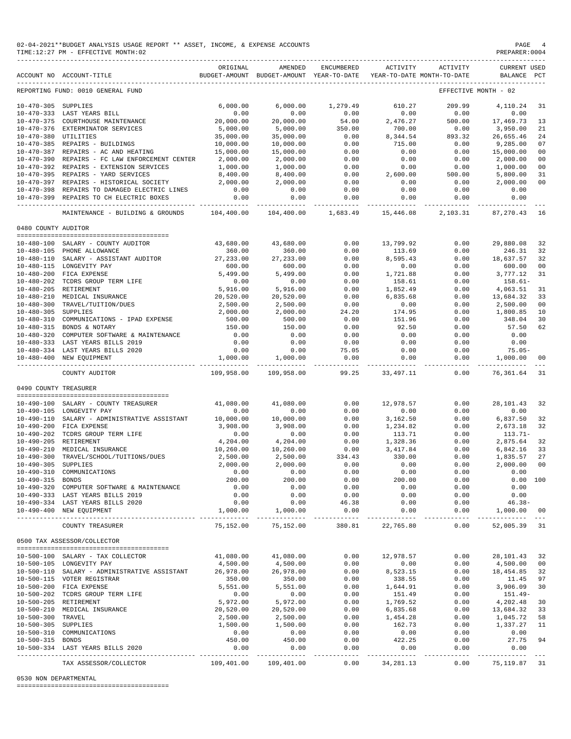| 02-04-2021**BUDGET ANALYSIS USAGE REPORT ** ASSET, INCOME, & EXPENSE ACCOUNTS<br>TIME:12:27 PM - EFFECTIVE MONTH:02 |                                                                          |                             |                                                                                |                       |                       |                     | PAGE<br>PREPARER: 0004             | 4        |
|---------------------------------------------------------------------------------------------------------------------|--------------------------------------------------------------------------|-----------------------------|--------------------------------------------------------------------------------|-----------------------|-----------------------|---------------------|------------------------------------|----------|
|                                                                                                                     | ACCOUNT NO ACCOUNT-TITLE                                                 | ORIGINAL                    | AMENDED<br>BUDGET-AMOUNT BUDGET-AMOUNT YEAR-TO-DATE YEAR-TO-DATE MONTH-TO-DATE | ENCUMBERED            | ACTIVITY              | ACTIVITY            | <b>CURRENT USED</b><br>BALANCE PCT |          |
|                                                                                                                     | REPORTING FUND: 0010 GENERAL FUND                                        |                             |                                                                                |                       |                       |                     | EFFECTIVE MONTH - 02               |          |
| 10-470-305 SUPPLIES                                                                                                 |                                                                          | 6,000.00                    | 6,000.00                                                                       | 1,279.49              | 610.27                | 209.99              | 4,110.24                           | 31       |
|                                                                                                                     | 10-470-333 LAST YEARS BILL                                               | 0.00                        | 0.00                                                                           | 0.00                  | 0.00                  | 0.00                | 0.00                               |          |
|                                                                                                                     | 10-470-375 COURTHOUSE MAINTENANCE                                        | 20,000.00                   | 20,000.00                                                                      | 54.00                 | 2,476.27              | 500.00              | 17,469.73                          | 13       |
|                                                                                                                     | 10-470-376 EXTERMINATOR SERVICES                                         | 5,000.00                    | 5,000.00                                                                       | 350.00                | 700.00                | 0.00                | 3,950.00                           | 21       |
| 10-470-380 UTILITIES                                                                                                | 10-470-385 REPAIRS - BUILDINGS                                           | 35,000.00<br>10,000.00      | 35,000.00<br>10,000.00                                                         | 0.00<br>0.00          | 8,344.54<br>715.00    | 893.32<br>0.00      | 26,655.46<br>9,285.00              | 24<br>07 |
|                                                                                                                     | 10-470-387 REPAIRS - AC AND HEATING                                      | 15,000.00                   | 15,000.00                                                                      | 0.00                  | 0.00                  | 0.00                | 15,000.00                          | 00       |
|                                                                                                                     | 10-470-390 REPAIRS - FC LAW ENFORCEMENT CENTER                           | 2,000.00                    | 2,000.00                                                                       | 0.00                  | 0.00                  | 0.00                | 2,000.00                           | 00       |
|                                                                                                                     | 10-470-392 REPAIRS - EXTENSION SERVICES                                  | 1,000.00                    | 1,000.00                                                                       | 0.00                  | 0.00                  | 0.00                | 1,000.00                           | 00       |
|                                                                                                                     | 10-470-395 REPAIRS - YARD SERVICES                                       | 8,400.00                    | 8,400.00                                                                       | 0.00                  | 2,600.00              | 500.00              | 5,800.00                           | 31       |
|                                                                                                                     | 10-470-397 REPAIRS - HISTORICAL SOCIETY                                  | 2,000.00                    | 2,000.00                                                                       | 0.00                  | 0.00                  | 0.00                | 2,000.00                           | 00       |
|                                                                                                                     | 10-470-398 REPAIRS TO DAMAGED ELECTRIC LINES                             | 0.00                        | 0.00                                                                           | 0.00                  | 0.00                  | 0.00                | 0.00                               |          |
|                                                                                                                     | 10-470-399 REPAIRS TO CH ELECTRIC BOXES                                  | 0.00<br>----- ------------- | 0.00<br>-----------                                                            | 0.00<br>------------- | 0.00<br>------------- | 0.00<br>.           | 0.00<br>----------                 |          |
|                                                                                                                     | MAINTENANCE - BUILDING & GROUNDS                                         | 104,400.00                  | 104,400.00                                                                     | 1,683.49              | 15,446.08             | 2,103.31            | 87,270.43                          | 16       |
| 0480 COUNTY AUDITOR                                                                                                 |                                                                          |                             |                                                                                |                       |                       |                     |                                    |          |
|                                                                                                                     | 10-480-100 SALARY - COUNTY AUDITOR                                       | 43,680.00                   | 43,680.00                                                                      | 0.00                  | 13,799.92             | 0.00                | 29,880.08                          | 32       |
|                                                                                                                     | 10-480-105 PHONE ALLOWANCE                                               | 360.00                      | 360.00                                                                         | 0.00                  | 113.69                | 0.00                | 246.31                             | 32       |
|                                                                                                                     | 10-480-110 SALARY - ASSISTANT AUDITOR                                    | 27, 233.00                  | 27, 233.00                                                                     | 0.00                  | 8,595.43              | 0.00                | 18,637.57                          | 32       |
|                                                                                                                     | 10-480-115 LONGEVITY PAY                                                 | 600.00                      | 600.00                                                                         | 0.00                  | 0.00                  | 0.00                | 600.00                             | 00       |
|                                                                                                                     | 10-480-200 FICA EXPENSE                                                  | 5,499.00                    | 5,499.00                                                                       | 0.00                  | 1,721.88              | 0.00                | 3,777.12                           | 31       |
|                                                                                                                     | 10-480-202 TCDRS GROUP TERM LIFE                                         | 0.00                        | 0.00                                                                           | 0.00                  | 158.61                | 0.00                | $158.61-$                          |          |
|                                                                                                                     | 10-480-205 RETIREMENT                                                    | 5,916.00                    | 5,916.00                                                                       | 0.00                  | 1,852.49              | 0.00                | 4,063.51                           | 31       |
|                                                                                                                     | 10-480-210 MEDICAL INSURANCE                                             | 20,520.00                   | 20,520.00                                                                      | 0.00                  | 6,835.68              | 0.00                | 13,684.32                          | 33       |
| $10 - 480 - 300$                                                                                                    | TRAVEL/TUITION/DUES                                                      | 2,500.00                    | 2,500.00                                                                       | 0.00                  | 0.00                  | 0.00                | 2,500.00                           | 00       |
| 10-480-305 SUPPLIES<br>10-480-310                                                                                   | COMMUNICATIONS - IPAD EXPENSE                                            | 2,000.00<br>500.00          | 2,000.00<br>500.00                                                             | 24.20<br>0.00         | 174.95<br>151.96      | 0.00<br>0.00        | 1,800.85<br>348.04                 | 10<br>30 |
|                                                                                                                     | 10-480-315 BONDS & NOTARY                                                | 150.00                      | 150.00                                                                         | 0.00                  | 92.50                 | 0.00                | 57.50                              | 62       |
|                                                                                                                     | 10-480-320 COMPUTER SOFTWARE & MAINTENANCE                               | 0.00                        | 0.00                                                                           | 0.00                  | 0.00                  | 0.00                | 0.00                               |          |
|                                                                                                                     | 10-480-333 LAST YEARS BILLS 2019                                         | 0.00                        | 0.00                                                                           | 0.00                  | 0.00                  | 0.00                | 0.00                               |          |
|                                                                                                                     | 10-480-334 LAST YEARS BILLS 2020                                         | 0.00                        | 0.00                                                                           | 75.05                 | 0.00                  | 0.00                | $75.05 -$                          |          |
|                                                                                                                     | 10-480-400 NEW EQUIPMENT                                                 | 1,000.00                    | 1,000.00                                                                       | 0.00                  | 0.00                  | 0.00                | 1,000.00                           | 00       |
|                                                                                                                     | COUNTY AUDITOR                                                           | 109,958.00                  | 109,958.00                                                                     | 99.25                 | 33,497.11             | 0.00                | 76,361.64                          | 31       |
| 0490 COUNTY TREASURER                                                                                               |                                                                          |                             |                                                                                |                       |                       |                     |                                    |          |
|                                                                                                                     | 10-490-100 SALARY - COUNTY TREASURER                                     | 41,080.00                   | 41,080.00                                                                      | 0.00                  | 12,978.57             | 0.00                | 28,101.43                          | 32       |
|                                                                                                                     | 10-490-105 LONGEVITY PAY                                                 | 0.00                        | 0.00                                                                           | 0.00                  | 0.00                  | 0.00                | 0.00                               |          |
|                                                                                                                     | 10-490-110 SALARY - ADMINISTRATIVE ASSISTANT                             | 10,000.00                   | 10,000.00                                                                      | 0.00                  | 3,162.50              | 0.00                | 6,837.50                           | 32       |
|                                                                                                                     | 10-490-200 FICA EXPENSE                                                  | 3,908.00                    | 3,908.00                                                                       | 0.00                  | 1,234.82              | 0.00                | 2,673.18                           | 32       |
|                                                                                                                     | 10-490-202 TCDRS GROUP TERM LIFE                                         | 0.00                        | 0.00                                                                           | 0.00                  | 113.71                | 0.00                | $113.71-$                          |          |
|                                                                                                                     | 10-490-205 RETIREMENT                                                    | 4,204.00                    | 4,204.00                                                                       | 0.00                  | 1,328.36              | 0.00                | 2,875.64                           | 32       |
|                                                                                                                     | 10-490-210 MEDICAL INSURANCE                                             | 10,260.00                   | 10,260.00                                                                      | 0.00                  | 3, 417.84             | 0.00                | 6,842.16                           | 33       |
| $10 - 490 - 300$<br>10-490-305 SUPPLIES                                                                             | TRAVEL/SCHOOL/TUITIONS/DUES                                              | 2,500.00<br>2,000.00        | 2,500.00<br>2,000.00                                                           | 334.43<br>0.00        | 330.00<br>0.00        | 0.00<br>0.00        | 1,835.57<br>2,000.00               | 27       |
|                                                                                                                     | 10-490-310 COMMUNICATIONS                                                | 0.00                        | 0.00                                                                           | 0.00                  | 0.00                  | 0.00                | 0.00                               | 00       |
| 10-490-315 BONDS                                                                                                    |                                                                          | 200.00                      | 200.00                                                                         | 0.00                  | 200.00                | 0.00                |                                    | 0.00 100 |
|                                                                                                                     | 10-490-320 COMPUTER SOFTWARE & MAINTENANCE                               | 0.00                        | 0.00                                                                           | 0.00                  | 0.00                  | 0.00                | 0.00                               |          |
|                                                                                                                     | 10-490-333 LAST YEARS BILLS 2019                                         | 0.00                        | 0.00                                                                           | 0.00                  | 0.00                  | 0.00                | 0.00                               |          |
|                                                                                                                     | 10-490-334 LAST YEARS BILLS 2020                                         | 0.00                        | 0.00                                                                           | 46.38                 | 0.00                  | 0.00                | $46.38-$                           |          |
|                                                                                                                     | 10-490-400 NEW EQUIPMENT                                                 | 1,000.00<br>___________     | 1,000.00<br>--------------                                                     | 0.00                  | 0.00                  | 0.00<br>----------- | 1,000.00                           | 00       |
|                                                                                                                     | COUNTY TREASURER                                                         | 75,152.00                   | 75,152.00                                                                      | 380.81                | 22,765.80             | 0.00                | 52,005.39 31                       |          |
|                                                                                                                     | 0500 TAX ASSESSOR/COLLECTOR                                              |                             |                                                                                |                       |                       |                     |                                    |          |
|                                                                                                                     |                                                                          |                             |                                                                                |                       |                       |                     |                                    |          |
|                                                                                                                     | 10-500-100 SALARY - TAX COLLECTOR                                        | 41,080.00                   | 41,080.00<br>4,500.00                                                          | 0.00                  | 12,978.57<br>0.00     | 0.00                | 28, 101. 43 32<br>4,500.00         |          |
|                                                                                                                     | 10-500-105 LONGEVITY PAY<br>10-500-110 SALARY - ADMINISTRATIVE ASSISTANT | 4,500.00<br>26,978.00       | 26,978.00                                                                      | 0.00<br>0.00          | 8,523.15              | 0.00<br>0.00        | 18,454.85                          | 00<br>32 |
|                                                                                                                     | 10-500-115 VOTER REGISTRAR                                               | 350.00                      | 350.00                                                                         | 0.00                  | 338.55                | 0.00                | 11.45                              | 97       |
|                                                                                                                     | 10-500-200 FICA EXPENSE                                                  | 5,551.00                    | 5,551.00                                                                       | 0.00                  | 1,644.91              | 0.00                | 3,906.09                           | 30       |
|                                                                                                                     | 10-500-202 TCDRS GROUP TERM LIFE                                         | 0.00                        | 0.00                                                                           | 0.00                  | 151.49                | 0.00                | 151.49-                            |          |
|                                                                                                                     | 10-500-205 RETIREMENT                                                    | 5,972.00                    | 5,972.00                                                                       | 0.00                  | 1,769.52              | 0.00                | 4,202.48                           | 30       |
|                                                                                                                     | 10-500-210 MEDICAL INSURANCE                                             | 20,520.00                   | 20,520.00                                                                      | 0.00                  | 6,835.68              | 0.00                | 13,684.32                          | 33       |
| 10-500-300 TRAVEL                                                                                                   |                                                                          | 2,500.00                    | 2,500.00                                                                       | 0.00                  | 1,454.28              | 0.00                | 1,045.72                           | 58       |
| 10-500-305 SUPPLIES                                                                                                 |                                                                          | 1,500.00                    | 1,500.00                                                                       | 0.00                  | 162.73                | 0.00                | 1,337.27                           | 11       |
| 10-500-315 BONDS                                                                                                    | 10-500-310 COMMUNICATIONS                                                | 0.00<br>450.00              | 0.00<br>450.00                                                                 | 0.00<br>0.00          | 0.00<br>422.25        | 0.00<br>0.00        | 0.00<br>27.75                      | 94       |
|                                                                                                                     | 10-500-334 LAST YEARS BILLS 2020                                         | 0.00                        | 0.00                                                                           | 0.00                  | 0.00                  | 0.00                | 0.00                               |          |
|                                                                                                                     | ---------------------------------                                        | ------------                | ------------                                                                   | ------                | ----------            | ----------          | -----------                        |          |
|                                                                                                                     | TAX ASSESSOR/COLLECTOR                                                   | 109,401.00                  | 109,401.00                                                                     | 0.00                  | 34, 281. 13           | 0.00                | 75, 119.87 31                      |          |

0530 NON DEPARTMENTAL

========================================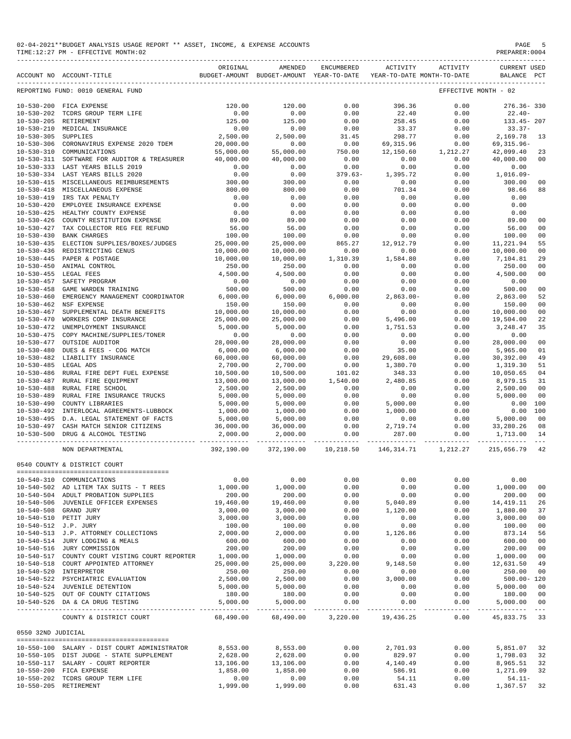| 02-04-2021**BUDGET ANALYSIS USAGE REPORT ** ASSET, INCOME, & EXPENSE ACCOUNTS | PAGE           |
|-------------------------------------------------------------------------------|----------------|
| TIME:12:27 PM - EFFECTIVE MONTH:02                                            | PREPARER: 0004 |

|                                      | ACCOUNT NO ACCOUNT-TITLE                                                    | ORIGINAL             | AMENDED<br>BUDGET-AMOUNT BUDGET-AMOUNT YEAR-TO-DATE YEAR-TO-DATE MONTH-TO-DATE | ENCUMBERED                                                                                                                                                                                                                                                                                                                                                               | ACTIVITY            | ACTIVITY                 | <b>CURRENT USED</b><br>BALANCE PCT |                      |
|--------------------------------------|-----------------------------------------------------------------------------|----------------------|--------------------------------------------------------------------------------|--------------------------------------------------------------------------------------------------------------------------------------------------------------------------------------------------------------------------------------------------------------------------------------------------------------------------------------------------------------------------|---------------------|--------------------------|------------------------------------|----------------------|
|                                      | REPORTING FUND: 0010 GENERAL FUND                                           |                      |                                                                                |                                                                                                                                                                                                                                                                                                                                                                          |                     |                          | EFFECTIVE MONTH - 02               |                      |
|                                      | 10-530-200 FICA EXPENSE                                                     | 120.00               | 120.00                                                                         | 0.00                                                                                                                                                                                                                                                                                                                                                                     | 396.36              | 0.00                     | 276.36-330                         |                      |
|                                      | 10-530-202 TCDRS GROUP TERM LIFE                                            | 0.00                 | 0.00                                                                           | 0.00                                                                                                                                                                                                                                                                                                                                                                     | 22.40               | 0.00                     | $22.40-$                           |                      |
|                                      | 10-530-205 RETIREMENT                                                       | 125.00               | 125.00                                                                         | 0.00                                                                                                                                                                                                                                                                                                                                                                     | 258.45              | 0.00                     | 133.45-207                         |                      |
|                                      | 10-530-210 MEDICAL INSURANCE                                                | 0.00                 | 0.00                                                                           | 0.00                                                                                                                                                                                                                                                                                                                                                                     | 33.37               | 0.00                     | $33.37-$                           |                      |
| 10-530-305 SUPPLIES                  |                                                                             | 2,500.00             | 2,500.00                                                                       | 31.45                                                                                                                                                                                                                                                                                                                                                                    | 298.77              | 0.00                     | 2,169.78                           | 13                   |
|                                      | 10-530-306 CORONAVIRUS EXPENSE 2020 TDEM                                    | 20,000.00            | 0.00                                                                           | 0.00                                                                                                                                                                                                                                                                                                                                                                     | 69,315.96           | 0.00<br>0.00<br>1,212.27 | 69,315.96-                         |                      |
|                                      | 10-530-310 COMMUNICATIONS                                                   | 55,000.00            | 55,000.00                                                                      | 750.00                                                                                                                                                                                                                                                                                                                                                                   | 12,150.60           |                          | 42,099.40                          | 23                   |
|                                      | 10-530-311 SOFTWARE FOR AUDITOR & TREASURER                                 | 40,000.00            | 40,000.00                                                                      | 0.00                                                                                                                                                                                                                                                                                                                                                                     | 0.00                | 0.00                     | 40,000.00                          | 00                   |
|                                      | 10-530-333 LAST YEARS BILLS 2019                                            | 0.00                 | 0.00                                                                           | 0.00                                                                                                                                                                                                                                                                                                                                                                     | 0.00                | 0.00                     | 0.00                               |                      |
|                                      | 10-530-334 LAST YEARS BILLS 2020<br>10-530-415 MISCELLANEOUS REIMBURSEMENTS | 0.00<br>300.00       | 0.00<br>300.00                                                                 | $379.63-$<br>0.00                                                                                                                                                                                                                                                                                                                                                        | 1,395.72<br>0.00    | 0.00<br>0.00             | 1,016.09-<br>300.00                | 00                   |
|                                      | 10-530-418 MISCELLANEOUS EXPENSE                                            | 800.00               | 800.00                                                                         | 0.00                                                                                                                                                                                                                                                                                                                                                                     | 701.34              | 0.00                     | 98.66                              | 88                   |
| $10 - 530 - 419$                     | IRS TAX PENALTY                                                             | 0.00                 | 0.00                                                                           | 0.00                                                                                                                                                                                                                                                                                                                                                                     | 0.00                | 0.00                     | 0.00                               |                      |
| $10 - 530 - 420$                     | EMPLOYEE INSURANCE EXPENSE                                                  | 0.00                 | 0.00                                                                           | 0.00                                                                                                                                                                                                                                                                                                                                                                     | 0.00                | 0.00                     | 0.00                               |                      |
| $10 - 530 - 425$                     | HEALTHY COUNTY EXPENSE                                                      | 0.00                 | 0.00                                                                           | 0.00                                                                                                                                                                                                                                                                                                                                                                     | 0.00                | 0.00                     | 0.00                               |                      |
|                                      | 10-530-426 COUNTY RESTITUTION EXPENSE                                       | 89.00                | 89.00                                                                          | 0.00                                                                                                                                                                                                                                                                                                                                                                     | 0.00                | 0.00                     | 89.00                              | 00                   |
| 10-530-427                           | TAX COLLECTOR REG FEE REFUND                                                | 56.00                | 56.00                                                                          | 0.00                                                                                                                                                                                                                                                                                                                                                                     | 0.00                | 0.00                     | 56.00                              | 0 <sub>0</sub>       |
| $10 - 530 - 430$                     | <b>BANK CHARGES</b>                                                         | 100.00               | 100.00                                                                         | 0.00                                                                                                                                                                                                                                                                                                                                                                     | 0.00                | 0.00                     | 100.00                             | 0 <sub>0</sub>       |
| $10 - 530 - 435$                     | ELECTION SUPPLIES/BOXES/JUDGES 25,000.00                                    |                      | 25,000.00                                                                      | 865.27                                                                                                                                                                                                                                                                                                                                                                   | 12,912.79           | 0.00                     | 11,221.94                          | 55                   |
|                                      | 10-530-436 REDISTRICTING CENUS                                              | 10,000.00            | 10,000.00                                                                      | 0.00                                                                                                                                                                                                                                                                                                                                                                     | 0.00                | 0.00                     | 10,000.00                          | 0 <sub>0</sub>       |
|                                      | 10-530-445 PAPER & POSTAGE                                                  | 10,000.00            | 10,000.00                                                                      | 1,310.39                                                                                                                                                                                                                                                                                                                                                                 | 1,584.80            | 0.00                     | 7,104.81                           | 29                   |
| $10 - 530 - 450$                     | ANIMAL CONTROL                                                              | 250.00               | 250.00                                                                         | 0.00                                                                                                                                                                                                                                                                                                                                                                     | 0.00                | 0.00                     | 250.00                             | 00                   |
| $10 - 530 - 457$                     | 10-530-455 LEGAL FEES<br>SAFETY PROGRAM                                     | 4,500.00<br>0.00     | 4,500.00                                                                       | 0.00                                                                                                                                                                                                                                                                                                                                                                     | 0.00                | 0.00                     | 4,500.00<br>0.00                   | 00                   |
| $10 - 530 - 458$                     | GAME WARDEN TRAINING                                                        | 500.00               | 0.00<br>500.00                                                                 | 0.00<br>0.00                                                                                                                                                                                                                                                                                                                                                             | 0.00<br>0.00        | 0.00<br>0.00             | 500.00                             | 00                   |
| $10 - 530 - 460$                     | EMERGENCY MANAGEMENT COORDINATOR                                            | 6,000.00             | 6,000.00                                                                       | 6,000.00                                                                                                                                                                                                                                                                                                                                                                 | $2,863.00 -$        | 0.00                     | 2,863.00                           | 52                   |
| $10 - 530 - 462$                     | NSF EXPENSE                                                                 | 150.00               | 150.00                                                                         | 0.00                                                                                                                                                                                                                                                                                                                                                                     | 0.00                | 0.00                     | 150.00                             | 00                   |
| $10 - 530 - 467$                     | SUPPLEMENTAL DEATH BENEFITS                                                 | 10,000.00            | 10,000.00                                                                      | 0.00                                                                                                                                                                                                                                                                                                                                                                     | 0.00                | 0.00                     | 10,000.00                          | 0 <sub>0</sub>       |
| $10 - 530 - 470$                     | WORKERS COMP INSURANCE                                                      | 25,000.00            | 25,000.00                                                                      | 0.00                                                                                                                                                                                                                                                                                                                                                                     | 5,496.00            | 0.00                     | 19,504.00                          | 22                   |
| $10 - 530 - 472$                     | UNEMPLOYMENT INSURANCE                                                      | 5,000.00             | 5,000.00                                                                       | 0.00                                                                                                                                                                                                                                                                                                                                                                     | 1,751.53            | 0.00                     | 3,248.47                           | 35                   |
|                                      | 10-530-475 COPY MACHINE/SUPPLIES/TONER                                      | 0.00                 | 0.00                                                                           | 0.00                                                                                                                                                                                                                                                                                                                                                                     | 0.00                | 0.00                     | 0.00                               |                      |
| $10 - 530 - 477$                     | OUTSIDE AUDITOR                                                             | 28,000.00            | 28,000.00                                                                      | 0.00                                                                                                                                                                                                                                                                                                                                                                     | 0.00                | 0.00                     | 28,000.00                          | 00                   |
| $10 - 530 - 480$                     | DUES & FEES - COG MATCH                                                     | 6,000.00             | 6,000.00                                                                       | 0.00                                                                                                                                                                                                                                                                                                                                                                     | 35.00               | 0.00                     | 5,965.00                           | 01                   |
|                                      | 10-530-482 LIABILITY INSURANCE                                              | 60,000.00            | 60,000.00                                                                      | 0.00                                                                                                                                                                                                                                                                                                                                                                     | 29,608.00           | 0.00                     | 30,392.00                          | 49                   |
| 10-530-485 LEGAL ADS                 |                                                                             | 2,700.00             | 2,700.00                                                                       | $0.00$<br>101.02                                                                                                                                                                                                                                                                                                                                                         | 1,380.70            | 0.00                     | 1,319.30                           | 51                   |
| $10 - 530 - 486$                     | RURAL FIRE DEPT FUEL EXPENSE                                                | 10,500.00            | 10,500.00                                                                      |                                                                                                                                                                                                                                                                                                                                                                          | 348.33              | 0.00                     | 10,050.65                          | 04                   |
| $10 - 530 - 487$                     | RURAL FIRE EQUIPMENT                                                        | 13,000.00            | 13,000.00                                                                      | 1,540.00                                                                                                                                                                                                                                                                                                                                                                 | 2,480.85            | 0.00                     | 8,979.15                           | 31                   |
| $10 - 530 - 488$<br>$10 - 530 - 489$ | RURAL FIRE SCHOOL<br>RURAL FIRE INSURANCE TRUCKS                            | 2,500.00<br>5,000.00 | 2,500.00<br>5,000.00                                                           | 0.00<br>0.00                                                                                                                                                                                                                                                                                                                                                             | 0.00<br>0.00        | 0.00<br>0.00             | 2,500.00<br>5,000.00               | 0 <sub>0</sub><br>00 |
| $10 - 530 - 490$                     | COUNTY LIBRARIES                                                            | 5,000.00             | 5,000.00                                                                       | 0.00                                                                                                                                                                                                                                                                                                                                                                     | 5,000.00            | 0.00                     | 0.00                               | 100                  |
| $10 - 530 - 492$                     | INTERLOCAL AGREEMENTS-LUBBOCK                                               | 1,000.00             | 1,000.00                                                                       |                                                                                                                                                                                                                                                                                                                                                                          | 1,000.00            | 0.00                     | 0.00                               | 100                  |
|                                      | 10-530-495 D.A. LEGAL STATEMENT OF FACTS                                    | 5,000.00             | 5,000.00                                                                       |                                                                                                                                                                                                                                                                                                                                                                          | 0.00                | 0.00                     | 5,000.00                           | 00                   |
|                                      | 10-530-497 CASH MATCH SENIOR CITIZENS                                       | 36,000.00            |                                                                                |                                                                                                                                                                                                                                                                                                                                                                          | 2,719.74            | 0.00                     | 33,280.26                          | 08                   |
|                                      | 10-530-500 DRUG & ALCOHOL TESTING                                           | 2,000.00             | $36,000.00$<br>2,000.00                                                        |                                                                                                                                                                                                                                                                                                                                                                          | 287.00              | 0.00                     | 1,713.00                           | 14                   |
|                                      | NON DEPARTMENTAL                                                            | 392,190.00           | 372,190.00                                                                     | $\begin{bmatrix} 0 & 0 & 0 \\ 0 & 0 & 0 \\ 0 & 0 & 0 \\ 0 & 0 & 0 \\ 0 & 0 & 0 \\ 0 & 0 & 0 \\ 0 & 0 & 0 \\ 0 & 0 & 0 \\ 0 & 0 & 0 \\ 0 & 0 & 0 \\ 0 & 0 & 0 \\ 0 & 0 & 0 \\ 0 & 0 & 0 \\ 0 & 0 & 0 \\ 0 & 0 & 0 \\ 0 & 0 & 0 \\ 0 & 0 & 0 \\ 0 & 0 & 0 \\ 0 & 0 & 0 \\ 0 & 0 & 0 \\ 0 & 0 & 0 \\ 0 & 0 & 0 \\ 0 & 0 & 0 \\ 0 & 0 & $<br>10,218.50  146,314.71  1,212.27 |                     |                          | 215,656.79                         | 42                   |
|                                      | 0540 COUNTY & DISTRICT COURT                                                |                      |                                                                                |                                                                                                                                                                                                                                                                                                                                                                          |                     |                          |                                    |                      |
|                                      |                                                                             |                      |                                                                                |                                                                                                                                                                                                                                                                                                                                                                          |                     |                          |                                    |                      |
|                                      | 10-540-310 COMMUNICATIONS                                                   | 0.00                 | 0.00                                                                           | 0.00                                                                                                                                                                                                                                                                                                                                                                     | 0.00                | 0.00                     | 0.00                               |                      |
|                                      | 10-540-502 AD LITEM TAX SUITS - T REES                                      | 1,000.00             | 1,000.00                                                                       | 0.00                                                                                                                                                                                                                                                                                                                                                                     | 0.00                | 0.00                     | 1,000.00                           | 00                   |
|                                      | 10-540-504 ADULT PROBATION SUPPLIES                                         | 200.00               | 200.00                                                                         | 0.00                                                                                                                                                                                                                                                                                                                                                                     | 0.00                | 0.00                     | 200.00                             | 00                   |
|                                      | 10-540-506 JUVENILE OFFICER EXPENSES                                        | 19,460.00            | 19,460.00                                                                      | 0.00                                                                                                                                                                                                                                                                                                                                                                     | 5,040.89            | 0.00                     | 14, 419.11                         | 26                   |
|                                      | 10-540-508 GRAND JURY                                                       | 3,000.00             | 3,000.00                                                                       | 0.00                                                                                                                                                                                                                                                                                                                                                                     | 1,120.00            | 0.00                     | 1,880.00                           | 37                   |
|                                      | 10-540-510 PETIT JURY                                                       | 3,000.00             | 3,000.00                                                                       | 0.00                                                                                                                                                                                                                                                                                                                                                                     | 0.00                | 0.00                     | 3,000.00                           | 00                   |
| 10-540-512 J.P. JURY                 |                                                                             | 100.00               | 100.00                                                                         | 0.00                                                                                                                                                                                                                                                                                                                                                                     | 0.00                | 0.00                     | 100.00                             | 0 <sub>0</sub>       |
|                                      | 10-540-513 J.P. ATTORNEY COLLECTIONS                                        | 2,000.00             | 2,000.00                                                                       | 0.00                                                                                                                                                                                                                                                                                                                                                                     | 1,126.86            | 0.00                     | 873.14                             | 56                   |
|                                      | 10-540-514 JURY LODGING & MEALS<br>10-540-516 JURY COMMISSION               | 600.00<br>200.00     | 600.00<br>200.00                                                               | 0.00<br>0.00                                                                                                                                                                                                                                                                                                                                                             | 0.00<br>0.00        | 0.00<br>0.00             | 600.00<br>200.00                   | 00<br>00             |
|                                      | 10-540-517 COUNTY COURT VISTING COURT REPORTER                              | 1,000.00             | 1,000.00                                                                       | 0.00                                                                                                                                                                                                                                                                                                                                                                     | 0.00                | 0.00                     | 1,000.00                           | 00                   |
|                                      | 10-540-518 COURT APPOINTED ATTORNEY                                         | 25,000.00            | 25,000.00                                                                      | 3,220.00                                                                                                                                                                                                                                                                                                                                                                 | 9,148.50            | 0.00                     | 12,631.50                          | 49                   |
|                                      | 10-540-520 INTERPRETOR                                                      | 250.00               | 250.00                                                                         | 0.00                                                                                                                                                                                                                                                                                                                                                                     | 0.00                | 0.00                     | 250.00                             | 00                   |
|                                      | 10-540-522 PSYCHIATRIC EVALUATION                                           | 2,500.00             | 2,500.00                                                                       | 0.00                                                                                                                                                                                                                                                                                                                                                                     | 3,000.00            | 0.00                     | $500.00 - 120$                     |                      |
|                                      | 10-540-524 JUVENILE DETENTION                                               | 5,000.00             | 5,000.00                                                                       | 0.00                                                                                                                                                                                                                                                                                                                                                                     | 0.00                | 0.00                     | 5,000.00                           | 00                   |
|                                      | 10-540-525 OUT OF COUNTY CITATIONS                                          | 180.00               | 180.00                                                                         | 0.00                                                                                                                                                                                                                                                                                                                                                                     | 0.00                | 0.00                     | 180.00                             | 00                   |
|                                      | 10-540-526 DA & CA DRUG TESTING                                             | 5,000.00             | 5,000.00<br>-------------                                                      | 0.00<br>_____________                                                                                                                                                                                                                                                                                                                                                    | 0.00<br>----------- | 0.00<br>------------     | 5,000.00                           | 00                   |
|                                      | COUNTY & DISTRICT COURT                                                     | 68,490.00            | 68,490.00                                                                      | 3,220.00                                                                                                                                                                                                                                                                                                                                                                 | 19,436.25           | 0.00                     | 45,833.75                          | 33                   |
| 0550 32ND JUDICIAL                   |                                                                             |                      |                                                                                |                                                                                                                                                                                                                                                                                                                                                                          |                     |                          |                                    |                      |
|                                      | 10-550-100 SALARY - DIST COURT ADMINISTRATOR                                | 8,553.00             | 8,553.00                                                                       | 0.00                                                                                                                                                                                                                                                                                                                                                                     | 2,701.93            | 0.00                     | 5,851.07                           | 32                   |
|                                      | 10-550-105 DIST JUDGE - STATE SUPPLEMENT                                    | 2,628.00             | 2,628.00                                                                       | 0.00                                                                                                                                                                                                                                                                                                                                                                     | 829.97              | 0.00                     | 1,798.03                           | 32                   |
|                                      | 10-550-117 SALARY - COURT REPORTER                                          | 13,106.00            | 13,106.00                                                                      | 0.00                                                                                                                                                                                                                                                                                                                                                                     | 4,140.49            | 0.00                     | 8,965.51                           | 32                   |
|                                      | 10-550-200 FICA EXPENSE                                                     | 1,858.00             | 1,858.00                                                                       | 0.00                                                                                                                                                                                                                                                                                                                                                                     | 586.91              | 0.00                     | 1,271.09                           | 32                   |
|                                      | 10-550-202 TCDRS GROUP TERM LIFE                                            | 0.00                 | 0.00                                                                           | 0.00                                                                                                                                                                                                                                                                                                                                                                     | 54.11               | 0.00                     | $54.11 -$                          |                      |

10-550-205 RETIREMENT 1,999.00 1,999.00 0.00 631.43 0.00 1,367.57 32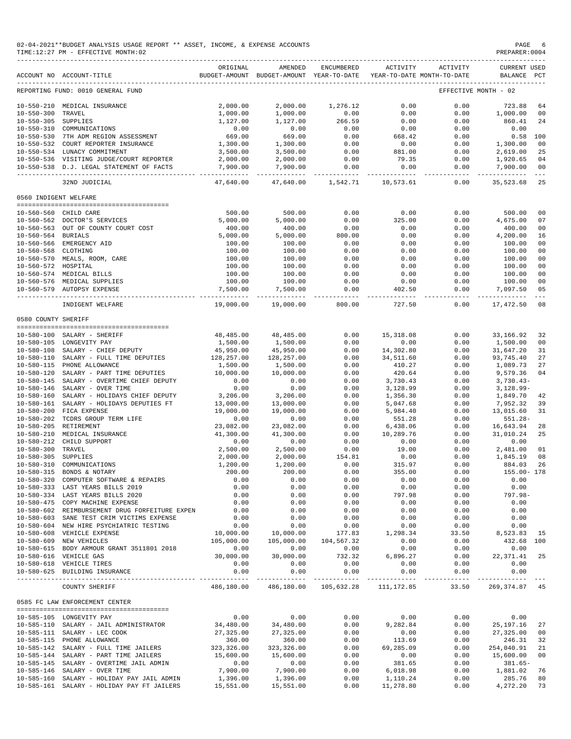| 02-04-2021**BUDGET ANALYSIS USAGE REPORT ** ASSET, INCOME, & EXPENSE ACCOUNTS | PAGE           |
|-------------------------------------------------------------------------------|----------------|
| TIME:12:27 PM - EFFECTIVE MONTH:02                                            | PREPARER: 0004 |

| FREFARER UUUT |  |  |  |  |
|---------------|--|--|--|--|
|               |  |  |  |  |

|                       | ACCOUNT NO ACCOUNT-TITLE                                              | ORIGINAL   | AMENDED<br>BUDGET-AMOUNT BUDGET-AMOUNT YEAR-TO-DATE | ENCUMBERED                       | ACTIVITY             | ACTIVITY<br>YEAR-TO-DATE MONTH-TO-DATE | <b>CURRENT USED</b><br>BALANCE PCT |                           |
|-----------------------|-----------------------------------------------------------------------|------------|-----------------------------------------------------|----------------------------------|----------------------|----------------------------------------|------------------------------------|---------------------------|
|                       | REPORTING FUND: 0010 GENERAL FUND                                     |            |                                                     |                                  |                      |                                        | EFFECTIVE MONTH - 02               |                           |
|                       | 10-550-210 MEDICAL INSURANCE                                          | 2,000.00   | 2,000.00                                            | 1,276.12                         | 0.00                 | 0.00                                   | 723.88                             | 64                        |
| $10 - 550 - 300$      | TRAVEL                                                                | 1,000.00   | 1,000.00                                            | 0.00                             | 0.00                 | 0.00                                   | 1,000.00                           | 00                        |
| 10-550-305 SUPPLIES   |                                                                       | 1,127.00   | 1,127.00                                            | 266.59                           | 0.00                 | 0.00                                   | 860.41                             | 24                        |
| $10 - 550 - 310$      | COMMUNICATIONS                                                        | 0.00       | 0.00                                                | 0.00                             | 0.00                 | 0.00                                   | 0.00                               |                           |
| $10 - 550 - 530$      | 7TH ADM REGION ASSESSMENT                                             | 669.00     | 669.00                                              | 0.00                             | 668.42               | 0.00                                   | $0.58$ 100                         |                           |
|                       | 10-550-532 COURT REPORTER INSURANCE                                   | 1,300.00   | 1,300.00                                            | 0.00                             | 0.00                 | 0.00                                   | 1,300.00                           | 0 <sub>0</sub>            |
|                       | 10-550-534 LUNACY COMMITMENT                                          | 3,500.00   | 3,500.00                                            | 0.00                             | 881.00               | 0.00                                   | 2,619.00                           | 25                        |
|                       | 10-550-536 VISITING JUDGE/COURT REPORTER                              | 2,000.00   | 2,000.00                                            | 0.00                             | 79.35                | 0.00                                   | 1,920.65                           | 04                        |
|                       | 10-550-538 D.J. LEGAL STATEMENT OF FACTS                              | 7,900.00   | 7,900.00<br>--------------                          | 0.00<br>. <u>.</u> .             | 0.00<br>------------ | 0.00<br>$- - - - -$                    | 7,900.00<br>.                      | 0 <sub>0</sub><br>$- - -$ |
|                       | 32ND JUDICIAL                                                         | 47,640.00  | 47,640.00                                           | 1,542.71                         | 10,573.61            | 0.00                                   | 35,523.68                          | 25                        |
| 0560 INDIGENT WELFARE |                                                                       |            |                                                     |                                  |                      |                                        |                                    |                           |
|                       | 10-560-560 CHILD CARE                                                 | 500.00     | 500.00                                              | 0.00                             | 0.00                 | 0.00                                   | 500.00                             | 0 <sub>0</sub>            |
|                       | 10-560-562 DOCTOR'S SERVICES                                          | 5,000.00   | 5,000.00                                            | 0.00                             | 325.00               | 0.00                                   | 4,675.00                           | 07                        |
|                       | 10-560-563 OUT OF COUNTY COURT COST                                   | 400.00     | 400.00                                              | 0.00                             | 0.00                 | 0.00                                   | 400.00                             | 0 <sub>0</sub>            |
| 10-560-564 BURIALS    |                                                                       | 5,000.00   | 5,000.00                                            | 800.00                           | 0.00                 | 0.00                                   | 4,200.00                           | 16                        |
|                       | 10-560-566 EMERGENCY AID                                              | 100.00     | 100.00                                              | 0.00                             | 0.00                 | 0.00                                   | 100.00                             | 00                        |
| 10-560-568 CLOTHING   |                                                                       | 100.00     | 100.00                                              | 0.00                             | 0.00                 | 0.00                                   | 100.00                             | 0 <sub>0</sub>            |
|                       | 10-560-570 MEALS, ROOM, CARE                                          | 100.00     | 100.00                                              | 0.00                             | 0.00                 | 0.00                                   | 100.00                             | 00                        |
| 10-560-572 HOSPITAL   |                                                                       | 100.00     | 100.00                                              | 0.00                             | 0.00                 | 0.00                                   | 100.00                             | 00                        |
|                       | 10-560-574 MEDICAL BILLS                                              | 100.00     | 100.00                                              | 0.00                             | 0.00                 | 0.00                                   | 100.00                             | 0 <sub>0</sub>            |
|                       | 10-560-576 MEDICAL SUPPLIES                                           | 100.00     | 100.00                                              | 0.00                             | 0.00                 | 0.00                                   | 100.00                             | 00                        |
|                       | 10-560-579 AUTOPSY EXPENSE                                            | 7,500.00   | 7,500.00                                            | 0.00                             | 402.50               | 0.00                                   | 7,097.50                           | 05                        |
|                       | INDIGENT WELFARE                                                      | 19,000.00  | 19,000.00                                           | 800.00                           | 727.50               | 0.00                                   | 17,472.50                          | $---$<br>08               |
| 0580 COUNTY SHERIFF   |                                                                       |            |                                                     |                                  |                      |                                        |                                    |                           |
|                       |                                                                       |            |                                                     |                                  |                      |                                        |                                    |                           |
|                       | 10-580-100 SALARY - SHERIFF                                           | 48,485.00  | 48,485.00                                           | 0.00                             | 15,318.08            | 0.00                                   | 33,166.92                          | 32                        |
|                       | 10-580-105 LONGEVITY PAY                                              | 1,500.00   | 1,500.00                                            | 0.00                             | 0.00                 | 0.00                                   | 1,500.00                           | 00                        |
|                       | 10-580-108 SALARY - CHIEF DEPUTY                                      | 45,950.00  | 45,950.00                                           | 0.00                             | 14,302.80            | 0.00                                   | 31,647.20                          | 31                        |
|                       | 10-580-110 SALARY - FULL TIME DEPUTIES                                | 128,257.00 | 128,257.00                                          | 0.00                             | 34,511.60            | 0.00                                   | 93,745.40                          | 27                        |
|                       | 10-580-115 PHONE ALLOWANCE                                            | 1,500.00   | 1,500.00                                            | 0.00                             | 410.27               | 0.00                                   | 1,089.73                           | 27                        |
|                       | 10-580-120 SALARY - PART TIME DEPUTIES                                | 10,000.00  | 10,000.00                                           | 0.00                             | 420.64               | 0.00                                   | 9,579.36                           | 04                        |
| $10 - 580 - 145$      | SALARY - OVERTIME CHIEF DEPUTY                                        | 0.00       | 0.00                                                | 0.00                             | 3,730.43             | 0.00                                   | $3,730.43-$                        |                           |
| $10 - 580 - 146$      | SALARY - OVER TIME                                                    | 0.00       | 0.00                                                | 0.00                             | 3,128.99             | 0.00                                   | $3,128.99-$                        |                           |
| $10 - 580 - 160$      | SALARY - HOLIDAYS CHIEF DEPUTY                                        | 3,206.00   | 3,206.00                                            | 0.00                             | 1,356.30             | 0.00                                   | 1,849.70                           | 42                        |
| $10 - 580 - 161$      | SALARY - HOLIDAYS DEPUTIES FT                                         | 13,000.00  | 13,000.00                                           | 0.00                             | 5,047.68             | 0.00                                   | 7,952.32                           | 39                        |
| $10 - 580 - 200$      | FICA EXPENSE                                                          | 19,000.00  | 19,000.00                                           | 0.00                             | 5,984.40             | 0.00                                   | 13,015.60                          | 31                        |
| $10 - 580 - 202$      | TCDRS GROUP TERM LIFE                                                 | 0.00       | 0.00                                                | 0.00                             | 551.28               | 0.00                                   | $551.28 -$                         |                           |
| $10 - 580 - 205$      | RETIREMENT                                                            | 23,082.00  | 23,082.00                                           | 0.00                             | 6,438.06             | 0.00                                   | 16,643.94                          | 28                        |
| $10 - 580 - 210$      | MEDICAL INSURANCE                                                     | 41,300.00  | 41,300.00                                           | 0.00                             | 10,289.76            | 0.00                                   | 31,010.24                          | 25                        |
| $10 - 580 - 212$      | CHILD SUPPORT                                                         | 0.00       | 0.00                                                | 0.00                             | 0.00                 | 0.00                                   | 0.00                               |                           |
| $10 - 580 - 300$      | TRAVEL                                                                | 2,500.00   | 2,500.00                                            | 0.00                             | 19.00                | 0.00                                   | 2,481.00                           | 01                        |
| $10 - 580 - 305$      | SUPPLIES                                                              | 2,000.00   | 2,000.00                                            | 154.81                           | 0.00                 | 0.00                                   | 1,845.19                           | 08                        |
| $10 - 580 - 310$      | COMMUNICATIONS                                                        | 1,200.00   | 1,200.00                                            | 0.00                             | 315.97               | 0.00                                   | 884.03                             | 26                        |
| $10 - 580 - 315$      | BONDS & NOTARY                                                        | 200.00     | 200.00                                              | 0.00                             | 355.00               | 0.00                                   | 155.00- 178                        |                           |
|                       | 10-580-320 COMPUTER SOFTWARE & REPAIRS                                | 0.00       | 0.00                                                | 0.00                             | 0.00                 | 0.00                                   | 0.00                               |                           |
|                       | 10-580-333 LAST YEARS BILLS 2019                                      | 0.00       | 0.00                                                | 0.00                             | 0.00                 | 0.00                                   | 0.00                               |                           |
|                       | 10-580-334 LAST YEARS BILLS 2020                                      | 0.00       | 0.00                                                | 0.00                             | 797.98               | 0.00                                   | $797.98 -$                         |                           |
|                       | 10-580-475 COPY MACHINE EXPENSE                                       | 0.00       | 0.00                                                | 0.00                             | 0.00                 | 0.00                                   | 0.00                               |                           |
|                       | 10-580-602 REIMBURSEMENT DRUG FORFEITURE EXPEN                        | 0.00       | 0.00                                                | 0.00                             | 0.00                 | 0.00                                   | 0.00                               |                           |
|                       | 10-580-603 SANE TEST CRIM VICTIMS EXPENSE                             | 0.00       | 0.00                                                | 0.00                             | 0.00                 | 0.00                                   | 0.00                               |                           |
|                       | 10-580-604 NEW HIRE PSYCHIATRIC TESTING                               | 0.00       | 0.00                                                | 0.00                             | 0.00                 | 0.00                                   | 0.00                               |                           |
|                       | 10-580-608 VEHICLE EXPENSE                                            | 10,000.00  | 10,000.00                                           | 177.83                           | 1,298.34             | 33.50                                  | 8,523.83 15                        |                           |
|                       | 10-580-609 NEW VEHICLES                                               | 105,000.00 | 105,000.00                                          | 104,567.32                       | 0.00                 | 0.00                                   | 432.68 100                         |                           |
|                       | 10-580-615 BODY ARMOUR GRANT 3511801 2018                             | 0.00       | 0.00                                                | 0.00                             | 0.00                 | 0.00                                   | 0.00                               |                           |
|                       | 10-580-616 VEHICLE GAS                                                | 30,000.00  | 30,000.00                                           | 732.32                           | 6,896.27             | 0.00                                   | 22, 371.41 25                      |                           |
|                       | 10-580-618 VEHICLE TIRES                                              | 0.00       | 0.00                                                | 0.00                             | 0.00                 | 0.00                                   | 0.00                               |                           |
|                       | 10-580-625 BUILDING INSURANCE                                         | 0.00       | 0.00                                                | 0.00                             | 0.00                 | 0.00<br>-------------                  | 0.00                               |                           |
|                       | COUNTY SHERIFF                                                        | 486,180.00 |                                                     | 486,180.00 105,632.28 111,172.85 |                      | 33.50                                  | 269, 374.87 45                     |                           |
|                       | 0585 FC LAW ENFORCEMENT CENTER<br>,,,,,,,,,,,,,,,,,,,,,,,,,,,,,,,,,,, |            |                                                     |                                  |                      |                                        |                                    |                           |
|                       | 10-585-105 LONGEVITY PAY                                              | 0.00       | 0.00                                                | 0.00                             | 0.00                 | 0.00                                   | 0.00                               |                           |
|                       | 10-585-110 SALARY - JAIL ADMINISTRATOR                                | 34,480.00  | 34,480.00                                           | 0.00                             | 9,282.84             | 0.00                                   | 25,197.16                          | 27                        |
|                       | 10-585-111 SALARY - LEC COOK                                          | 27,325.00  | 27,325.00                                           | 0.00                             | 0.00                 | 0.00                                   | 27,325.00                          | 00                        |
|                       | 10-585-115 PHONE ALLOWANCE                                            | 360.00     | 360.00                                              | 0.00                             | 113.69               | 0.00                                   | 246.31                             | 32                        |
|                       | 10-585-142 SALARY - FULL TIME JAILERS                                 | 323,326.00 | 323, 326.00                                         | 0.00                             | 69,285.09            | 0.00                                   | 254,040.91                         | 21                        |
|                       | 10-585-144 SALARY - PART TIME JAILERS                                 | 15,600.00  | 15,600.00                                           | 0.00                             | 0.00                 | 0.00                                   | 15,600.00                          | 00                        |
|                       | 10-585-145 SALARY - OVERTIME JAIL ADMIN                               | 0.00       | 0.00                                                | 0.00                             | 381.65               | 0.00                                   | $381.65 -$                         |                           |
|                       | 10-585-146 SALARY - OVER TIME                                         | 7,900.00   | 7,900.00                                            | 0.00                             | 6,018.98             | 0.00                                   | 1,881.02                           | 76                        |
|                       | 10-585-160 SALARY - HOLIDAY PAY JAIL ADMIN                            | 1,396.00   | 1,396.00                                            | 0.00                             | 1,110.24             | 0.00                                   | 285.76                             | 80                        |

10-585-161 SALARY - HOLIDAY PAY FT JAILERS 15,551.00 15,551.00 0.00 11,278.80 0.00 4,272.20 73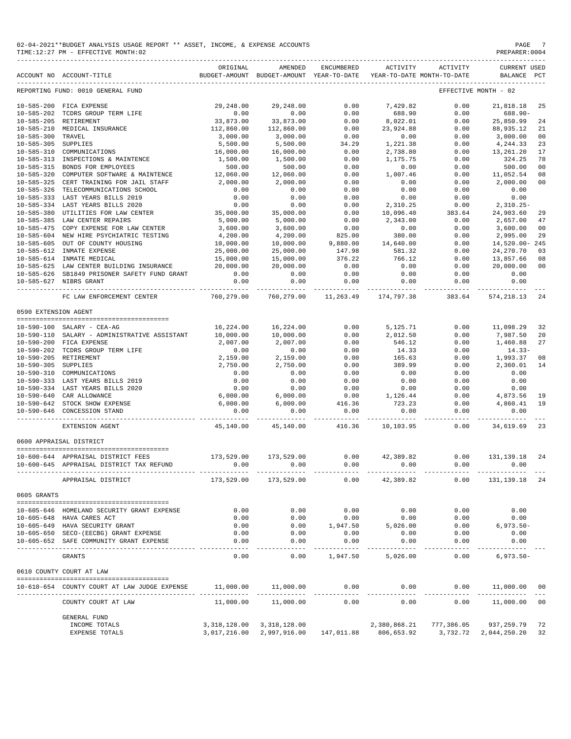| 02-04-2021**BUDGET ANALYSIS USAGE REPORT ** ASSET, INCOME, | PAGE           |
|------------------------------------------------------------|----------------|
| & EXPENSE ACCOUNTS                                         |                |
| TIME:12:27 PM - EFFECTIVE MONTH:02                         | PREPARER: 0004 |

|                                      | ACCOUNT NO ACCOUNT-TITLE                                                                     | ORIGINAL                 | AMENDED<br>BUDGET-AMOUNT BUDGET-AMOUNT YEAR-TO-DATE | ENCUMBERED                                           | ACTIVITY             | ACTIVITY<br>YEAR-TO-DATE MONTH-TO-DATE | <b>CURRENT USED</b><br>BALANCE PCT |                |
|--------------------------------------|----------------------------------------------------------------------------------------------|--------------------------|-----------------------------------------------------|------------------------------------------------------|----------------------|----------------------------------------|------------------------------------|----------------|
|                                      | REPORTING FUND: 0010 GENERAL FUND                                                            |                          |                                                     |                                                      |                      |                                        | EFFECTIVE MONTH - 02               |                |
|                                      |                                                                                              | 29,248.00                | 29,248.00                                           | 0.00                                                 | 7,429.82             | 0.00                                   | 21,818.18                          | 25             |
|                                      | 10-585-200 FICA EXPENSE<br>10-585-202 TCDRS GROUP TERM LIFE<br>10-585-205 DETIDEMENT         | 0.00                     | 0.00                                                | 0.00                                                 | 688.90               | 0.00                                   | 688.90-                            |                |
|                                      | 10-585-205 RETIREMENT                                                                        | 33,873.00                | 33,873.00                                           | 0.00                                                 | 8,022.01             | 0.00                                   | 25,850.99                          | 24             |
|                                      | 10-585-210 MEDICAL INSURANCE                                                                 | 112,860.00               | 112,860.00                                          | 0.00                                                 | 23,924.88            | 0.00                                   | 88,935.12                          | 21             |
| 10-585-300 TRAVEL                    |                                                                                              | 3,000.00                 | 3,000.00                                            | 0.00                                                 | 0.00                 | 0.00                                   | 3,000.00                           | 0 <sub>0</sub> |
| 10-585-305 SUPPLIES                  |                                                                                              | 5,500.00<br>16,000.00    | 5,500.00<br>16,000.00                               | 34.29<br>0.00                                        | 1,221.38<br>2,738.80 | 0.00<br>0.00                           | 4,244.33<br>13,261.20              | 23<br>17       |
|                                      | 10-585-310 COMMUNICATIONS<br>10-585-310 COMMUNICATIONS<br>10-585-313 INSPECTIONS & MAINTENCE | 1,500.00                 | 1,500.00                                            | 0.00                                                 | 1,175.75             | 0.00                                   | 324.25                             | 78             |
| $10 - 585 - 315$                     | BONDS FOR EMPLOYEES                                                                          | 500.00                   | 500.00                                              | 0.00                                                 | 0.00                 | 0.00                                   | 500.00                             | 00             |
| $10 - 585 - 320$                     | COMPUTER SOFTWARE & MAINTENCE                                                                | 12,060.00                | 12,060.00                                           | 0.00                                                 | 1,007.46             | 0.00                                   | 11,052.54                          | 08             |
| $10 - 585 - 325$                     | CERT TRAINING FOR JAIL STAFF                                                                 | 2,000.00                 | 2,000.00                                            | 0.00                                                 | 0.00                 | 0.00                                   | 2,000.00                           | 00             |
| $10 - 585 - 326$                     | TELECOMMUNICATIONS SCHOOL                                                                    | 0.00                     | 0.00                                                | 0.00                                                 | 0.00                 | 0.00                                   | 0.00                               |                |
| $10 - 585 - 333$                     | LAST YEARS BILLS 2019                                                                        | $0.00$<br>$0.00$         | $0.00$<br>$0.00$                                    | 0.00                                                 | 0.00                 | 0.00                                   | $0.00$<br>2,310.25-                |                |
|                                      | 10-585-334 LAST YEARS BILLS 2020                                                             |                          |                                                     | 0.00                                                 | 2,310.25             | 0.00                                   |                                    |                |
| $10 - 585 - 380$                     | UTILITIES FOR LAW CENTER 35,000.00                                                           |                          | 35,000.00                                           | $0.00$<br>$0.00$<br>$0.00$<br>$825.00$<br>$9,880.00$ | 10,096.40            | $383.64$<br>0.00                       | 24,903.60                          | 29             |
| $10 - 585 - 385$                     | LAW CENTER REPAIRS                                                                           | 5,000.00                 | 5,000.00                                            |                                                      | 2,343.00             | 0.00                                   | 2,657.00                           | 47             |
| $10 - 585 - 475$<br>$10 - 585 - 604$ | COPY EXPENSE FOR LAW CENTER<br>NEW HIRE PSYCHIATRIC TESTING                                  | 3,600.00<br>4,200.00     | 3,600.00<br>4,200.00                                |                                                      | $0.00$ $380.00$      | 0.00<br>0.00                           | 3,600.00<br>2,995.00               | 00<br>29       |
| $10 - 585 - 605$                     | OUT OF COUNTY HOUSING                                                                        | 10,000.00                | 10,000.00                                           |                                                      | 14,640.00            | 0.00                                   | 14,520.00-245                      |                |
| 10-585-612                           | INMATE EXPENSE                                                                               | 25,000.00                | 25,000.00                                           | 147.98                                               | 581.32               | 0.00                                   | 24, 270.70                         | 03             |
|                                      | 10-585-614 INMATE MEDICAL                                                                    | 15,000.00                | 15,000.00                                           | 376.22                                               | 766.12               | 0.00                                   | 13,857.66                          | 08             |
|                                      | 15,000.00<br>10-585-625 LAW CENTER BUILDING INSURANCE 20,000.00                              |                          | 20,000.00                                           | 0.00                                                 | 0.00                 | 0.00                                   | 20,000.00                          | 0 <sub>0</sub> |
|                                      | 10-585-626 SB1849 PRISONER SAFETY FUND GRANT                                                 | 0.00                     | 0.00                                                | 0.00                                                 | 0.00                 | 0.00                                   | 0.00                               |                |
|                                      | 10-585-627 NIBRS GRANT                                                                       | 0.00                     | 0.00                                                | 0.00                                                 | 0.00                 | 0.00                                   | 0.00                               |                |
|                                      | FC LAW ENFORCEMENT CENTER                                                                    | 760,279.00               | 760,279.00                                          | 11,263.49                                            | 174,797.38           | 383.64                                 | 574, 218.13                        | 24             |
| 0590 EXTENSION AGENT                 |                                                                                              |                          |                                                     |                                                      |                      |                                        |                                    |                |
|                                      |                                                                                              |                          |                                                     |                                                      |                      |                                        |                                    |                |
|                                      | 10-590-100 SALARY - CEA-AG<br>10-590-110 SALARY - ADMINISTRATIVE ASSISTANT                   | 16,224.00<br>10,000.00   | 16,224.00<br>10,000.00                              | 0.00<br>0.00                                         | 2,012.50             | 5,125.71 0.00<br>0.00                  | 11,098.29<br>7,987.50              | 32<br>20       |
|                                      | 10-590-200 FICA EXPENSE                                                                      | 2,007.00                 |                                                     | 0.00                                                 | 546.12               | 0.00                                   | 1,460.88                           | 27             |
|                                      | 10-590-202 TCDRS GROUP TERM LIFE                                                             | 0.00                     | 2,007.00<br>0.00                                    | 0.00                                                 | 14.33                | 0.00                                   | $14.33-$                           |                |
|                                      | 10-590-205 RETIREMENT                                                                        | 2,159.00                 | 2,159.00                                            | 0.00                                                 | 165.63               | 0.00                                   | 1,993.37                           | 08             |
| 10-590-305 SUPPLIES                  |                                                                                              | 2,750.00                 | 2,750.00                                            | 0.00                                                 | 389.99               | 0.00                                   | 2,360.01                           | 14             |
|                                      | 10-590-310 COMMUNICATIONS                                                                    | 0.00                     | 0.00                                                | 0.00                                                 | 0.00                 | 0.00                                   | 0.00                               |                |
|                                      | 10-590-333 LAST YEARS BILLS 2019                                                             | 0.00                     | 0.00                                                | 0.00                                                 | 0.00                 | 0.00                                   | 0.00                               |                |
|                                      | 10-590-334 LAST YEARS BILLS 2020                                                             | 0.00                     | 0.00                                                |                                                      | $0.00$<br>1,126.44   | 0.00                                   | 0.00                               |                |
|                                      | 10-590-640 CAR ALLOWANCE                                                                     |                          |                                                     |                                                      |                      | 0.00                                   |                                    | 19             |
|                                      | 10-590-642 STOCK SHOW EXPENSE                                                                | $6,000.00$<br>$6,000.00$ | $6,000.00$<br>$6,000.00$                            | $0.00$<br>0.00<br>416.36<br>0.00                     | 723.23               | 0.00                                   | $4,873.56$<br>$4,860.41$<br>$0.00$ | 19             |
|                                      | 10-590-646 CONCESSION STAND                                                                  | 0.00                     | 0.00                                                | ------------                                         | 0.00                 | 0.00<br>. <u>.</u>                     | -----------                        |                |
|                                      | EXTENSION AGENT                                                                              |                          | 45,140.00  45,140.00  416.36  10,103.95  0.00       |                                                      |                      |                                        | 34,619.69 23                       |                |
|                                      | 0600 APPRAISAL DISTRICT                                                                      |                          |                                                     |                                                      |                      |                                        |                                    |                |
|                                      | 10-600-644 APPRAISAL DISTRICT FEES                                                           |                          | 173,529.00 173,529.00                               |                                                      | $0.00$ $42,389.82$   | 0.00                                   | 131,139.18                         | 24             |
|                                      | 10-600-645 APPRAISAL DISTRICT TAX REFUND                                                     | 0.00                     | 0.00                                                | 0.00                                                 | 0.00                 | 0.00                                   | 0.00                               |                |
|                                      | APPRAISAL DISTRICT                                                                           |                          | 173,529.00 173,529.00                               | 0.00                                                 | 42,389.82            | 0.00                                   | 131, 139. 18 24                    |                |
| 0605 GRANTS                          |                                                                                              |                          |                                                     |                                                      |                      |                                        |                                    |                |
|                                      |                                                                                              |                          |                                                     |                                                      |                      |                                        |                                    |                |
|                                      | 10-605-646 HOMELAND SECURITY GRANT EXPENSE                                                   | 0.00                     | 0.00                                                | 0.00                                                 | 0.00                 | 0.00                                   | 0.00                               |                |
|                                      | 10-605-648 HAVA CARES ACT                                                                    | 0.00                     | 0.00                                                | 0.00                                                 | 0.00                 | 0.00                                   | 0.00                               |                |
|                                      | 10-605-649 HAVA SECURITY GRANT<br>10-605-650 SECO-(EECBG) GRANT EXPENSE                      | 0.00<br>0.00             | 0.00<br>0.00                                        | 1,947.50<br>0.00                                     | 5,026.00<br>0.00     | 0.00<br>0.00                           | $6,973.50-$<br>0.00                |                |
|                                      | 10-605-652 SAFE COMMUNITY GRANT EXPENSE                                                      | 0.00                     | 0.00                                                | 0.00                                                 | 0.00                 | 0.00                                   | 0.00                               |                |
|                                      | GRANTS                                                                                       | $- - - - -$<br>0.00      | -----<br>0.00                                       | ---------<br>1,947.50                                | 5,026.00             | 0.00                                   | $6,973.50-$                        |                |
|                                      | 0610 COUNTY COURT AT LAW                                                                     |                          |                                                     |                                                      |                      |                                        |                                    |                |
|                                      |                                                                                              |                          |                                                     |                                                      |                      |                                        |                                    |                |
|                                      | 10-610-654 COUNTY COURT AT LAW JUDGE EXPENSE                                                 | 11,000.00                | 11,000.00                                           | 0.00                                                 | 0.00                 | 0.00                                   | 11,000.00                          | 00             |
|                                      | COUNTY COURT AT LAW                                                                          | 11,000.00                | 11,000.00                                           | 0.00                                                 | 0.00                 | 0.00                                   | 11,000.00 00                       |                |
|                                      | <b>GENERAL FUND</b>                                                                          |                          |                                                     |                                                      |                      |                                        |                                    |                |
|                                      | INCOME TOTALS                                                                                |                          | 3, 318, 128.00 3, 318, 128.00                       |                                                      | 2,380,868.21         |                                        | 777,386.05 937,259.79              | 72             |
|                                      | EXPENSE TOTALS                                                                               |                          | 3,017,216.00 2,997,916.00 147,011.88 806,653.92     |                                                      |                      |                                        | 3,732.72 2,044,250.20              | 32             |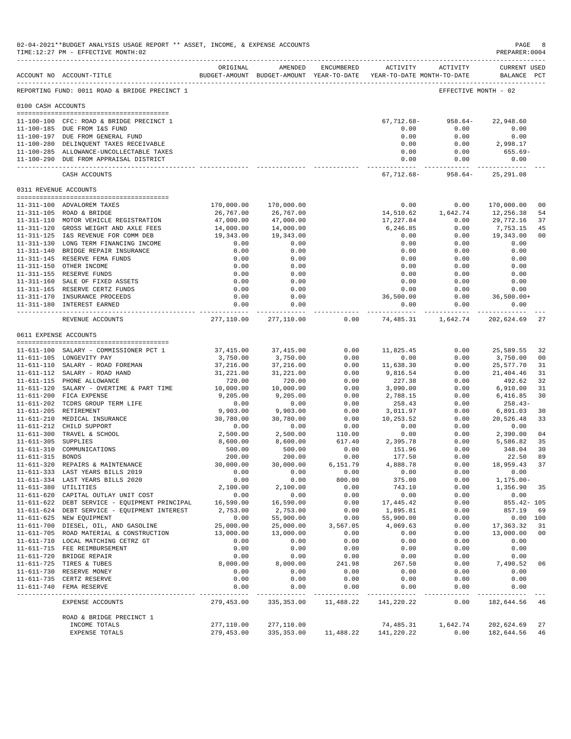|                       | 02-04-2021**BUDGET ANALYSIS USAGE REPORT ** ASSET, INCOME, & EXPENSE ACCOUNTS<br>TIME:12:27 PM - EFFECTIVE MONTH:02                                    |                                                                                 |                                       |                  |                                    |                                           | $\mathop{\mathrm{PAGE}}$<br>PREPARER: 0004 | 8        |
|-----------------------|--------------------------------------------------------------------------------------------------------------------------------------------------------|---------------------------------------------------------------------------------|---------------------------------------|------------------|------------------------------------|-------------------------------------------|--------------------------------------------|----------|
|                       | ACCOUNT NO ACCOUNT-TITLE                                                                                                                               | ORIGINAL<br>BUDGET-AMOUNT BUDGET-AMOUNT YEAR-TO-DATE YEAR-TO-DATE MONTH-TO-DATE | AMENDED                               | ENCUMBERED       | ACTIVITY                           | ACTIVITY                                  | <b>CURRENT USED</b><br>BALANCE PCT         |          |
|                       | REPORTING FUND: 0011 ROAD & BRIDGE PRECINCT 1                                                                                                          |                                                                                 |                                       |                  |                                    |                                           | EFFECTIVE MONTH - 02                       |          |
| 0100 CASH ACCOUNTS    |                                                                                                                                                        |                                                                                 |                                       |                  |                                    |                                           |                                            |          |
|                       | 11-100-100 CFC: ROAD & BRIDGE PRECINCT 1<br>11-100-185 DUE FROM I&S FUND<br>11-100-197 DUE FROM GENERAL FUND<br>11-100-280 DELINQUENT TAXES RECEIVABLE |                                                                                 |                                       |                  | 67,712.68-<br>0.00<br>0.00<br>0.00 | $958.64-$<br>0.00<br>0.00<br>0.00         | 22,948.60<br>0.00<br>0.00<br>2,998.17      |          |
|                       | 11-100-285 ALLOWANCE-UNCOLLECTABLE TAXES<br>11-100-290 DUE FROM APPRAISAL DISTRICT                                                                     |                                                                                 |                                       |                  | 0.00<br>0.00<br>------------- -    | 0.00<br>0.00<br>-----------               | 655.69-<br>0.00<br>-------------           |          |
|                       | CASH ACCOUNTS                                                                                                                                          |                                                                                 |                                       |                  |                                    | $67, 712.68 - 958.64 - 25, 291.08$        |                                            |          |
| 0311 REVENUE ACCOUNTS |                                                                                                                                                        |                                                                                 |                                       |                  |                                    |                                           |                                            |          |
|                       | 11-311-100 ADVALOREM TAXES                                                                                                                             | 170,000.00                                                                      | 170,000.00                            |                  | 0.00                               | 0.00                                      | 170,000.00                                 | 00       |
|                       | 11-311-105 ROAD & BRIDGE                                                                                                                               | 26,767.00                                                                       | 26,767.00                             |                  | 14,510.62                          | 1,642.74                                  | 12,256.38                                  | 54       |
|                       | 11-311-110 MOTOR VEHICLE REGISTRATION                                                                                                                  | 47,000.00                                                                       | 47,000.00                             |                  | 17,227.84                          | 0.00                                      | 29,772.16                                  | 37       |
|                       | 11-311-120 GROSS WEIGHT AND AXLE FEES                                                                                                                  | 14,000.00                                                                       | 14,000.00                             |                  | 6,246.85                           | 0.00                                      | 7,753.15                                   | 45       |
|                       | 11-311-125 I&S REVENUE FOR COMM DEB<br>11-311-130 LONG TERM FINANCING INCOME                                                                           | 19,343.00<br>0.00                                                               | 19,343.00<br>0.00                     |                  | 0.00<br>0.00                       | 0.00<br>0.00                              | 19,343.00<br>0.00                          | 00       |
|                       | 11-311-140 BRIDGE REPAIR INSURANCE                                                                                                                     | 0.00                                                                            | 0.00                                  |                  | 0.00                               | 0.00                                      | 0.00                                       |          |
|                       | 11-311-145 RESERVE FEMA FUNDS                                                                                                                          | 0.00                                                                            | 0.00                                  |                  | 0.00                               | 0.00                                      | 0.00                                       |          |
|                       | 11-311-150 OTHER INCOME                                                                                                                                | 0.00                                                                            | 0.00                                  |                  | 0.00                               | 0.00                                      | 0.00                                       |          |
|                       | 11-311-155 RESERVE FUNDS                                                                                                                               | 0.00                                                                            | 0.00                                  |                  | 0.00                               | 0.00                                      | 0.00                                       |          |
|                       | 11-311-160 SALE OF FIXED ASSETS                                                                                                                        | 0.00                                                                            | 0.00                                  |                  | 0.00                               | 0.00                                      | 0.00                                       |          |
|                       | 11-311-165 RESERVE CERTZ FUNDS                                                                                                                         | 0.00                                                                            | 0.00                                  |                  | 0.00<br>36,500.00                  | 0.00                                      | 0.00                                       |          |
|                       | 11-311-170 INSURANCE PROCEEDS<br>11-311-180 INTEREST EARNED                                                                                            | 0.00<br>0.00                                                                    | 0.00<br>0.00                          |                  | 0.00                               | 0.00<br>0.00                              | $36,500.00+$<br>0.00                       |          |
|                       | REVENUE ACCOUNTS                                                                                                                                       | ------------- -                                                                 | ------------<br>277,110.00 277,110.00 | 0.00             |                                    | 74,485.31    1,642.74    202,624.69    27 |                                            |          |
| 0611 EXPENSE ACCOUNTS |                                                                                                                                                        |                                                                                 |                                       |                  |                                    |                                           |                                            |          |
|                       |                                                                                                                                                        |                                                                                 |                                       |                  |                                    |                                           |                                            |          |
|                       | 11-611-100 SALARY - COMMISSIONER PCT 1                                                                                                                 | 37,415.00                                                                       | 37, 415.00                            | 0.00             | 11,825.45                          | 0.00                                      | 25,589.55                                  | 32       |
|                       | 11-611-105 LONGEVITY PAY                                                                                                                               | 3,750.00                                                                        | 3,750.00                              | 0.00             | 0.00                               | 0.00                                      | 3,750.00                                   | 00       |
|                       | 11-611-110 SALARY - ROAD FOREMAN<br>11-611-112 SALARY - ROAD HAND                                                                                      | 37,216.00<br>31,221.00                                                          | 37,216.00<br>31,221.00                | 0.00<br>0.00     | 11,638.30<br>9,816.54              | 0.00<br>0.00                              | 25,577.70<br>21,404.46                     | 31<br>31 |
|                       | 11-611-115 PHONE ALLOWANCE                                                                                                                             | 720.00                                                                          | 720.00                                | 0.00             | 227.38                             | 0.00                                      | 492.62                                     | 32       |
|                       | 11-611-120 SALARY - OVERTIME & PART TIME                                                                                                               | 10,000.00                                                                       | 10,000.00                             | 0.00             | 3,090.00                           | 0.00                                      | 6,910.00                                   | 31       |
|                       | 11-611-200 FICA EXPENSE                                                                                                                                | 9,205.00                                                                        | 9,205.00                              | 0.00             | 2,788.15                           | 0.00                                      | 6,416.85                                   | 30       |
|                       | 11-611-202 TCDRS GROUP TERM LIFE                                                                                                                       | 0.00                                                                            | 0.00                                  | 0.00             | 258.43                             | 0.00                                      | $258.43-$                                  |          |
|                       | 11-611-205 RETIREMENT                                                                                                                                  | 9,903.00                                                                        | 9,903.00                              | 0.00             | 3,011.97                           | 0.00                                      | 6,891.03                                   | 30       |
|                       | 11-611-210 MEDICAL INSURANCE<br>11-611-212 CHILD SUPPORT                                                                                               | 30,780.00<br>0.00                                                               | 30,780.00<br>0.00                     | 0.00<br>0.00     | 10,253.52<br>0.00                  | 0.00<br>0.00                              | 20,526.48<br>0.00                          | 33       |
|                       | 11-611-300 TRAVEL & SCHOOL                                                                                                                             | 2,500.00                                                                        | 2,500.00                              | 110.00           | 0.00                               | 0.00                                      | 2,390.00                                   | 04       |
| 11-611-305 SUPPLIES   |                                                                                                                                                        | 8,600.00                                                                        | 8,600.00                              | 617.40           | 2,395.78                           | 0.00                                      | 5,586.82                                   | 35       |
|                       | 11-611-310 COMMUNICATIONS                                                                                                                              | 500.00                                                                          | 500.00                                | 0.00             | 151.96                             | 0.00                                      | 348.04                                     | 30       |
| 11-611-315 BONDS      |                                                                                                                                                        | 200.00                                                                          | 200.00                                | 0.00             | 177.50                             | 0.00                                      | 22.50                                      | 89       |
|                       | 11-611-320 REPAIRS & MAINTENANCE                                                                                                                       | 30,000.00                                                                       | 30,000.00                             | 6,151.79         | 4,888.78                           | 0.00                                      | 18,959.43 37                               |          |
|                       | 11-611-333 LAST YEARS BILLS 2019<br>11-611-334 LAST YEARS BILLS 2020                                                                                   | 0.00<br>0.00                                                                    | 0.00<br>0.00                          | 0.00<br>800.00   | 0.00<br>375.00                     | 0.00<br>0.00                              | 0.00<br>$1, 175.00 -$                      |          |
| 11-611-380 UTILITIES  |                                                                                                                                                        | 2,100.00                                                                        | 2,100.00                              | 0.00             | 743.10                             | 0.00                                      | 1,356.90 35                                |          |
|                       | 11-611-620 CAPITAL OUTLAY UNIT COST                                                                                                                    | 0.00                                                                            | 0.00                                  | 0.00             | 0.00                               | 0.00                                      | 0.00                                       |          |
|                       | 11-611-622 DEBT SERVICE - EQUIPMENT PRINCIPAL                                                                                                          | 16,590.00                                                                       | 16,590.00                             | 0.00             | 17,445.42                          | 0.00                                      | 855.42- 105                                |          |
|                       | 11-611-624 DEBT SERVICE - EQUIPMENT INTEREST                                                                                                           | 2,753.00                                                                        | 2,753.00                              | 0.00             | 1,895.81                           | 0.00                                      | 857.19                                     | 69       |
|                       | 11-611-625 NEW EQUIPMENT                                                                                                                               | 0.00                                                                            | 55,900.00                             | 0.00             | 55,900.00                          | 0.00                                      |                                            | 0.00 100 |
|                       | 11-611-700 DIESEL, OIL, AND GASOLINE<br>11-611-705 ROAD MATERIAL & CONSTRUCTION                                                                        | 25,000.00<br>13,000.00                                                          | 25,000.00<br>13,000.00                | 3,567.05<br>0.00 | 4,069.63<br>0.00                   | 0.00<br>0.00                              | 17,363.32<br>13,000.00                     | 31<br>00 |
|                       | 11-611-710 LOCAL MATCHING CETRZ GT                                                                                                                     | 0.00                                                                            | 0.00                                  | 0.00             | 0.00                               | 0.00                                      | 0.00                                       |          |
|                       | 11-611-715 FEE REIMBURSEMENT                                                                                                                           | 0.00                                                                            | 0.00                                  | 0.00             | 0.00                               | 0.00                                      | 0.00                                       |          |
|                       | 11-611-720 BRIDGE REPAIR                                                                                                                               | 0.00                                                                            | 0.00                                  | 0.00             | 0.00                               | 0.00                                      | 0.00                                       |          |
|                       | 11-611-725 TIRES & TUBES                                                                                                                               | 8,000.00                                                                        | 8,000.00                              | 241.98           | 267.50                             | 0.00                                      | 7,490.52                                   | 06       |
|                       | 11-611-730 RESERVE MONEY                                                                                                                               | 0.00                                                                            | 0.00                                  | 0.00             | 0.00                               | 0.00                                      | 0.00                                       |          |
|                       | 11-611-735 CERTZ RESERVE<br>11-611-740 FEMA RESERVE                                                                                                    | 0.00<br>0.00                                                                    | 0.00<br>0.00                          | 0.00<br>0.00     | 0.00<br>0.00                       | 0.00<br>0.00                              | 0.00<br>0.00                               |          |
|                       |                                                                                                                                                        |                                                                                 | ------------                          | ------------     | -------------                      | -----------                               | ----------                                 |          |
|                       | EXPENSE ACCOUNTS                                                                                                                                       | 279,453.00                                                                      | 335, 353.00                           | 11,488.22        | 141,220.22                         | 0.00                                      | 182,644.56                                 | 46       |
|                       | ROAD & BRIDGE PRECINCT 1                                                                                                                               |                                                                                 |                                       |                  |                                    |                                           |                                            |          |
|                       | INCOME TOTALS                                                                                                                                          | 277,110.00                                                                      | 277,110.00                            |                  | 74,485.31                          | 1,642.74                                  | 202,624.69                                 | 27       |
|                       | EXPENSE TOTALS                                                                                                                                         | 279,453.00                                                                      | 335, 353.00                           | 11,488.22        | 141,220.22                         | 0.00                                      | 182,644.56                                 | 46       |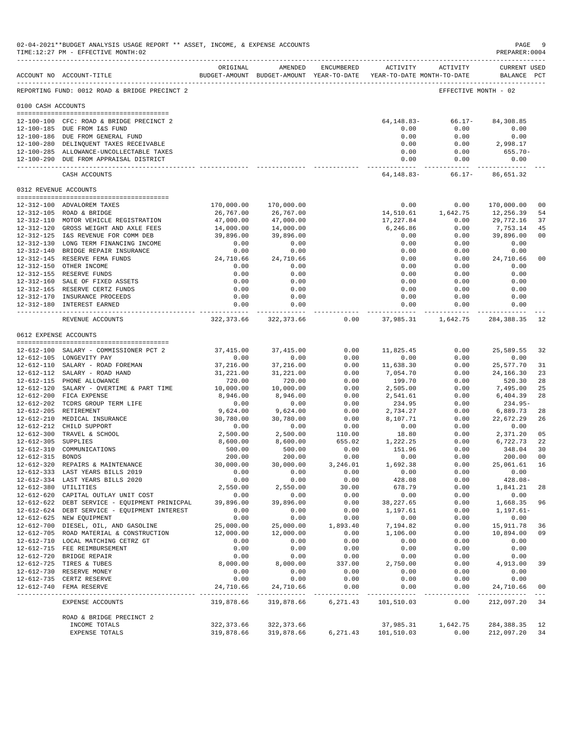| 02-04-2021**BUDGET ANALYSIS USAGE REPORT ** ASSET, INCOME, & EXPENSE ACCOUNTS<br>TIME:12:27 PM - EFFECTIVE MONTH:02 |                                                                                    |                                                                                 |                         |                  |                                |                        |                                    | - 9<br>$\mathop{\mathtt{PAGE}}$<br>PREPARER: 0004 |
|---------------------------------------------------------------------------------------------------------------------|------------------------------------------------------------------------------------|---------------------------------------------------------------------------------|-------------------------|------------------|--------------------------------|------------------------|------------------------------------|---------------------------------------------------|
|                                                                                                                     | ACCOUNT NO ACCOUNT-TITLE                                                           | ORIGINAL<br>BUDGET-AMOUNT BUDGET-AMOUNT YEAR-TO-DATE YEAR-TO-DATE MONTH-TO-DATE | AMENDED                 | ENCUMBERED       |                                | ACTIVITY ACTIVITY      | <b>CURRENT USED</b><br>BALANCE PCT |                                                   |
|                                                                                                                     | REPORTING FUND: 0012 ROAD & BRIDGE PRECINCT 2                                      |                                                                                 |                         |                  |                                |                        | EFFECTIVE MONTH - 02               |                                                   |
| 0100 CASH ACCOUNTS                                                                                                  |                                                                                    |                                                                                 |                         |                  |                                |                        |                                    |                                                   |
|                                                                                                                     | 12-100-100 CFC: ROAD & BRIDGE PRECINCT 2                                           |                                                                                 |                         |                  | 64,148.83-                     | 66.17-                 | 84,308.85                          |                                                   |
|                                                                                                                     | 12-100-185 DUE FROM I&S FUND                                                       |                                                                                 |                         |                  | 0.00                           | 0.00                   | 0.00                               |                                                   |
|                                                                                                                     | 12-100-186 DUE FROM GENERAL FUND                                                   |                                                                                 |                         |                  | 0.00                           | 0.00                   | 0.00                               |                                                   |
|                                                                                                                     | 12-100-280 DELINQUENT TAXES RECEIVABLE                                             |                                                                                 |                         |                  | 0.00                           | 0.00                   | 2,998.17                           |                                                   |
|                                                                                                                     | 12-100-285 ALLOWANCE-UNCOLLECTABLE TAXES<br>12-100-290 DUE FROM APPRAISAL DISTRICT |                                                                                 |                         |                  | 0.00<br>0.00                   | 0.00<br>0.00           | 655.70-<br>0.00                    |                                                   |
|                                                                                                                     | CASH ACCOUNTS                                                                      |                                                                                 |                         |                  | ---------------<br>64, 148.83- | ------------<br>66.17- | ------------<br>86,651.32          |                                                   |
|                                                                                                                     | 0312 REVENUE ACCOUNTS                                                              |                                                                                 |                         |                  |                                |                        |                                    |                                                   |
|                                                                                                                     |                                                                                    |                                                                                 |                         |                  | 0.00                           | 0.00                   |                                    | 0 <sub>0</sub>                                    |
|                                                                                                                     | 12-312-100 ADVALOREM TAXES<br>12-312-105 ROAD & BRIDGE                             | 170,000.00<br>26,767.00                                                         | 170,000.00<br>26,767.00 |                  | 14,510.61                      | 1,642.75               | 170,000.00<br>12,256.39            | 54                                                |
|                                                                                                                     | 12-312-110 MOTOR VEHICLE REGISTRATION                                              | 47,000.00                                                                       | 47,000.00               |                  | 17,227.84                      | 0.00                   | 29,772.16                          | 37                                                |
|                                                                                                                     | 12-312-120 GROSS WEIGHT AND AXLE FEES                                              | 14,000.00                                                                       | 14,000.00               |                  | 6,246.86                       | 0.00                   | 7,753.14                           | 45                                                |
|                                                                                                                     | 12-312-125 I&S REVENUE FOR COMM DEB                                                | 39,896.00                                                                       | 39,896.00               |                  | 0.00                           | 0.00                   | 39,896.00                          | 0 <sub>0</sub>                                    |
|                                                                                                                     | 12-312-130 LONG TERM FINANCING INCOME                                              | 0.00                                                                            | 0.00                    |                  | 0.00                           | 0.00                   | 0.00                               |                                                   |
|                                                                                                                     | 12-312-140 BRIDGE REPAIR INSURANCE                                                 | 0.00                                                                            | 0.00                    |                  | 0.00                           | 0.00                   | 0.00                               |                                                   |
|                                                                                                                     | 12-312-145 RESERVE FEMA FUNDS<br>12-312-150 OTHER INCOME                           | 24,710.66<br>0.00                                                               | 24,710.66<br>0.00       |                  | 0.00<br>0.00                   | 0.00<br>0.00           | 24,710.66<br>0.00                  | 0 <sub>0</sub>                                    |
|                                                                                                                     | 12-312-155 RESERVE FUNDS                                                           | 0.00                                                                            | 0.00                    |                  | 0.00                           | 0.00                   | 0.00                               |                                                   |
|                                                                                                                     | 12-312-160 SALE OF FIXED ASSETS                                                    | 0.00                                                                            | 0.00                    |                  | 0.00                           | 0.00                   | 0.00                               |                                                   |
|                                                                                                                     | 12-312-165 RESERVE CERTZ FUNDS                                                     | 0.00                                                                            | 0.00                    |                  | 0.00                           | 0.00                   | 0.00                               |                                                   |
|                                                                                                                     | 12-312-170 INSURANCE PROCEEDS<br>12-312-180 INTEREST EARNED                        | 0.00<br>0.00                                                                    | 0.00                    |                  | 0.00                           | 0.00<br>0.00           | 0.00<br>0.00                       |                                                   |
|                                                                                                                     |                                                                                    | -------------                                                                   | 0.00<br>. <u>.</u> .    |                  | 0.00<br>------------           | ----------             |                                    |                                                   |
|                                                                                                                     | REVENUE ACCOUNTS                                                                   | 322,373.66                                                                      | 322,373.66              | 0.00             | 37,985.31                      | 1,642.75               | 284,388.35                         | -12                                               |
|                                                                                                                     | 0612 EXPENSE ACCOUNTS                                                              |                                                                                 |                         |                  |                                |                        |                                    |                                                   |
|                                                                                                                     | 12-612-100 SALARY - COMMISSIONER PCT 2                                             | 37,415.00                                                                       | 37, 415.00              | 0.00             | 11,825.45                      | 0.00                   | 25,589.55                          | 32                                                |
|                                                                                                                     | 12-612-105 LONGEVITY PAY                                                           | 0.00                                                                            | 0.00                    | 0.00             | 0.00                           | 0.00                   | 0.00                               |                                                   |
|                                                                                                                     | 12-612-110 SALARY - ROAD FOREMAN                                                   | 37,216.00                                                                       | 37,216.00               | 0.00             | 11,638.30                      | 0.00                   | 25,577.70                          | 31                                                |
|                                                                                                                     | 12-612-112 SALARY - ROAD HAND                                                      | 31,221.00                                                                       | 31,221.00               | 0.00             | 7,054.70                       | 0.00                   | 24, 166. 30                        | 23                                                |
|                                                                                                                     | 12-612-115 PHONE ALLOWANCE                                                         | 720.00                                                                          | 720.00                  | 0.00             | 199.70                         | 0.00                   | 520.30                             | 28                                                |
|                                                                                                                     | 12-612-120 SALARY - OVERTIME & PART TIME                                           | 10,000.00                                                                       | 10,000.00               | 0.00             | 2,505.00                       | 0.00                   | 7,495.00                           | 25                                                |
|                                                                                                                     | 12-612-200 FICA EXPENSE<br>12-612-202 TCDRS GROUP TERM LIFE                        | 8,946.00<br>0.00                                                                | 8,946.00<br>0.00        | 0.00<br>0.00     | 2,541.61<br>234.95             | 0.00<br>0.00           | 6,404.39<br>$234.95-$              | 28                                                |
|                                                                                                                     | 12-612-205 RETIREMENT                                                              | 9,624.00                                                                        | 9,624.00                | 0.00             | 2,734.27                       | 0.00                   | 6,889.73                           | 28                                                |
|                                                                                                                     | 12-612-210 MEDICAL INSURANCE                                                       | 30,780.00                                                                       | 30,780.00               | 0.00             | 8,107.71                       | 0.00                   | 22,672.29                          | 26                                                |
|                                                                                                                     | 12-612-212 CHILD SUPPORT                                                           | 0.00                                                                            | 0.00                    | 0.00             | 0.00                           | 0.00                   | 0.00                               |                                                   |
|                                                                                                                     | 12-612-300 TRAVEL & SCHOOL                                                         | 2,500.00                                                                        | 2,500.00                | 110.00           | 18.80                          | 0.00                   | 2,371.20                           | 05                                                |
| 12-612-305 SUPPLIES                                                                                                 |                                                                                    | 8,600.00                                                                        | 8,600.00                | 655.02           | 1,222.25                       | 0.00                   | 6,722.73                           | 22                                                |
| 12-612-315 BONDS                                                                                                    | 12-612-310 COMMUNICATIONS                                                          | 500.00<br>200.00                                                                | 500.00<br>200.00        | 0.00             | 151.96<br>0.00                 | 0.00<br>0.00           | 348.04<br>200.00                   | 30<br>0 <sub>0</sub>                              |
|                                                                                                                     | 12-612-320 REPAIRS & MAINTENANCE                                                   | 30,000.00                                                                       | 30,000.00               | 0.00<br>3,246.01 | 1,692.38                       | 0.00                   | 25,061.61 16                       |                                                   |
|                                                                                                                     | 12-612-333 LAST YEARS BILLS 2019                                                   | 0.00                                                                            | 0.00                    | 0.00             | 0.00                           | 0.00                   | 0.00                               |                                                   |
|                                                                                                                     | 12-612-334 LAST YEARS BILLS 2020                                                   | 0.00                                                                            | 0.00                    | 0.00             | 428.08                         | 0.00                   | $428.08 -$                         |                                                   |
|                                                                                                                     | 12-612-380 UTILITIES                                                               | 2,550.00                                                                        | 2,550.00                | 30.00            | 678.79                         | 0.00                   | 1,841.21                           | 28                                                |
|                                                                                                                     | 12-612-620 CAPITAL OUTLAY UNIT COST                                                | 0.00                                                                            | 0.00                    | 0.00             | 0.00                           | 0.00                   | 0.00                               |                                                   |
|                                                                                                                     | 12-612-622 DEBT SERVICE - EQUIPMENT PRINICPAL                                      | 39,896.00                                                                       | 39,896.00               | 0.00             | 38, 227.65                     | 0.00                   | 1,668.35                           | 96                                                |
|                                                                                                                     | 12-612-624 DEBT SERVICE - EQUIPMENT INTEREST<br>12-612-625 NEW EQUIPMENT           | 0.00<br>0.00                                                                    | 0.00<br>0.00            | 0.00<br>0.00     | 1,197.61<br>0.00               | 0.00<br>0.00           | $1, 197.61 -$<br>0.00              |                                                   |
|                                                                                                                     | 12-612-700 DIESEL, OIL, AND GASOLINE                                               | 25,000.00                                                                       | 25,000.00               | 1,893.40         | 7,194.82                       | 0.00                   | 15,911.78                          | 36                                                |
|                                                                                                                     | 12-612-705 ROAD MATERIAL & CONSTRUCTION                                            | 12,000.00                                                                       | 12,000.00               | 0.00             | 1,106.00                       | 0.00                   | 10,894.00                          | 09                                                |
|                                                                                                                     | 12-612-710 LOCAL MATCHING CETRZ GT                                                 | 0.00                                                                            | 0.00                    | 0.00             | 0.00                           | 0.00                   | 0.00                               |                                                   |
|                                                                                                                     | 12-612-715 FEE REIMBURSEMENT                                                       | 0.00                                                                            | 0.00                    | 0.00             | 0.00                           | 0.00                   | 0.00                               |                                                   |
|                                                                                                                     | 12-612-720 BRIDGE REPAIR                                                           | 0.00                                                                            | 0.00                    | 0.00             | 0.00                           | 0.00                   | 0.00                               |                                                   |
|                                                                                                                     | 12-612-725 TIRES & TUBES                                                           | 8,000.00                                                                        | 8,000.00                | 337.00           | 2,750.00                       | 0.00                   | 4,913.00                           | 39                                                |
|                                                                                                                     | 12-612-730 RESERVE MONEY<br>12-612-735 CERTZ RESERVE                               | 0.00<br>0.00                                                                    | 0.00<br>0.00            | 0.00<br>0.00     | 0.00<br>0.00                   | 0.00<br>0.00           | 0.00<br>0.00                       |                                                   |
|                                                                                                                     | 12-612-740 FEMA RESERVE                                                            | 24,710.66                                                                       | 24,710.66               | 0.00             | 0.00                           | 0.00                   | 24,710.66                          | 0 <sub>0</sub>                                    |
|                                                                                                                     | EXPENSE ACCOUNTS                                                                   | 319,878.66                                                                      | 319,878.66              | 6,271.43         | . <u>.</u> .<br>101,510.03     | -----------<br>0.00    | --------------<br>212,097.20       | $- - -$<br>34                                     |
|                                                                                                                     | ROAD & BRIDGE PRECINCT 2                                                           |                                                                                 |                         |                  |                                |                        |                                    |                                                   |
|                                                                                                                     | INCOME TOTALS                                                                      | 322, 373.66                                                                     | 322,373.66              |                  | 37,985.31                      | 1,642.75               | 284,388.35                         | 12                                                |
|                                                                                                                     | EXPENSE TOTALS                                                                     | 319,878.66                                                                      | 319,878.66              | 6,271.43         | 101,510.03                     | 0.00                   | 212,097.20                         | 34                                                |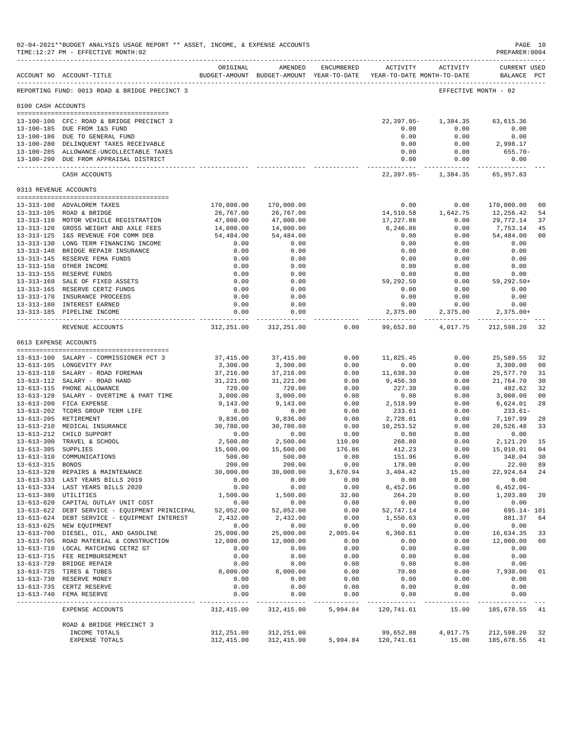|                     | 02-04-2021**BUDGET ANALYSIS USAGE REPORT ** ASSET, INCOME, & EXPENSE ACCOUNTS<br>TIME:12:27 PM - EFFECTIVE MONTH:02 |                       |                                                                                |                  |                       |                                 | PAGE 10<br>PREPARER: 0004          |          |
|---------------------|---------------------------------------------------------------------------------------------------------------------|-----------------------|--------------------------------------------------------------------------------|------------------|-----------------------|---------------------------------|------------------------------------|----------|
|                     | ACCOUNT NO ACCOUNT-TITLE                                                                                            | ORIGINAL              | AMENDED<br>BUDGET-AMOUNT BUDGET-AMOUNT YEAR-TO-DATE YEAR-TO-DATE MONTH-TO-DATE | ENCUMBERED       |                       | ACTIVITY ACTIVITY               | <b>CURRENT USED</b><br>BALANCE PCT |          |
|                     | REPORTING FUND: 0013 ROAD & BRIDGE PRECINCT 3                                                                       |                       |                                                                                |                  |                       |                                 | EFFECTIVE MONTH - 02               |          |
| 0100 CASH ACCOUNTS  |                                                                                                                     |                       |                                                                                |                  |                       |                                 |                                    |          |
|                     | 13-100-100 CFC: ROAD & BRIDGE PRECINCT 3                                                                            |                       |                                                                                |                  | $22,397.05-$          | 1,384.35                        | 63,615.36                          |          |
|                     | 13-100-185 DUE FROM I&S FUND                                                                                        |                       |                                                                                |                  | 0.00                  | 0.00                            | 0.00                               |          |
|                     | 13-100-186 DUE TO GENERAL FUND<br>13-100-280 DELINQUENT TAXES RECEIVABLE                                            |                       |                                                                                |                  | 0.00<br>0.00          | 0.00<br>0.00                    | 0.00<br>2,998.17                   |          |
|                     | 13-100-285 ALLOWANCE-UNCOLLECTABLE TAXES                                                                            |                       |                                                                                |                  | 0.00                  | 0.00                            | $655.70 -$                         |          |
|                     | 13-100-290 DUE FROM APPRAISAL DISTRICT                                                                              |                       |                                                                                |                  | 0.00                  | 0.00                            | 0.00                               |          |
|                     | CASH ACCOUNTS                                                                                                       |                       |                                                                                |                  |                       | 22, 397.05-1, 384.35 65, 957.83 |                                    |          |
|                     | 0313 REVENUE ACCOUNTS                                                                                               |                       |                                                                                |                  |                       |                                 |                                    |          |
|                     | 13-313-100 ADVALOREM TAXES                                                                                          | 170,000.00            | 170,000.00                                                                     |                  | 0.00                  | 0.00                            | 170,000.00                         | 00       |
|                     | 13-313-105 ROAD & BRIDGE                                                                                            | 26,767.00             | 26,767.00                                                                      |                  | 14,510.58             | 1,642.75                        | 12,256.42                          | 54       |
|                     | 13-313-110 MOTOR VEHICLE REGISTRATION                                                                               | 47,000.00             | 47,000.00                                                                      |                  | 17,227.86             | 0.00                            | 29,772.14                          | 37       |
|                     | 13-313-120 GROSS WEIGHT AND AXLE FEES                                                                               | 14,000.00             | 14,000.00                                                                      |                  | 6,246.86              | 0.00                            | 7,753.14                           | 45       |
|                     | 13-313-125 I&S REVENUE FOR COMM DEB<br>13-313-130 LONG TERM FINANCING INCOME                                        | 54,484.00             | 54,484.00                                                                      |                  | 0.00                  | 0.00                            | 54,484.00                          | 00       |
|                     | 13-313-140 BRIDGE REPAIR INSURANCE                                                                                  | 0.00<br>0.00          | 0.00<br>0.00                                                                   |                  | 0.00<br>0.00          | 0.00<br>0.00                    | 0.00<br>0.00                       |          |
|                     | 13-313-145 RESERVE FEMA FUNDS                                                                                       | 0.00                  | 0.00                                                                           |                  | 0.00                  | 0.00                            | 0.00                               |          |
|                     | 13-313-150 OTHER INCOME                                                                                             | 0.00                  | 0.00                                                                           |                  | 0.00                  | 0.00                            | 0.00                               |          |
|                     | 13-313-155 RESERVE FUNDS                                                                                            | 0.00                  | 0.00                                                                           |                  | 0.00                  | 0.00                            | 0.00                               |          |
|                     | 13-313-160 SALE OF FIXED ASSETS                                                                                     | 0.00                  | 0.00                                                                           |                  | 59,292.50             | 0.00                            | 59,292.50+                         |          |
|                     | 13-313-165 RESERVE CERTZ FUNDS<br>13-313-170 INSURANCE PROCEEDS                                                     | 0.00<br>0.00          | 0.00<br>0.00                                                                   |                  | 0.00<br>0.00          | 0.00<br>0.00                    | 0.00<br>0.00                       |          |
|                     | 13-313-180 INTEREST EARNED                                                                                          | 0.00                  | 0.00                                                                           |                  | 0.00                  | 0.00                            | 0.00                               |          |
|                     | 13-313-185 PIPELINE INCOME                                                                                          | 0.00                  | 0.00                                                                           |                  | 2,375.00              | 2,375.00                        | $2,375.00+$                        |          |
|                     | REVENUE ACCOUNTS                                                                                                    |                       | 312, 251.00 312, 251.00                                                        | 0.00             | 99,652.80             |                                 | 4,017.75 212,598.20                | 32       |
|                     | 0613 EXPENSE ACCOUNTS                                                                                               |                       |                                                                                |                  |                       |                                 |                                    |          |
|                     |                                                                                                                     |                       |                                                                                |                  |                       |                                 |                                    |          |
|                     | 13-613-100 SALARY - COMMISSIONER PCT 3                                                                              | 37,415.00             | 37,415.00                                                                      | 0.00             | 11,825.45             | 0.00                            | 25,589.55                          | 32       |
|                     | 13-613-105 LONGEVITY PAY<br>13-613-110 SALARY - ROAD FOREMAN                                                        | 3,300.00<br>37,216.00 | 3,300.00<br>37,216.00                                                          | 0.00<br>0.00     | 0.00<br>11,638.30     | 0.00<br>0.00                    | 3,300.00<br>25,577.70              | 00<br>31 |
|                     | 13-613-112 SALARY - ROAD HAND                                                                                       | 31,221.00             | 31,221.00                                                                      | 0.00             | 9,456.30              | 0.00                            | 21,764.70                          | 30       |
|                     | 13-613-115 PHONE ALLOWANCE                                                                                          | 720.00                | 720.00                                                                         | 0.00             | 227.38                | 0.00                            | 492.62                             | 32       |
|                     | 13-613-120 SALARY - OVERTIME & PART TIME                                                                            | 3,000.00              | 3,000.00                                                                       | 0.00             | 0.00                  | 0.00                            | 3,000.00                           | 00       |
|                     | 13-613-200 FICA EXPENSE                                                                                             | 9,143.00              | 9,143.00                                                                       | 0.00             | 2,518.99              | 0.00                            | 6,624.01                           | 28       |
|                     | 13-613-202 TCDRS GROUP TERM LIFE<br>13-613-205 RETIREMENT                                                           | 0.00<br>9,836.00      | 0.00<br>9,836.00                                                               | 0.00<br>0.00     | 233.61<br>2,728.01    | 0.00<br>0.00                    | $233.61-$<br>7,107.99              | 28       |
|                     | 13-613-210 MEDICAL INSURANCE                                                                                        | 30,780.00             | 30,780.00                                                                      | 0.00             | 10,253.52             | 0.00                            | 20,526.48                          | 33       |
|                     | 13-613-212 CHILD SUPPORT                                                                                            | 0.00                  | 0.00                                                                           | 0.00             | 0.00                  | 0.00                            | 0.00                               |          |
|                     | 13-613-300 TRAVEL & SCHOOL                                                                                          | 2,500.00              | 2,500.00                                                                       | 110.00           | 268.80                | 0.00                            | 2,121.20                           | 15       |
| 13-613-305 SUPPLIES |                                                                                                                     | 15,600.00             | 15,600.00                                                                      | 176.86           | 412.23                | 0.00                            | 15,010.91                          | 04       |
| 13-613-315 BONDS    | 13-613-310 COMMUNICATIONS                                                                                           | 500.00<br>200.00      | 500.00<br>200.00                                                               | 0.00             | 151.96<br>178.00      | 0.00                            | 348.04                             | 30<br>89 |
|                     | 13-613-320 REPAIRS & MAINTENANCE                                                                                    | 30,000.00             | 30,000.00                                                                      | 0.00<br>3,670.94 | 3,404.42              | 0.00<br>15.00                   | 22.00<br>22,924.64                 | 24       |
|                     | 13-613-333 LAST YEARS BILLS 2019                                                                                    | 0.00                  | 0.00                                                                           | 0.00             | 0.00                  | 0.00                            | 0.00                               |          |
|                     | 13-613-334 LAST YEARS BILLS 2020                                                                                    | 0.00                  | 0.00                                                                           | 0.00             | 6,452.06              | 0.00                            | $6,452.06-$                        |          |
|                     | 13-613-380 UTILITIES                                                                                                | 1,500.00              | 1,500.00                                                                       | 32.00            | 264.20                | 0.00                            | 1,203.80                           | 20       |
|                     | 13-613-620 CAPITAL OUTLAY UNIT COST                                                                                 | 0.00                  | 0.00                                                                           | 0.00             | 0.00                  | 0.00                            | 0.00                               |          |
|                     | 13-613-622 DEBT SERVICE - EQUIPMENT PRINICIPAL<br>13-613-624 DEBT SERVICE - EQUIPMENT INTEREST                      | 52,052.00<br>2,432.00 | 52,052.00<br>2,432.00                                                          | 0.00<br>0.00     | 52,747.14<br>1,550.63 | 0.00<br>0.00                    | 695.14- 101<br>881.37              | 64       |
|                     | 13-613-625 NEW EQUIPMENT                                                                                            | 0.00                  | 0.00                                                                           | 0.00             | 0.00                  | 0.00                            | 0.00                               |          |
|                     | 13-613-700 DIESEL, OIL, AND GASOLINE                                                                                | 25,000.00             | 25,000.00                                                                      | 2,005.04         | 6,360.61              | 0.00                            | 16,634.35                          | 33       |
|                     | 13-613-705 ROAD MATERIAL & CONSTRUCTION                                                                             | 12,000.00             | 12,000.00                                                                      | 0.00             | 0.00                  | 0.00                            | 12,000.00                          | 00       |
|                     | 13-613-710 LOCAL MATCHING CETRZ GT                                                                                  | 0.00                  | 0.00                                                                           | 0.00             | 0.00                  | 0.00                            | 0.00                               |          |
|                     | 13-613-715 FEE REIMBURSEMENT<br>13-613-720 BRIDGE REPAIR                                                            | 0.00                  | 0.00                                                                           | 0.00<br>0.00     | 0.00<br>0.00          | 0.00<br>0.00                    | 0.00                               |          |
|                     | 13-613-725 TIRES & TUBES                                                                                            | 0.00<br>8,000.00      | 0.00<br>8,000.00                                                               | 0.00             | 70.00                 | 0.00                            | 0.00<br>7,930.00                   | 01       |
|                     | 13-613-730 RESERVE MONEY                                                                                            | 0.00                  | 0.00                                                                           | 0.00             | 0.00                  | 0.00                            | 0.00                               |          |
|                     | 13-613-735 CERTZ RESERVE                                                                                            | 0.00                  | 0.00                                                                           | 0.00             | 0.00                  | 0.00                            | 0.00                               |          |
|                     | 13-613-740 FEMA RESERVE                                                                                             | 0.00                  | 0.00                                                                           | 0.00             | 0.00                  | 0.00                            | 0.00                               |          |
|                     | EXPENSE ACCOUNTS                                                                                                    | 312,415.00            | 312,415.00                                                                     | 5,994.84         | 120,741.61            | 15.00                           | 185,678.55 41                      |          |
|                     | ROAD & BRIDGE PRECINCT 3                                                                                            |                       |                                                                                |                  |                       |                                 |                                    |          |
|                     | INCOME TOTALS                                                                                                       | 312,251.00            | 312,251.00                                                                     |                  | 99,652.80             | 4,017.75                        | 212,598.20                         | 32       |
|                     | EXPENSE TOTALS                                                                                                      | 312,415.00            | 312, 415.00                                                                    | 5,994.84         | 120,741.61            | 15.00                           | 185,678.55                         | 41       |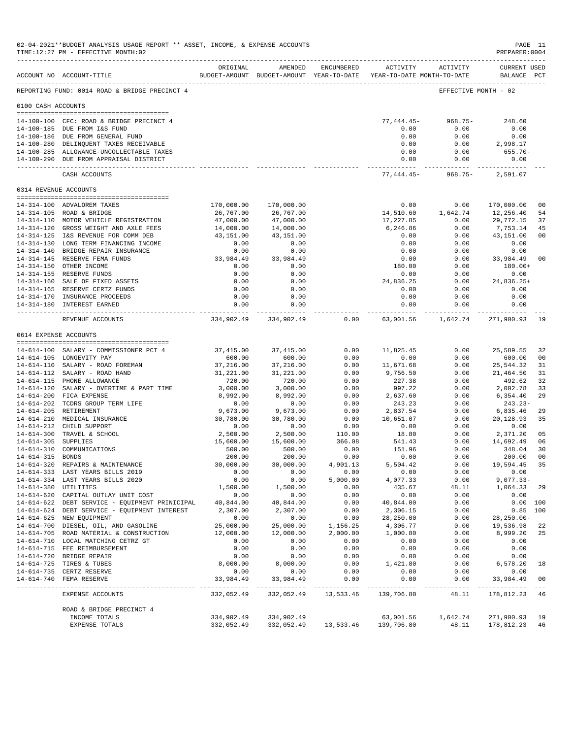| 02-04-2021**BUDGET ANALYSIS USAGE REPORT ** ASSET, INCOME, & EXPENSE ACCOUNTS<br>TIME:12:27 PM - EFFECTIVE MONTH:02 |                                                                                                |                       |                                                                                |                                 |                       |                        |                                    | PAGE 11<br>PREPARER: 0004 |
|---------------------------------------------------------------------------------------------------------------------|------------------------------------------------------------------------------------------------|-----------------------|--------------------------------------------------------------------------------|---------------------------------|-----------------------|------------------------|------------------------------------|---------------------------|
|                                                                                                                     | ACCOUNT NO ACCOUNT-TITLE                                                                       | ORIGINAL              | AMENDED<br>BUDGET-AMOUNT BUDGET-AMOUNT YEAR-TO-DATE YEAR-TO-DATE MONTH-TO-DATE | ENCUMBERED                      |                       | ACTIVITY ACTIVITY      | <b>CURRENT USED</b><br>BALANCE PCT |                           |
|                                                                                                                     | REPORTING FUND: 0014 ROAD & BRIDGE PRECINCT 4                                                  |                       |                                                                                |                                 |                       |                        | EFFECTIVE MONTH - 02               |                           |
| 0100 CASH ACCOUNTS                                                                                                  |                                                                                                |                       |                                                                                |                                 |                       |                        |                                    |                           |
|                                                                                                                     |                                                                                                |                       |                                                                                |                                 | 77,444.45-            | $968.75-$              | 248.60                             |                           |
|                                                                                                                     | 14-100-100 CFC: ROAD & BRIDGE PRECINCT 4<br>14-100-185 DUE FROM I&S FUND                       |                       |                                                                                |                                 | 0.00                  | 0.00                   | 0.00                               |                           |
|                                                                                                                     | 14-100-186 DUE FROM GENERAL FUND                                                               |                       |                                                                                |                                 | 0.00                  | 0.00                   | 0.00                               |                           |
|                                                                                                                     | 14-100-280 DELINQUENT TAXES RECEIVABLE                                                         |                       |                                                                                |                                 | 0.00                  | 0.00                   | 2,998.17                           |                           |
|                                                                                                                     | 14-100-285 ALLOWANCE-UNCOLLECTABLE TAXES                                                       |                       |                                                                                |                                 | 0.00                  | 0.00                   | $655.70 -$                         |                           |
|                                                                                                                     | 14-100-290 DUE FROM APPRAISAL DISTRICT                                                         |                       |                                                                                |                                 | 0.00<br>. <u>.</u>    | 0.00<br>----------     | 0.00                               |                           |
|                                                                                                                     | CASH ACCOUNTS                                                                                  |                       |                                                                                |                                 |                       | $77,444.45 - 968.75 -$ | 2,591.07                           |                           |
|                                                                                                                     | 0314 REVENUE ACCOUNTS                                                                          |                       |                                                                                |                                 |                       |                        |                                    |                           |
|                                                                                                                     | 14-314-100 ADVALOREM TAXES                                                                     | 170,000.00            | 170,000.00                                                                     |                                 | 0.00                  | 0.00                   | 170,000.00                         | 0 <sub>0</sub>            |
|                                                                                                                     | 14-314-105 ROAD & BRIDGE                                                                       | 26,767.00             | 26,767.00                                                                      |                                 | 14,510.60             | 1,642.74               | 12,256.40                          | 54                        |
|                                                                                                                     | 14-314-110 MOTOR VEHICLE REGISTRATION                                                          | 47,000.00             | 47,000.00                                                                      |                                 | 17,227.85             | 0.00                   | 29,772.15                          | 37                        |
|                                                                                                                     | 14-314-120 GROSS WEIGHT AND AXLE FEES                                                          | 14,000.00             | 14,000.00                                                                      |                                 | 6,246.86              | 0.00                   | 7,753.14                           | 45                        |
|                                                                                                                     | 14-314-125 I&S REVENUE FOR COMM DEB                                                            | 43,151.00             | 43,151.00                                                                      |                                 | 0.00                  | 0.00                   | 43,151.00                          | 0 <sub>0</sub>            |
|                                                                                                                     | 14-314-130 LONG TERM FINANCING INCOME                                                          | 0.00                  | 0.00                                                                           |                                 | 0.00                  | 0.00                   | 0.00                               |                           |
|                                                                                                                     | 14-314-140 BRIDGE REPAIR INSURANCE<br>14-314-145 RESERVE FEMA FUNDS                            | 0.00<br>33,984.49     | 0.00<br>33,984.49                                                              |                                 | 0.00<br>0.00          | 0.00<br>0.00           | 0.00<br>33,984.49                  | 0 <sub>0</sub>            |
|                                                                                                                     | 14-314-150 OTHER INCOME                                                                        | 0.00                  | 0.00                                                                           |                                 | 180.00                | 0.00                   | 180.00+                            |                           |
|                                                                                                                     | 14-314-155 RESERVE FUNDS                                                                       | 0.00                  | 0.00                                                                           |                                 | 0.00                  | 0.00                   | 0.00                               |                           |
|                                                                                                                     | 14-314-160 SALE OF FIXED ASSETS                                                                | 0.00                  | 0.00                                                                           |                                 | 24,836.25             | 0.00                   | 24,836.25+                         |                           |
|                                                                                                                     | 14-314-165 RESERVE CERTZ FUNDS                                                                 | 0.00                  | 0.00                                                                           |                                 | 0.00                  | 0.00                   | 0.00                               |                           |
|                                                                                                                     | 14-314-170 INSURANCE PROCEEDS                                                                  | 0.00                  | 0.00                                                                           |                                 | 0.00                  | 0.00                   | 0.00                               |                           |
|                                                                                                                     | 14-314-180 INTEREST EARNED                                                                     | 0.00<br>. <b>.</b>    | 0.00<br>------------                                                           |                                 | 0.00<br>-----------   | 0.00<br>. <u>.</u>     | 0.00<br>-----------                |                           |
|                                                                                                                     | REVENUE ACCOUNTS                                                                               |                       | 334,902.49 334,902.49                                                          | 0.00                            | 63,001.56             | 1,642.74               | 271,900.93                         | 19                        |
|                                                                                                                     | 0614 EXPENSE ACCOUNTS                                                                          |                       |                                                                                |                                 |                       |                        |                                    |                           |
|                                                                                                                     | 14-614-100 SALARY - COMMISSIONER PCT 4                                                         | 37,415.00             | 37, 415.00                                                                     | 0.00                            | 11,825.45             | 0.00                   | 25,589.55                          | 32                        |
|                                                                                                                     | 14-614-105 LONGEVITY PAY                                                                       | 600.00                | 600.00                                                                         | 0.00                            | 0.00                  | 0.00                   | 600.00                             | 00                        |
|                                                                                                                     | 14-614-110 SALARY - ROAD FOREMAN                                                               | 37,216.00             | 37,216.00                                                                      | 0.00                            | 11,671.68             | 0.00                   | 25,544.32                          | 31                        |
|                                                                                                                     | 14-614-112 SALARY - ROAD HAND                                                                  | 31,221.00             | 31,221.00                                                                      | 0.00                            | 9,756.50              | 0.00                   | 21,464.50                          | 31                        |
|                                                                                                                     | 14-614-115 PHONE ALLOWANCE                                                                     | 720.00                | 720.00                                                                         | 0.00                            | 227.38                | 0.00                   | 492.62                             | 32                        |
|                                                                                                                     | 14-614-120 SALARY - OVERTIME & PART TIME<br>14-614-200 FICA EXPENSE                            | 3,000.00              | 3,000.00                                                                       | 0.00<br>0.00                    | 997.22                | 0.00<br>0.00           | 2,002.78                           | 33<br>29                  |
|                                                                                                                     | 14-614-202 TCDRS GROUP TERM LIFE                                                               | 8,992.00<br>0.00      | 8,992.00<br>0.00                                                               | 0.00                            | 2,637.60<br>243.23    | 0.00                   | 6,354.40<br>243.23-                |                           |
|                                                                                                                     | 14-614-205 RETIREMENT                                                                          | 9,673.00              | 9,673.00                                                                       | 0.00                            | 2,837.54              | 0.00                   | 6,835.46                           | 29                        |
|                                                                                                                     | 14-614-210 MEDICAL INSURANCE                                                                   | 30,780.00             | 30,780.00                                                                      | 0.00                            | 10,651.07             | 0.00                   | 20,128.93                          | 35                        |
|                                                                                                                     | 14-614-212 CHILD SUPPORT                                                                       | 0.00                  | 0.00                                                                           | 0.00                            | 0.00                  | 0.00                   | 0.00                               |                           |
|                                                                                                                     | 14-614-300 TRAVEL & SCHOOL                                                                     | 2,500.00              | 2,500.00                                                                       | 110.00                          | 18.80                 | 0.00                   | 2,371.20                           | 05                        |
| 14-614-305 SUPPLIES                                                                                                 |                                                                                                | 15,600.00             | 15,600.00                                                                      | 366.08                          | 541.43                | 0.00                   | 14,692.49                          | 06                        |
| 14-614-315 BONDS                                                                                                    | 14-614-310 COMMUNICATIONS                                                                      | 500.00<br>200.00      | 500.00<br>200.00                                                               | 0.00<br>0.00                    | 151.96<br>0.00        | 0.00<br>0.00           | 348.04<br>200.00                   | 30<br>0 <sub>0</sub>      |
|                                                                                                                     | 14-614-320 REPAIRS & MAINTENANCE                                                               | 30,000.00             | 30,000.00                                                                      | 4,901.13                        | 5,504.42              | 0.00                   | 19,594.45 35                       |                           |
|                                                                                                                     | 14-614-333 LAST YEARS BILLS 2019                                                               | 0.00                  | 0.00                                                                           | 0.00                            | 0.00                  | 0.00                   | 0.00                               |                           |
|                                                                                                                     | 14-614-334 LAST YEARS BILLS 2020                                                               | 0.00                  | 0.00                                                                           | 5,000.00                        | 4,077.33              | 0.00                   | $9,077.33-$                        |                           |
|                                                                                                                     | 14-614-380 UTILITIES                                                                           | 1,500.00              | 1,500.00                                                                       | 0.00                            | 435.67                | 48.11                  | 1,064.33                           | 29                        |
|                                                                                                                     | 14-614-620 CAPITAL OUTLAY UNIT COST                                                            | 0.00                  | 0.00                                                                           | 0.00                            | 0.00                  | 0.00                   | 0.00                               |                           |
|                                                                                                                     | 14-614-622 DEBT SERVICE - EQUIPMENT PRINICIPAL<br>14-614-624 DEBT SERVICE - EQUIPMENT INTEREST | 40,844.00<br>2,307.00 | 40,844.00<br>2,307.00                                                          | 0.00<br>0.00                    | 40,844.00<br>2,306.15 | 0.00<br>0.00           |                                    | 0.00 100<br>$0.85$ 100    |
|                                                                                                                     | 14-614-625 NEW EQUIPMENT                                                                       | 0.00                  | 0.00                                                                           | 0.00                            | 28,250.00             | 0.00                   | $28, 250.00 -$                     |                           |
|                                                                                                                     | 14-614-700 DIESEL, OIL, AND GASOLINE                                                           | 25,000.00             | 25,000.00                                                                      | 1,156.25                        | 4,306.77              | 0.00                   | 19,536.98                          | 22                        |
|                                                                                                                     | 14-614-705 ROAD MATERIAL & CONSTRUCTION                                                        | 12,000.00             | 12,000.00                                                                      | 2,000.00                        | 1,000.80              | 0.00                   | 8,999.20                           | 25                        |
|                                                                                                                     | 14-614-710 LOCAL MATCHING CETRZ GT                                                             | 0.00                  | 0.00                                                                           | 0.00                            | 0.00                  | 0.00                   | 0.00                               |                           |
|                                                                                                                     | 14-614-715 FEE REIMBURSEMENT                                                                   | 0.00                  | 0.00                                                                           | 0.00                            | 0.00                  | 0.00                   | 0.00                               |                           |
|                                                                                                                     | 14-614-720 BRIDGE REPAIR                                                                       | 0.00                  | 0.00                                                                           | 0.00                            | 0.00                  | 0.00                   | 0.00                               |                           |
|                                                                                                                     | 14-614-725 TIRES & TUBES<br>14-614-735 CERTZ RESERVE                                           | 8,000.00<br>0.00      | 8,000.00<br>0.00                                                               | 0.00<br>0.00                    | 1,421.80<br>0.00      | 0.00<br>0.00           | 6,578.20<br>0.00                   | 18                        |
|                                                                                                                     | 14-614-740 FEMA RESERVE                                                                        | 33,984.49             | 33,984.49                                                                      | 0.00                            | 0.00                  | 0.00                   | 33,984.49                          | 0 <sub>0</sub>            |
|                                                                                                                     | EXPENSE ACCOUNTS                                                                               | 332,052.49            | 332,052.49                                                                     | 13,533.46                       | 139,706.80            | 48.11                  | 178,812.23                         | 46                        |
|                                                                                                                     |                                                                                                |                       |                                                                                |                                 |                       |                        |                                    |                           |
|                                                                                                                     | ROAD & BRIDGE PRECINCT 4<br>INCOME TOTALS                                                      | 334,902.49            | 334,902.49                                                                     |                                 | 63,001.56             | 1,642.74               | 271,900.93                         | 19                        |
|                                                                                                                     | EXPENSE TOTALS                                                                                 | 332,052.49            |                                                                                | 332,052.49 13,533.46 139,706.80 |                       | 48.11                  | 178,812.23                         | 46                        |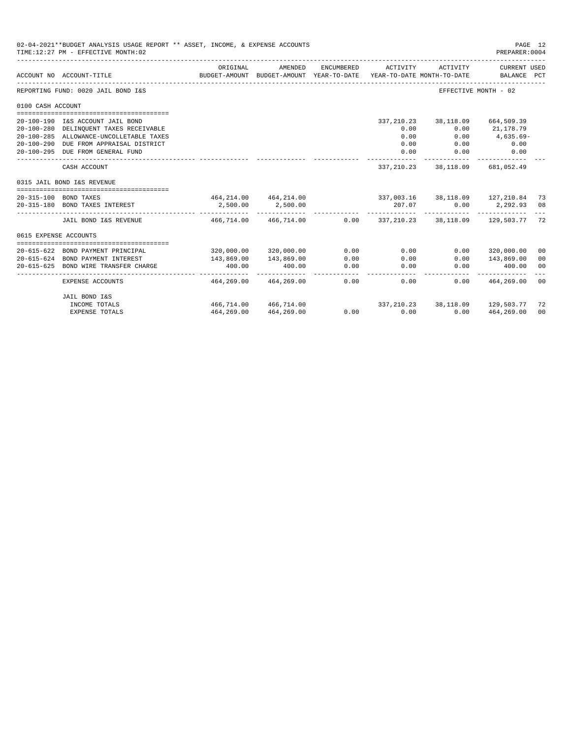|                       | 02-04-2021**BUDGET ANALYSIS USAGE REPORT ** ASSET, INCOME, & EXPENSE ACCOUNTS<br>PAGE 12<br>TIME: 12:27 PM - EFFECTIVE MONTH: 02<br>PREPARER: 0004 |                                                               |                                                     |                |                |                                        |                                          |    |  |  |
|-----------------------|----------------------------------------------------------------------------------------------------------------------------------------------------|---------------------------------------------------------------|-----------------------------------------------------|----------------|----------------|----------------------------------------|------------------------------------------|----|--|--|
|                       | ACCOUNT NO ACCOUNT-TITLE                                                                                                                           | ORIGINAL                                                      | AMENDED<br>BUDGET-AMOUNT BUDGET-AMOUNT YEAR-TO-DATE | ENCUMBERED     | ACTIVITY       | ACTIVITY<br>YEAR-TO-DATE MONTH-TO-DATE | CURRENT USED<br>BALANCE PCT              |    |  |  |
|                       | REPORTING FUND: 0020 JAIL BOND I&S                                                                                                                 |                                                               |                                                     |                |                |                                        | EFFECTIVE MONTH - 02                     |    |  |  |
| 0100 CASH ACCOUNT     |                                                                                                                                                    |                                                               |                                                     |                |                |                                        |                                          |    |  |  |
|                       |                                                                                                                                                    |                                                               |                                                     |                |                |                                        |                                          |    |  |  |
|                       | 20-100-190 I&S ACCOUNT JAIL BOND                                                                                                                   |                                                               |                                                     |                |                | 337, 210. 23 38, 118. 09 664, 509. 39  |                                          |    |  |  |
|                       | 20-100-280 DELINQUENT TAXES RECEIVABLE                                                                                                             |                                                               |                                                     |                | 0.00           | 0.00                                   | 21,178.79                                |    |  |  |
|                       | 20-100-285 ALLOWANCE-UNCOLLETABLE TAXES                                                                                                            |                                                               |                                                     |                | 0.00           | 0.00                                   | 4,635.69-                                |    |  |  |
|                       | 20-100-290 DUE FROM APPRAISAL DISTRICT                                                                                                             |                                                               |                                                     |                | 0.00           | 0.00                                   | 0.00                                     |    |  |  |
|                       | 20-100-295 DUE FROM GENERAL FUND                                                                                                                   |                                                               |                                                     |                | 0.00           | 0.00<br>------------ -------------     | 0.00                                     |    |  |  |
|                       | CASH ACCOUNT                                                                                                                                       |                                                               |                                                     |                |                | 337, 210.23 38, 118.09 681, 052.49     |                                          |    |  |  |
|                       | 0315 JAIL BOND I&S REVENUE                                                                                                                         |                                                               |                                                     |                |                |                                        |                                          |    |  |  |
|                       |                                                                                                                                                    |                                                               |                                                     |                |                |                                        |                                          |    |  |  |
|                       | 20-315-100 BOND TAXES                                                                                                                              | 464, 214.00 464, 214.00 337, 003.16 38, 118.09 127, 210.84 73 |                                                     |                |                |                                        |                                          |    |  |  |
|                       | 20-315-180 BOND TAXES INTEREST                                                                                                                     | 2,500.00                                                      | 2,500.00                                            |                |                | 207.07                                 | $0.00$ 2,292.93 08                       |    |  |  |
|                       | JAIL BOND I&S REVENUE                                                                                                                              |                                                               | 466,714.00 466,714.00                               |                |                |                                        | 0.00 337,210.23 38,118.09 129,503.77 72  |    |  |  |
| 0615 EXPENSE ACCOUNTS |                                                                                                                                                    |                                                               |                                                     |                |                |                                        |                                          |    |  |  |
|                       |                                                                                                                                                    |                                                               |                                                     |                |                |                                        |                                          |    |  |  |
|                       | 20-615-622 BOND PAYMENT PRINCIPAL                                                                                                                  |                                                               | 320,000.00 320,000.00                               | 0.00           | 0.00           | 0.00                                   | 320,000.00                               | 00 |  |  |
|                       | 20-615-624 BOND PAYMENT INTEREST                                                                                                                   | 143,869.00                                                    | 143,869.00                                          | 0.00           | 0.00           | 0.00                                   | 143,869.00                               | 00 |  |  |
| 20-615-625            | BOND WIRE TRANSFER CHARGE                                                                                                                          | 400.00<br>--------------                                      | 400.00                                              | 0.00<br>------ | 0.00<br>------ | 0.00                                   | 400.00                                   | 00 |  |  |
|                       | EXPENSE ACCOUNTS                                                                                                                                   | 464,269.00                                                    | 464,269.00                                          | 0.00           | 0.00           | 0.00                                   | 464,269.00                               | 00 |  |  |
|                       | JAIL BOND I&S                                                                                                                                      |                                                               |                                                     |                |                |                                        |                                          |    |  |  |
|                       | INCOME TOTALS                                                                                                                                      |                                                               | 466,714.00 466,714.00                               |                |                |                                        | 337, 210. 23 38, 118. 09 129, 503. 77 72 |    |  |  |
|                       | <b>EXPENSE TOTALS</b>                                                                                                                              | 464,269.00                                                    | 464,269.00                                          |                | $0.00$ $0.00$  | 0.00                                   | 464,269.00                               | 00 |  |  |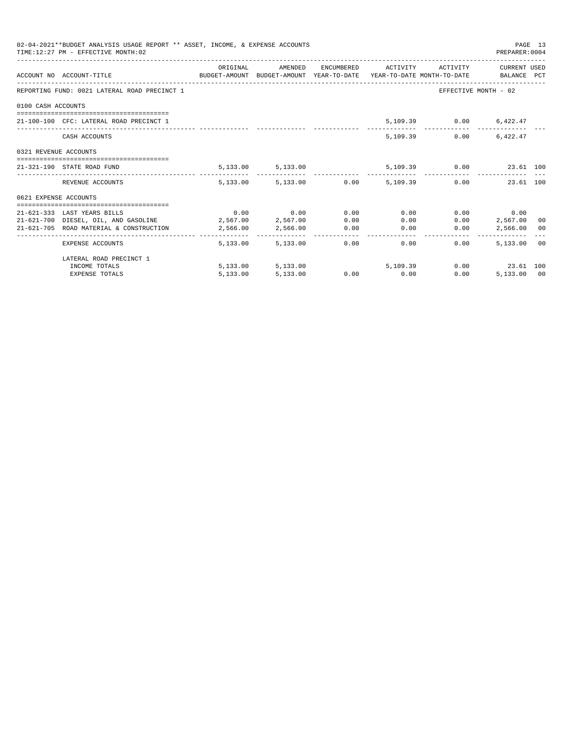|                       | 02-04-2021**BUDGET ANALYSIS USAGE REPORT ** ASSET, INCOME, & EXPENSE ACCOUNTS<br>TIME: 12:27 PM - EFFECTIVE MONTH: 02 |          |                             |      |                                                |              | PREPARER: 0004          | PAGE 13 |
|-----------------------|-----------------------------------------------------------------------------------------------------------------------|----------|-----------------------------|------|------------------------------------------------|--------------|-------------------------|---------|
|                       | ACCOUNT NO ACCOUNT-TITLE CONTROL BUDGET-AMOUNT BUDGET-AMOUNT YEAR-TO-DATE YEAR-TO-DATE MONTH-TO-DATE BALANCE PCT      | ORIGINAL | AMENDED                     |      | ENCUMBERED ACTIVITY ACTIVITY CURRENT USED      |              |                         |         |
|                       | REPORTING FUND: 0021 LATERAL ROAD PRECINCT 1                                                                          |          |                             |      |                                                |              | EFFECTIVE MONTH - 02    |         |
| 0100 CASH ACCOUNTS    |                                                                                                                       |          |                             |      |                                                |              |                         |         |
|                       | 21-100-100 CFC: LATERAL ROAD PRECINCT 1                                                                               |          |                             |      |                                                |              | 5,109.39 0.00 6,422.47  |         |
|                       | CASH ACCOUNTS                                                                                                         |          |                             |      | 5,109.39                                       | 0.00         | 6.422.47                |         |
| 0321 REVENUE ACCOUNTS |                                                                                                                       |          |                             |      |                                                |              |                         |         |
|                       | 21-321-190 STATE ROAD FUND                                                                                            |          | 5, 133.00 5, 133.00         |      |                                                |              | 5,109.39 0.00 23.61 100 |         |
|                       | REVENUE ACCOUNTS                                                                                                      |          |                             |      | 5,133.00 5,133.00 0.00 5,109.39 0.00 23.61 100 |              |                         |         |
| 0621 EXPENSE ACCOUNTS |                                                                                                                       |          |                             |      |                                                |              |                         |         |
|                       | 21-621-333 LAST YEARS BILLS                                                                                           |          | $0.00$ $0.00$ $0.00$ $0.00$ |      | 0.00                                           |              | $0.00$ 0.00             |         |
|                       | 21-621-700 DIESEL, OIL, AND GASOLINE 2,567.00 2,567.00                                                                |          |                             | 0.00 |                                                | 0.00<br>0.00 | 2,567,00 00             |         |
|                       | 21-621-705 ROAD MATERIAL & CONSTRUCTION                                                                               | 2,566.00 | 2,566.00 0.00               |      | 0.00                                           | 0.00         | 2,566.00 00             |         |
|                       | EXPENSE ACCOUNTS                                                                                                      |          | 5, 133, 00 5, 133, 00       |      | 0.00<br>0.00                                   | 0.00         | 5,133.00 00             |         |
|                       | LATERAL ROAD PRECINCT 1                                                                                               |          |                             |      |                                                |              |                         |         |
|                       | INCOME TOTALS                                                                                                         |          | 5,133.00 5,133.00           |      | 5,109,39                                       |              | $0.00$ 23.61 100        |         |
|                       | <b>EXPENSE TOTALS</b>                                                                                                 | 5,133.00 | 5,133.00                    |      | $0.00$ $0.00$                                  | 0.00         | 5,133.00 00             |         |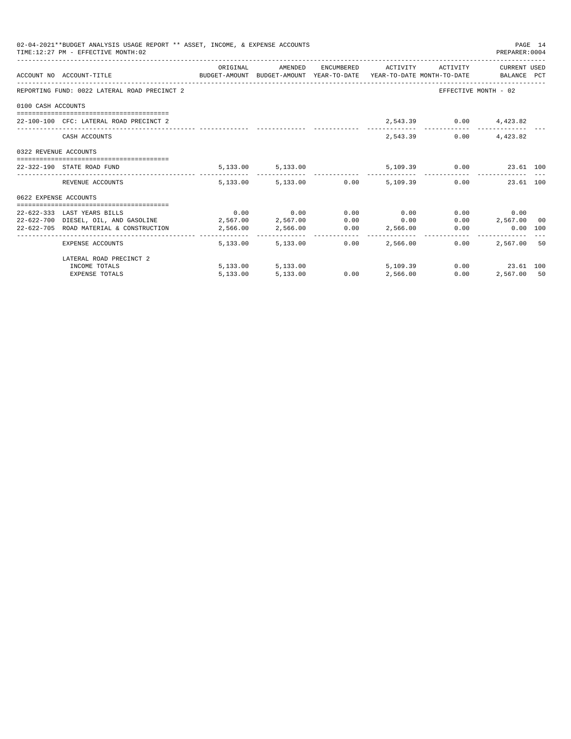|                       | 02-04-2021**BUDGET ANALYSIS USAGE REPORT ** ASSET, INCOME, & EXPENSE ACCOUNTS<br>TIME: 12:27 PM - EFFECTIVE MONTH: 02 |          |                             |      |                                                           |      | PREPARER:0004          | PAGE 14 |
|-----------------------|-----------------------------------------------------------------------------------------------------------------------|----------|-----------------------------|------|-----------------------------------------------------------|------|------------------------|---------|
|                       | ACCOUNT NO ACCOUNT-TITLE CONTROL BUDGET-AMOUNT BUDGET-AMOUNT YEAR-TO-DATE YEAR-TO-DATE MONTH-TO-DATE BALANCE PCT      |          |                             |      | ORIGINAL AMENDED ENCUMBERED ACTIVITY ACTIVITY CURRENTUSED |      |                        |         |
|                       | REPORTING FUND: 0022 LATERAL ROAD PRECINCT 2                                                                          |          |                             |      |                                                           |      | EFFECTIVE MONTH - 02   |         |
| 0100 CASH ACCOUNTS    |                                                                                                                       |          |                             |      |                                                           |      |                        |         |
|                       | 22-100-100 CFC: LATERAL ROAD PRECINCT 2                                                                               |          |                             |      |                                                           |      | 2,543.39 0.00 4,423.82 |         |
|                       | CASH ACCOUNTS                                                                                                         |          |                             |      | 2,543.39                                                  | 0.00 | 4,423.82               |         |
| 0322 REVENUE ACCOUNTS |                                                                                                                       |          |                             |      |                                                           |      |                        |         |
|                       | 22-322-190 STATE ROAD FUND                                                                                            |          |                             |      | $5,133.00$ $5,133.00$ $5,109.39$ $0.00$ $23.61$ $100$     |      |                        |         |
|                       | REVENUE ACCOUNTS                                                                                                      |          |                             |      | 5,133.00 5,133.00 0.00 5,109.39 0.00 23.61 100            |      |                        |         |
| 0622 EXPENSE ACCOUNTS |                                                                                                                       |          |                             |      |                                                           |      |                        |         |
|                       |                                                                                                                       |          |                             |      |                                                           |      |                        |         |
|                       | 22-622-333 LAST YEARS BILLS                                                                                           |          | $0.00$ $0.00$ $0.00$ $0.00$ |      | 0.00                                                      |      | 0.00<br>0.00           |         |
|                       | 22-622-700 DIESEL, OIL, AND GASOLINE 2,567.00 2,567.00                                                                |          |                             |      | $0.00$ 0.00                                               |      | $0.00$ 2,567.00 00     |         |
|                       | 22-622-705 ROAD MATERIAL & CONSTRUCTION 2,566.00 2,566.00 0.00 2,566.00                                               |          |                             |      |                                                           |      | $0.00$ $0.00$ $100$    |         |
|                       | EXPENSE ACCOUNTS                                                                                                      |          | 5,133,00 5,133,00           | 0.00 | 2,566.00                                                  | 0.00 | 2,567,00 50            |         |
|                       | LATERAL ROAD PRECINCT 2                                                                                               |          |                             |      |                                                           |      |                        |         |
|                       | INCOME TOTALS                                                                                                         |          | 5,133.00 5,133.00           |      | 5,109.39                                                  |      | $0.00$ 23.61 100       |         |
|                       | <b>EXPENSE TOTALS</b>                                                                                                 | 5,133.00 | 5,133.00                    |      | $0.00$ $2,566.00$                                         | 0.00 | 2,567.00 50            |         |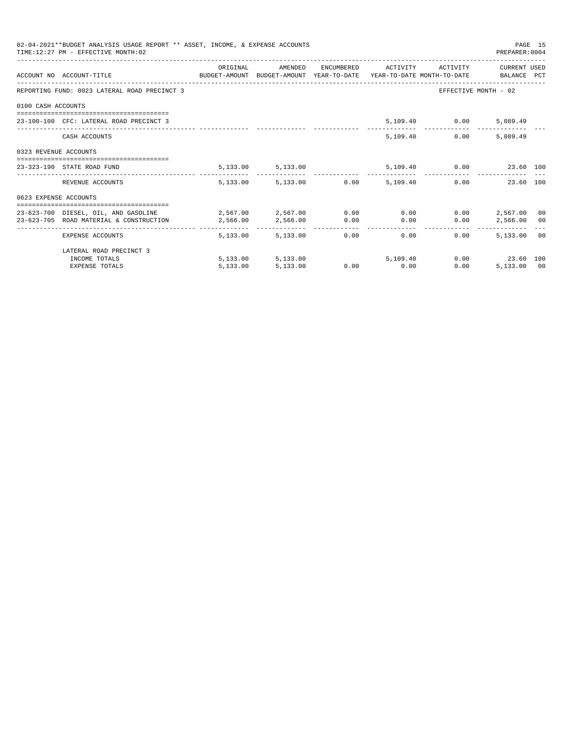|                       | 02-04-2021**BUDGET ANALYSIS USAGE REPORT ** ASSET, INCOME, & EXPENSE ACCOUNTS<br>PAGE 15<br>TIME: 12:27 PM - EFFECTIVE MONTH: 02<br>PREPARER: 0004 |          |                        |  |                                     |                               |                                              |  |  |  |  |
|-----------------------|----------------------------------------------------------------------------------------------------------------------------------------------------|----------|------------------------|--|-------------------------------------|-------------------------------|----------------------------------------------|--|--|--|--|
|                       | ACCOUNT NO ACCOUNT-TITLE COMPUTE SUDGET-AMOUNT BUDGET-AMOUNT YEAR-TO-DATE YEAR-TO-DATE MONTH-TO-DATE BALANCE PCT                                   | ORIGINAL | AMENDED                |  |                                     | ENCUMBERED ACTIVITY ACTIVITY  | CURRENT USED                                 |  |  |  |  |
|                       | REPORTING FUND: 0023 LATERAL ROAD PRECINCT 3                                                                                                       |          |                        |  |                                     |                               | EFFECTIVE MONTH - 02                         |  |  |  |  |
| 0100 CASH ACCOUNTS    |                                                                                                                                                    |          |                        |  |                                     |                               |                                              |  |  |  |  |
|                       | 23-100-100 CFC: LATERAL ROAD PRECINCT 3                                                                                                            |          |                        |  |                                     | 5,109.40   0.00   5,089.49    |                                              |  |  |  |  |
|                       | CASH ACCOUNTS                                                                                                                                      |          |                        |  |                                     | 5,109.40<br>0.00              | 5,089.49                                     |  |  |  |  |
| 0323 REVENUE ACCOUNTS |                                                                                                                                                    |          |                        |  |                                     |                               |                                              |  |  |  |  |
|                       | 23-323-190 STATE ROAD FUND                                                                                                                         |          | 5, 133.00 5, 133.00    |  |                                     | 5,109.40   0.00   23.60   100 |                                              |  |  |  |  |
|                       | REVENUE ACCOUNTS                                                                                                                                   |          | 5,133.00 5,133.00 0.00 |  | 5,109,40                            |                               | 0.00<br>23.60 100                            |  |  |  |  |
| 0623 EXPENSE ACCOUNTS |                                                                                                                                                    |          |                        |  |                                     |                               |                                              |  |  |  |  |
|                       | 23-623-700 DIESEL, OIL, AND GASOLINE $2,567.00$ $2,567.00$ $0.00$ 0.00 0.00                                                                        |          |                        |  |                                     |                               | $0.00$ 2,567.00 00                           |  |  |  |  |
|                       | 23-623-705 ROAD MATERIAL & CONSTRUCTION                                                                                                            | 2.566.00 | 2,566.00 0.00          |  | 0.00                                | 0.00                          | 2,566.00 00                                  |  |  |  |  |
|                       | EXPENSE ACCOUNTS                                                                                                                                   |          | 5,133,00 5,133,00      |  | --------------<br>$0.00$ and $0.00$ | 0.00<br>$0.00 -$              | -----------------------------<br>5,133,00 00 |  |  |  |  |
|                       | LATERAL ROAD PRECINCT 3                                                                                                                            |          |                        |  |                                     |                               |                                              |  |  |  |  |
|                       | INCOME TOTALS                                                                                                                                      |          | 5,133.00 5,133.00      |  |                                     | 5,109,40                      | 0.00 23.60 100                               |  |  |  |  |
|                       | <b>EXPENSE TOTALS</b>                                                                                                                              | 5.133.00 | 5,133.00               |  | $0.00$ 0.00                         | 0.00                          | 5,133,00 00                                  |  |  |  |  |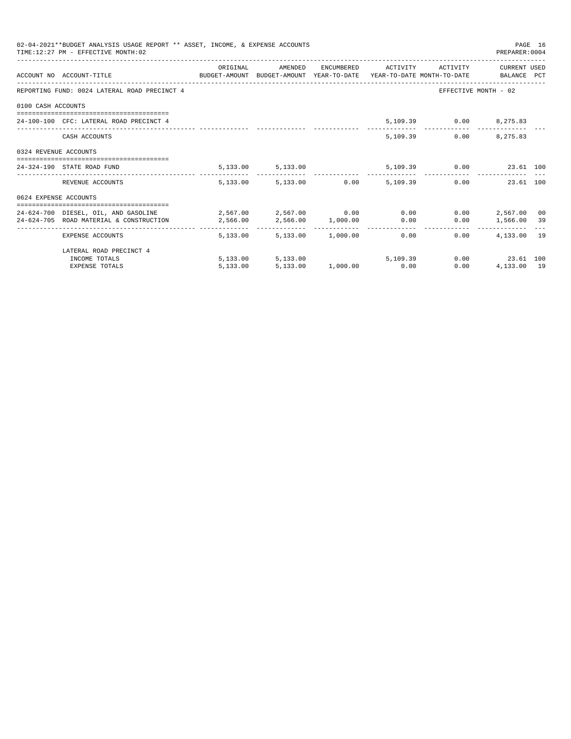|                       | 02-04-2021**BUDGET ANALYSIS USAGE REPORT ** ASSET, INCOME, & EXPENSE ACCOUNTS<br>PAGE 16<br>TIME: 12:27 PM - EFFECTIVE MONTH: 02<br>PREPARER: 0004 |                                         |                                         |  |  |                                      |                      |  |  |  |  |
|-----------------------|----------------------------------------------------------------------------------------------------------------------------------------------------|-----------------------------------------|-----------------------------------------|--|--|--------------------------------------|----------------------|--|--|--|--|
|                       | ACCOUNT NO ACCOUNT-TITLE COMPUTE SUDGET-AMOUNT BUDGET-AMOUNT YEAR-TO-DATE YEAR-TO-DATE MONTH-TO-DATE BALANCE PCT                                   | ORIGINAL                                |                                         |  |  | AMENDED ENCUMBERED ACTIVITY ACTIVITY | CURRENT USED         |  |  |  |  |
|                       | REPORTING FUND: 0024 LATERAL ROAD PRECINCT 4                                                                                                       |                                         |                                         |  |  |                                      | EFFECTIVE MONTH - 02 |  |  |  |  |
| 0100 CASH ACCOUNTS    |                                                                                                                                                    |                                         |                                         |  |  |                                      |                      |  |  |  |  |
|                       | 24-100-100 CFC: LATERAL ROAD PRECINCT 4                                                                                                            |                                         |                                         |  |  | 5,109.39 0.00 8,275.83               |                      |  |  |  |  |
|                       | CASH ACCOUNTS                                                                                                                                      |                                         |                                         |  |  | 5,109.39                             | $0.00$ $8,275.83$    |  |  |  |  |
| 0324 REVENUE ACCOUNTS |                                                                                                                                                    |                                         |                                         |  |  |                                      |                      |  |  |  |  |
|                       | 24-324-190 STATE ROAD FUND                                                                                                                         |                                         | 5, 133.00 5, 133.00                     |  |  | 5,109.39 0.00 23.61 100              |                      |  |  |  |  |
|                       | REVENUE ACCOUNTS                                                                                                                                   |                                         | 5,133.00 5,133.00 0.00 5,109.39         |  |  |                                      | 0.00<br>23.61 100    |  |  |  |  |
| 0624 EXPENSE ACCOUNTS |                                                                                                                                                    |                                         |                                         |  |  |                                      |                      |  |  |  |  |
|                       | 24-624-700 DIESEL, OIL, AND GASOLINE $2,567.00$ $2,567.00$ $0.00$ $0.00$                                                                           |                                         |                                         |  |  |                                      | $0.00$ 2.567.00 00   |  |  |  |  |
|                       | 24-624-705 ROAD MATERIAL & CONSTRUCTION                                                                                                            | $2,566.00$ $2,566.00$ $1,000.00$ $0.00$ |                                         |  |  |                                      | $0.00$ 1,566.00 39   |  |  |  |  |
|                       | EXPENSE ACCOUNTS                                                                                                                                   |                                         | $5.133.00$ $5.133.00$ $1.000.00$ $0.00$ |  |  |                                      | $0.00$ $4.133.00$ 19 |  |  |  |  |
|                       | LATERAL ROAD PRECINCT 4                                                                                                                            |                                         |                                         |  |  |                                      |                      |  |  |  |  |
|                       | INCOME TOTALS                                                                                                                                      |                                         | $5,133.00$ $5,133.00$ $5,109.39$        |  |  |                                      | $0.00$ 23.61 100     |  |  |  |  |
|                       | <b>EXPENSE TOTALS</b>                                                                                                                              |                                         | 5,133.00 5,133.00 1,000.00 0.00         |  |  | 0.00                                 | 4,133.00 19          |  |  |  |  |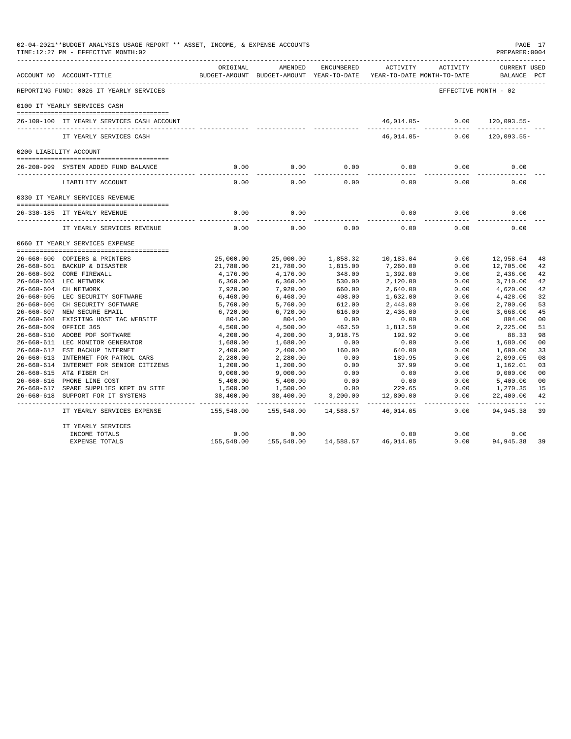|            | 02-04-2021**BUDGET ANALYSIS USAGE REPORT ** ASSET, INCOME, & EXPENSE ACCOUNTS<br>TIME:12:27 PM - EFFECTIVE MONTH:02<br>PREPARER: 0004 |                |                                                     |                   |                                        |                      |                             |                |  |
|------------|---------------------------------------------------------------------------------------------------------------------------------------|----------------|-----------------------------------------------------|-------------------|----------------------------------------|----------------------|-----------------------------|----------------|--|
|            | ACCOUNT NO ACCOUNT-TITLE                                                                                                              | ORIGINAL       | AMENDED<br>BUDGET-AMOUNT BUDGET-AMOUNT YEAR-TO-DATE | ENCUMBERED        | ACTIVITY<br>YEAR-TO-DATE MONTH-TO-DATE | ACTIVITY             | CURRENT USED<br>BALANCE PCT |                |  |
|            | REPORTING FUND: 0026 IT YEARLY SERVICES                                                                                               |                |                                                     |                   |                                        | EFFECTIVE MONTH - 02 |                             |                |  |
|            | 0100 IT YEARLY SERVICES CASH                                                                                                          |                |                                                     |                   |                                        |                      |                             |                |  |
|            | 26-100-100 IT YEARLY SERVICES CASH ACCOUNT                                                                                            |                |                                                     |                   |                                        | 46,014.05- 0.00      | 120,093.55-                 |                |  |
|            | IT YEARLY SERVICES CASH                                                                                                               |                |                                                     |                   | 46,014.05-                             | 0.00                 | $120,093.55-$               |                |  |
|            | 0200 LIABILITY ACCOUNT                                                                                                                |                |                                                     |                   |                                        |                      |                             |                |  |
|            | 26-200-999 SYSTEM ADDED FUND BALANCE                                                                                                  | 0.00           | 0.00                                                | 0.00              | 0.00                                   | 0.00                 | 0.00                        |                |  |
|            | LIABILITY ACCOUNT                                                                                                                     | ------<br>0.00 | - - - - - - -<br>0.00                               | $- - - -$<br>0.00 | 0.00                                   | 0.00                 | 0.00                        |                |  |
|            | 0330 IT YEARLY SERVICES REVENUE                                                                                                       |                |                                                     |                   |                                        |                      |                             |                |  |
|            | 26-330-185 IT YEARLY REVENUE                                                                                                          | 0.00           | 0.00                                                |                   | 0.00                                   | 0.00                 | 0.00                        |                |  |
|            | IT YEARLY SERVICES REVENUE                                                                                                            | 0.00           | 0.00                                                | 0.00              | 0.00                                   | 0.00                 | 0.00                        |                |  |
|            | 0660 IT YEARLY SERVICES EXPENSE                                                                                                       |                |                                                     |                   |                                        |                      |                             |                |  |
|            | 26-660-600 COPIERS & PRINTERS                                                                                                         | 25,000.00      | 25,000.00                                           | 1,858.32          | 10,183.04                              | 0.00                 | 12,958.64                   | 48             |  |
|            | 26-660-601 BACKUP & DISASTER                                                                                                          | 21,780.00      | 21,780.00                                           | 1,815.00          | 7,260.00                               | 0.00                 | 12,705.00                   | 42             |  |
|            | 26-660-602 CORE FIREWALL                                                                                                              | 4,176.00       | 4,176.00                                            | 348.00            | 1,392.00                               | 0.00                 | 2,436.00                    | 42             |  |
|            | 26-660-603 LEC NETWORK                                                                                                                | 6,360.00       | 6,360.00                                            | 530.00            | 2,120.00                               | 0.00                 | 3,710.00                    | 42             |  |
|            | 26-660-604 CH NETWORK                                                                                                                 | 7,920.00       | 7,920.00                                            | 660.00            | 2,640.00                               | 0.00                 | 4,620.00                    | 42             |  |
|            | 26-660-605 LEC SECURITY SOFTWARE                                                                                                      | 6,468.00       | 6,468.00                                            | 408.00            | 1,632.00                               | 0.00                 | 4,428.00                    | 32             |  |
|            | 26-660-606 CH SECURITY SOFTWARE                                                                                                       | 5,760.00       | 5,760.00                                            | 612.00            | 2,448.00                               | 0.00                 | 2,700.00                    | 53             |  |
|            | 26-660-607 NEW SECURE EMAIL                                                                                                           | 6,720.00       | 6,720.00                                            | 616.00            | 2,436.00                               | 0.00                 | 3,668.00                    | 45             |  |
|            | 26-660-608 EXISTING HOST TAC WEBSITE                                                                                                  | 804.00         | 804.00                                              | 0.00              | 0.00                                   | 0.00                 | 804.00                      | 00             |  |
| 26-660-609 | OFFICE 365                                                                                                                            | 4,500.00       | 4,500.00                                            | 462.50            | 1,812.50                               | 0.00                 | 2,225.00                    | 51             |  |
|            | 26-660-610 ADOBE PDF SOFTWARE                                                                                                         | 4,200.00       | 4,200.00                                            | 3,918.75          | 192.92                                 | 0.00                 | 88.33                       | 98             |  |
|            | 26-660-611 LEC MONITOR GENERATOR                                                                                                      | 1,680.00       | 1,680.00                                            | 0.00              | 0.00                                   | 0.00                 | 1,680.00                    | 0 <sub>0</sub> |  |
|            | 26-660-612 EST BACKUP INTERNET                                                                                                        | 2,400.00       | 2,400.00                                            | 160.00            | 640.00                                 | 0.00                 | 1,600.00                    | 33             |  |
|            | 26-660-613 INTERNET FOR PATROL CARS                                                                                                   | 2,280.00       | 2,280.00                                            | 0.00              | 189.95                                 | 0.00                 | 2,090.05                    | 08             |  |
|            | 26-660-614 INTERNET FOR SENIOR CITIZENS                                                                                               | 1,200.00       | 1,200.00                                            | 0.00              | 37.99                                  | 0.00                 | 1,162.01                    | 03             |  |
|            | 26-660-615 AT& FIBER CH                                                                                                               | 9,000.00       | 9,000.00                                            | 0.00              | 0.00                                   | 0.00                 | 9,000.00                    | 0 <sub>0</sub> |  |
|            | 26-660-616 PHONE LINE COST                                                                                                            | 5,400.00       | 5,400.00                                            | 0.00              | 0.00                                   | 0.00                 | 5,400.00                    | 0 <sub>0</sub> |  |
|            | 26-660-617 SPARE SUPPLIES KEPT ON SITE                                                                                                | 1,500.00       | 1,500.00                                            | 0.00              | 229.65                                 | 0.00                 | 1,270.35                    | 15             |  |
|            | 26-660-618 SUPPORT FOR IT SYSTEMS                                                                                                     | 38,400.00      | 38,400.00                                           | 3,200.00          | 12,800.00                              | 0.00                 | 22,400.00                   | 42             |  |
|            | IT YEARLY SERVICES EXPENSE                                                                                                            | 155,548.00     | 155,548.00                                          | 14,588.57         | 46,014.05                              | 0.00                 | 94, 945.38                  | 39             |  |
|            | IT YEARLY SERVICES                                                                                                                    |                |                                                     |                   |                                        |                      |                             |                |  |
|            | INCOME TOTALS                                                                                                                         | 0.00           | 0.00                                                |                   | 0.00                                   | 0.00                 | 0.00                        |                |  |
|            | EXPENSE TOTALS                                                                                                                        | 155,548.00     | 155,548.00                                          | 14,588.57         | 46,014.05                              | 0.00                 | 94, 945.38                  | 39             |  |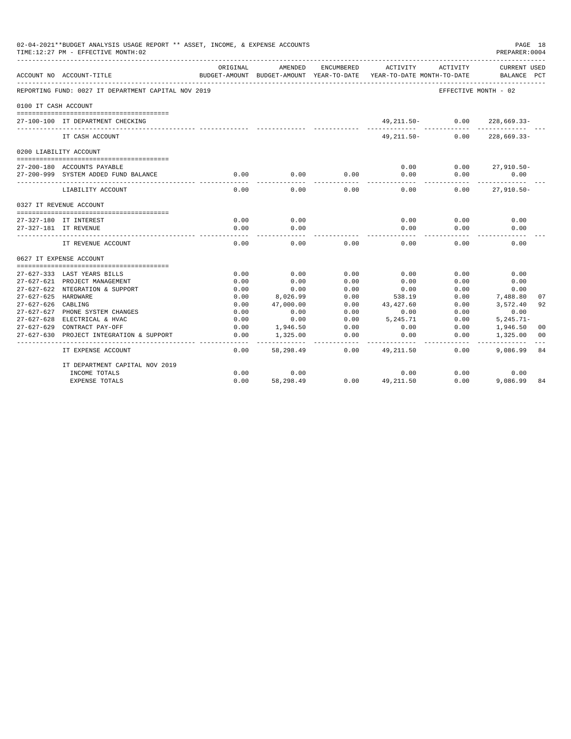|                      | 02-04-2021**BUDGET ANALYSIS USAGE REPORT ** ASSET, INCOME, & EXPENSE ACCOUNTS<br>TIME:12:27 PM - EFFECTIVE MONTH:02 |                           |                          |                            |             |                                        | PAGE 18<br>PREPARER: 0004 |              |
|----------------------|---------------------------------------------------------------------------------------------------------------------|---------------------------|--------------------------|----------------------------|-------------|----------------------------------------|---------------------------|--------------|
|                      | ACCOUNT NO ACCOUNT-TITLE                                                                                            | ORIGINAL<br>BUDGET-AMOUNT | AMENDED<br>BUDGET-AMOUNT | ENCUMBERED<br>YEAR-TO-DATE | ACTIVITY    | ACTIVITY<br>YEAR-TO-DATE MONTH-TO-DATE | CURRENT USED<br>BALANCE   | $_{\rm PCT}$ |
|                      | REPORTING FUND: 0027 IT DEPARTMENT CAPITAL NOV 2019                                                                 |                           |                          |                            |             |                                        | EFFECTIVE MONTH - 02      |              |
| 0100 IT CASH ACCOUNT |                                                                                                                     |                           |                          |                            |             |                                        |                           |              |
|                      | 27-100-100 IT DEPARTMENT CHECKING                                                                                   |                           |                          |                            | 49,211.50-  | 0.00                                   | $228,669.33-$             |              |
|                      | IT CASH ACCOUNT                                                                                                     |                           |                          |                            | 49, 211.50- | 0.00                                   | $228,669.33-$             |              |
|                      | 0200 LIABILITY ACCOUNT                                                                                              |                           |                          |                            |             |                                        |                           |              |
|                      |                                                                                                                     |                           |                          |                            |             |                                        |                           |              |
|                      | 27-200-180 ACCOUNTS PAYABLE                                                                                         |                           |                          |                            | 0.00        | 0.00                                   | $27,910.50 -$             |              |
|                      | 27-200-999 SYSTEM ADDED FUND BALANCE                                                                                | 0.00                      | 0.00                     | 0.00                       | 0.00        | 0.00                                   | 0.00                      |              |
|                      | LIABILITY ACCOUNT                                                                                                   | 0.00                      | 0.00                     | 0.00                       | 0.00        | 0.00                                   | $27,910.50 -$             |              |
|                      | 0327 IT REVENUE ACCOUNT                                                                                             |                           |                          |                            |             |                                        |                           |              |
|                      |                                                                                                                     |                           |                          |                            |             |                                        |                           |              |
|                      | 27-327-180 IT INTEREST                                                                                              | 0.00                      | 0.00                     |                            | 0.00        | 0.00                                   | 0.00                      |              |
|                      | 27-327-181 IT REVENUE                                                                                               | 0.00                      | 0.00                     |                            | 0.00        | 0.00                                   | 0.00                      |              |
|                      | IT REVENUE ACCOUNT                                                                                                  | 0.00                      | 0.00                     | 0.00                       | 0.00        | 0.00                                   | 0.00                      |              |
|                      | 0627 IT EXPENSE ACCOUNT                                                                                             |                           |                          |                            |             |                                        |                           |              |
|                      |                                                                                                                     |                           |                          |                            |             |                                        |                           |              |
|                      | 27-627-333 LAST YEARS BILLS                                                                                         | 0.00                      | 0.00                     | 0.00                       | 0.00        | 0.00                                   | 0.00                      |              |
|                      | 27-627-621 PROJECT MANAGEMENT                                                                                       | 0.00                      | 0.00                     | 0.00                       | 0.00        | 0.00                                   | 0.00                      |              |
|                      | 27-627-622 NTEGRATION & SUPPORT                                                                                     | 0.00                      | 0.00                     | 0.00                       | 0.00        | 0.00                                   | 0.00                      |              |
| 27-627-625 HARDWARE  |                                                                                                                     | 0.00                      | 8,026.99                 | 0.00                       | 538.19      | 0.00                                   | 7,488.80                  | 07           |
| $27 - 627 - 626$     | CABLING                                                                                                             | 0.00                      | 47,000.00                | 0.00                       | 43,427.60   | 0.00                                   | 3,572.40                  | 92           |
| 27-627-627           | PHONE SYSTEM CHANGES<br>27-627-628 ELECTRICAL & HVAC                                                                | 0.00                      | 0.00                     | 0.00                       | 0.00        | 0.00                                   | 0.00                      |              |
|                      |                                                                                                                     | 0.00                      | 0.00                     | 0.00                       | 5,245.71    | 0.00                                   | $5, 245.71 -$             |              |
| $27 - 627 - 629$     | CONTRACT PAY-OFF                                                                                                    | 0.00                      | 1,946.50                 | 0.00                       | 0.00        | 0.00                                   | 1,946.50                  | 00           |
| $27 - 627 - 630$     | PROJECT INTEGRATION & SUPPORT                                                                                       | 0.00                      | 1,325.00                 | 0.00                       | 0.00        | 0.00                                   | 1,325.00                  | 00           |
|                      | IT EXPENSE ACCOUNT                                                                                                  | 0.00                      | 58,298.49                | 0.00                       | 49, 211.50  | 0.00                                   | 9,086.99                  | 84           |
|                      | IT DEPARTMENT CAPITAL NOV 2019                                                                                      |                           |                          |                            |             |                                        |                           |              |
|                      | INCOME TOTALS                                                                                                       | 0.00                      | 0.00                     |                            | 0.00        | 0.00                                   | 0.00                      |              |
|                      | <b>EXPENSE TOTALS</b>                                                                                               | 0.00                      | 58,298.49                | 0.00                       | 49, 211, 50 | 0.00                                   | 9,086.99                  | 84           |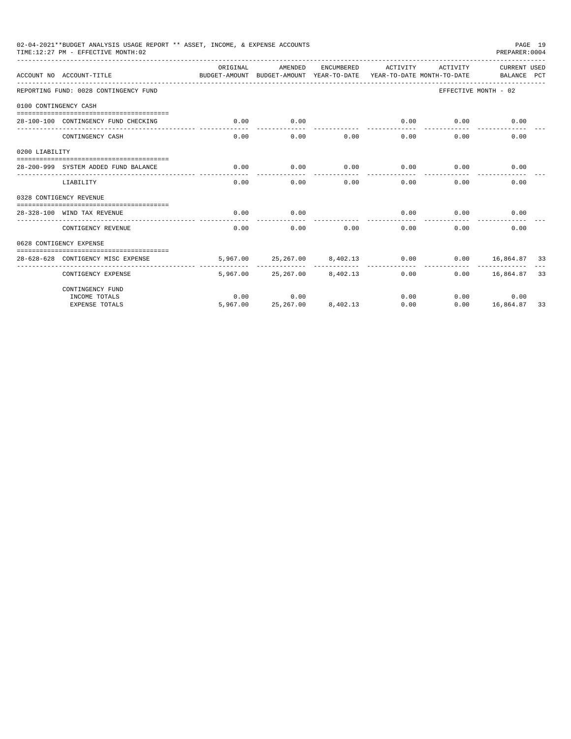|                                                                                                                                                                                                                                                                                                                                                                                                                                                                                                                                                                                    | 02-04-2021**BUDGET ANALYSIS USAGE REPORT ** ASSET, INCOME, & EXPENSE ACCOUNTS |          |                                              |             |                      |          | PREPARER: 0004              | PAGE 19 |
|------------------------------------------------------------------------------------------------------------------------------------------------------------------------------------------------------------------------------------------------------------------------------------------------------------------------------------------------------------------------------------------------------------------------------------------------------------------------------------------------------------------------------------------------------------------------------------|-------------------------------------------------------------------------------|----------|----------------------------------------------|-------------|----------------------|----------|-----------------------------|---------|
|                                                                                                                                                                                                                                                                                                                                                                                                                                                                                                                                                                                    |                                                                               | ORTGINAL | AMENDED                                      | ENCUMBERED  | ACTIVITY             | ACTIVITY | CURRENT USED<br>BALANCE PCT |         |
|                                                                                                                                                                                                                                                                                                                                                                                                                                                                                                                                                                                    |                                                                               |          |                                              |             |                      |          | EFFECTIVE MONTH - 02        |         |
|                                                                                                                                                                                                                                                                                                                                                                                                                                                                                                                                                                                    |                                                                               |          |                                              |             |                      |          |                             |         |
|                                                                                                                                                                                                                                                                                                                                                                                                                                                                                                                                                                                    |                                                                               | 0.00     | 0.00                                         | ----------- | 0.00<br>------------ | 0.00     | 0.00                        |         |
|                                                                                                                                                                                                                                                                                                                                                                                                                                                                                                                                                                                    | CONTINGENCY CASH                                                              | 0.00     | 0.00                                         | 0.00        | 0.00                 | 0.00     | 0.00                        |         |
|                                                                                                                                                                                                                                                                                                                                                                                                                                                                                                                                                                                    |                                                                               |          |                                              |             |                      |          |                             |         |
|                                                                                                                                                                                                                                                                                                                                                                                                                                                                                                                                                                                    |                                                                               | 0.00     | 0.00                                         | 0.00        | 0.00                 | 0.00     | 0.00                        |         |
|                                                                                                                                                                                                                                                                                                                                                                                                                                                                                                                                                                                    | LIABILITY                                                                     | 0.00     | 0.00                                         | 0.00        | 0.00                 | 0.00     | 0.00                        |         |
|                                                                                                                                                                                                                                                                                                                                                                                                                                                                                                                                                                                    |                                                                               |          |                                              |             |                      |          |                             |         |
| TIME:12:27 PM - EFFECTIVE MONTH:02<br>ACCOUNT NO ACCOUNT-TITLE<br>BUDGET-AMOUNT BUDGET-AMOUNT YEAR-TO-DATE YEAR-TO-DATE MONTH-TO-DATE<br>REPORTING FUND: 0028 CONTINGENCY FUND<br>0100 CONTINGENCY CASH<br>28-100-100 CONTINGENCY FUND CHECKING<br>0200 LIABILITY<br>28-200-999 SYSTEM ADDED FUND BALANCE<br>0328 CONTIGENCY REVENUE<br>0.00<br>28-328-100 WIND TAX REVENUE<br>CONTIGENCY REVENUE<br>0.00<br>0628 CONTIGENCY EXPENSE<br>28-628-628 CONTIGENCY MISC EXPENSE<br>CONTIGENCY EXPENSE<br>CONTINGENCY FUND<br>INCOME TOTALS<br>0.00<br>5,967.00<br><b>EXPENSE TOTALS</b> | 0.00                                                                          |          | 0.00                                         | 0.00        | 0.00                 |          |                             |         |
|                                                                                                                                                                                                                                                                                                                                                                                                                                                                                                                                                                                    |                                                                               |          | 0.00                                         | 0.00        | 0.00                 | 0.00     | 0.00                        |         |
|                                                                                                                                                                                                                                                                                                                                                                                                                                                                                                                                                                                    |                                                                               |          |                                              |             |                      |          |                             |         |
|                                                                                                                                                                                                                                                                                                                                                                                                                                                                                                                                                                                    |                                                                               |          | 5,967.00 25,267.00 8,402.13<br>------------- |             | 0.00                 |          | $0.00$ $16,864.87$ 33       |         |
|                                                                                                                                                                                                                                                                                                                                                                                                                                                                                                                                                                                    |                                                                               |          | 5,967.00 25,267.00 8,402.13                  |             | 0.00                 |          | $0.00$ 16,864.87 33         |         |
|                                                                                                                                                                                                                                                                                                                                                                                                                                                                                                                                                                                    |                                                                               |          |                                              |             |                      |          |                             |         |
|                                                                                                                                                                                                                                                                                                                                                                                                                                                                                                                                                                                    |                                                                               |          | 0.00                                         |             | 0.00                 |          | 0.00<br>0.00                |         |
|                                                                                                                                                                                                                                                                                                                                                                                                                                                                                                                                                                                    |                                                                               |          | 25, 267.00 8, 402.13                         |             | 0.00                 |          | $0.00$ 16,864.87            | 33      |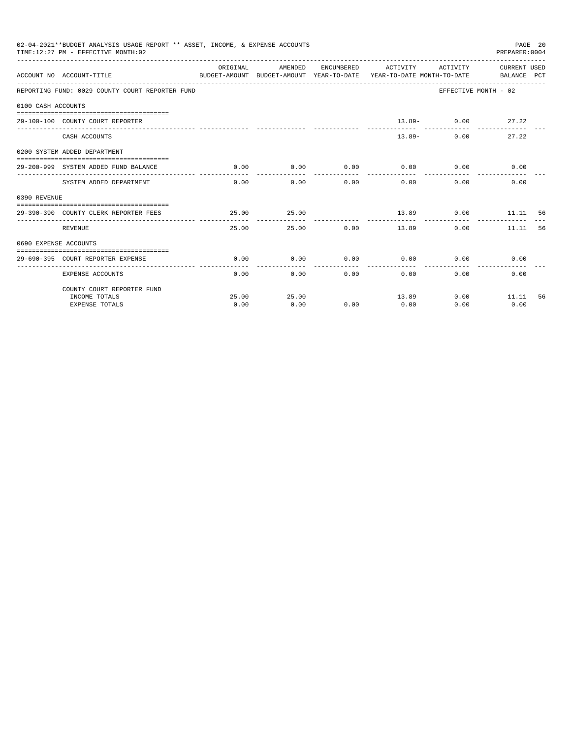|              | 02-04-2021**BUDGET ANALYSIS USAGE REPORT ** ASSET, INCOME, & EXPENSE ACCOUNTS<br>PAGE 20<br>TIME: 12:27 PM - EFFECTIVE MONTH: 02<br>PREPARER: 0004<br>ORIGINAL<br>AMENDED<br>ENCUMBERED ACTIVITY ACTIVITY CURRENT USED<br>BUDGET-AMOUNT BUDGET-AMOUNT YEAR-TO-DATE YEAR-TO-DATE MONTH-TO-DATE BALANCE PCT<br>ACCOUNT NO ACCOUNT-TITLE<br>REPORTING FUND: 0029 COUNTY COURT REPORTER FUND<br>EFFECTIVE MONTH - 02<br>0100 CASH ACCOUNTS<br>$13.89 - 0.00$ 27.22<br>29-100-100 COUNTY COURT REPORTER<br>27.22<br>CASH ACCOUNTS<br>$13.89-$<br>0.00<br>0200 SYSTEM ADDED DEPARTMENT<br>0.00<br>$0.00$ 0.00<br>0.00<br>0.00<br>0.00<br>29-200-999 SYSTEM ADDED FUND BALANCE<br>. _ _ _ _ _ _ _ _ _ _<br>------------<br>-------------<br>0.00<br>0.00<br>$0.00$ and $0.00$<br>$0.00$ and $0.00$<br>$0.00 -$<br>0.00<br>SYSTEM ADDED DEPARTMENT<br>25.00<br>25.00<br>13.89 0.00 11.11 56<br>29-390-390 COUNTY CLERK REPORTER FEES<br>.<br>25.00 0.00 13.89<br>REVENUE<br>25.00<br>0.00<br>11.11<br>56<br>0690 EXPENSE ACCOUNTS<br>0.00<br>0.00<br>0.00<br>0.00<br>0.00<br>0.00<br>29-690-395 COURT REPORTER EXPENSE |       |       |      |       |                           |              |    |
|--------------|----------------------------------------------------------------------------------------------------------------------------------------------------------------------------------------------------------------------------------------------------------------------------------------------------------------------------------------------------------------------------------------------------------------------------------------------------------------------------------------------------------------------------------------------------------------------------------------------------------------------------------------------------------------------------------------------------------------------------------------------------------------------------------------------------------------------------------------------------------------------------------------------------------------------------------------------------------------------------------------------------------------------------------------------------------------------------------------------------------------|-------|-------|------|-------|---------------------------|--------------|----|
|              |                                                                                                                                                                                                                                                                                                                                                                                                                                                                                                                                                                                                                                                                                                                                                                                                                                                                                                                                                                                                                                                                                                                |       |       |      |       |                           |              |    |
|              |                                                                                                                                                                                                                                                                                                                                                                                                                                                                                                                                                                                                                                                                                                                                                                                                                                                                                                                                                                                                                                                                                                                |       |       |      |       |                           |              |    |
|              |                                                                                                                                                                                                                                                                                                                                                                                                                                                                                                                                                                                                                                                                                                                                                                                                                                                                                                                                                                                                                                                                                                                |       |       |      |       |                           |              |    |
|              |                                                                                                                                                                                                                                                                                                                                                                                                                                                                                                                                                                                                                                                                                                                                                                                                                                                                                                                                                                                                                                                                                                                |       |       |      |       |                           |              |    |
|              |                                                                                                                                                                                                                                                                                                                                                                                                                                                                                                                                                                                                                                                                                                                                                                                                                                                                                                                                                                                                                                                                                                                |       |       |      |       |                           |              |    |
|              |                                                                                                                                                                                                                                                                                                                                                                                                                                                                                                                                                                                                                                                                                                                                                                                                                                                                                                                                                                                                                                                                                                                |       |       |      |       |                           |              |    |
|              |                                                                                                                                                                                                                                                                                                                                                                                                                                                                                                                                                                                                                                                                                                                                                                                                                                                                                                                                                                                                                                                                                                                |       |       |      |       |                           |              |    |
|              |                                                                                                                                                                                                                                                                                                                                                                                                                                                                                                                                                                                                                                                                                                                                                                                                                                                                                                                                                                                                                                                                                                                |       |       |      |       |                           |              |    |
| 0390 REVENUE |                                                                                                                                                                                                                                                                                                                                                                                                                                                                                                                                                                                                                                                                                                                                                                                                                                                                                                                                                                                                                                                                                                                |       |       |      |       |                           |              |    |
|              |                                                                                                                                                                                                                                                                                                                                                                                                                                                                                                                                                                                                                                                                                                                                                                                                                                                                                                                                                                                                                                                                                                                |       |       |      |       |                           |              |    |
|              |                                                                                                                                                                                                                                                                                                                                                                                                                                                                                                                                                                                                                                                                                                                                                                                                                                                                                                                                                                                                                                                                                                                |       |       |      |       |                           |              |    |
|              |                                                                                                                                                                                                                                                                                                                                                                                                                                                                                                                                                                                                                                                                                                                                                                                                                                                                                                                                                                                                                                                                                                                |       |       |      |       |                           |              |    |
|              |                                                                                                                                                                                                                                                                                                                                                                                                                                                                                                                                                                                                                                                                                                                                                                                                                                                                                                                                                                                                                                                                                                                |       |       |      |       |                           |              |    |
|              | <b>EXPENSE ACCOUNTS</b>                                                                                                                                                                                                                                                                                                                                                                                                                                                                                                                                                                                                                                                                                                                                                                                                                                                                                                                                                                                                                                                                                        | 0.00  |       | 0.00 | 0.00  | $0.00$ and $0.00$<br>0.00 | 0.00         |    |
|              | COUNTY COURT REPORTER FUND                                                                                                                                                                                                                                                                                                                                                                                                                                                                                                                                                                                                                                                                                                                                                                                                                                                                                                                                                                                                                                                                                     |       |       |      |       |                           |              |    |
|              | INCOME TOTALS                                                                                                                                                                                                                                                                                                                                                                                                                                                                                                                                                                                                                                                                                                                                                                                                                                                                                                                                                                                                                                                                                                  | 25.00 | 25.00 |      | 13.89 |                           | $0.00$ 11.11 | 56 |
|              | <b>EXPENSE TOTALS</b>                                                                                                                                                                                                                                                                                                                                                                                                                                                                                                                                                                                                                                                                                                                                                                                                                                                                                                                                                                                                                                                                                          | 0.00  | 0.00  | 0.00 | 0.00  | 0.00                      | 0.00         |    |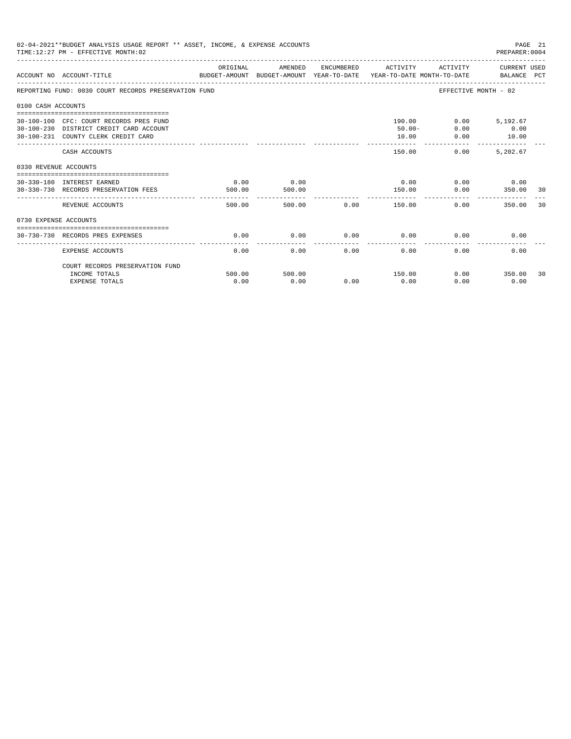| 02-04-2021**BUDGET ANALYSIS USAGE REPORT ** ASSET, INCOME, & EXPENSE ACCOUNTS<br>PAGE 21<br>TIME: 12:27 PM - EFFECTIVE MONTH: 02<br>PREPARER:0004<br>ORIGINAL<br>AMENDED<br>ENCUMBERED ACTIVITY<br>ACTIVITY CURRENT USED<br>ACCOUNT NO ACCOUNT-TITLE CONTROL CONTROLLER TO BUDGET-AMOUNT BUDGET-AMOUNT YEAR-TO-DATE YEAR-TO-DATE MONTH-TO-DATE<br>REPORTING FUND: 0030 COURT RECORDS PRESERVATION FUND<br>EFFECTIVE MONTH - 02<br>0100 CASH ACCOUNTS<br>190.00<br>$0.00$ 5,192.67<br>30-100-100 CFC: COURT RECORDS PRES FUND<br>0.00<br>$50.00 -$<br>0.00<br>30-100-230 DISTRICT CREDIT CARD ACCOUNT<br>10.00<br>30-100-231 COUNTY CLERK CREDIT CARD<br>10.00<br>0.00<br>------------<br>--------------<br>0.00<br>5,202.67<br>150.00<br>CASH ACCOUNTS<br>0330 REVENUE ACCOUNTS<br>0.00<br>0.00<br>$0.00$ 0.00<br>30-330-180 INTEREST EARNED<br>0.00<br>350.00 30<br>0.00<br>30-330-730 RECORDS PRESERVATION FEES<br>500.00<br>500.00<br>150.00<br>.<br>REVENUE ACCOUNTS<br>500.00<br>0.00<br>350.00<br>30<br>0730 EXPENSE ACCOUNTS<br>0.00<br>0.00<br>0.00<br>0.00<br>0.00<br>0.00<br>30-730-730 RECORDS PRES EXPENSES |                |                |      |                |      |               |    |
|-------------------------------------------------------------------------------------------------------------------------------------------------------------------------------------------------------------------------------------------------------------------------------------------------------------------------------------------------------------------------------------------------------------------------------------------------------------------------------------------------------------------------------------------------------------------------------------------------------------------------------------------------------------------------------------------------------------------------------------------------------------------------------------------------------------------------------------------------------------------------------------------------------------------------------------------------------------------------------------------------------------------------------------------------------------------------------------------------------------------------|----------------|----------------|------|----------------|------|---------------|----|
|                                                                                                                                                                                                                                                                                                                                                                                                                                                                                                                                                                                                                                                                                                                                                                                                                                                                                                                                                                                                                                                                                                                         |                |                |      |                |      |               |    |
|                                                                                                                                                                                                                                                                                                                                                                                                                                                                                                                                                                                                                                                                                                                                                                                                                                                                                                                                                                                                                                                                                                                         |                |                |      |                |      |               |    |
|                                                                                                                                                                                                                                                                                                                                                                                                                                                                                                                                                                                                                                                                                                                                                                                                                                                                                                                                                                                                                                                                                                                         |                |                |      |                |      |               |    |
|                                                                                                                                                                                                                                                                                                                                                                                                                                                                                                                                                                                                                                                                                                                                                                                                                                                                                                                                                                                                                                                                                                                         |                |                |      |                |      |               |    |
|                                                                                                                                                                                                                                                                                                                                                                                                                                                                                                                                                                                                                                                                                                                                                                                                                                                                                                                                                                                                                                                                                                                         |                |                |      |                |      |               |    |
|                                                                                                                                                                                                                                                                                                                                                                                                                                                                                                                                                                                                                                                                                                                                                                                                                                                                                                                                                                                                                                                                                                                         |                |                |      |                |      |               |    |
|                                                                                                                                                                                                                                                                                                                                                                                                                                                                                                                                                                                                                                                                                                                                                                                                                                                                                                                                                                                                                                                                                                                         |                |                |      |                |      |               |    |
|                                                                                                                                                                                                                                                                                                                                                                                                                                                                                                                                                                                                                                                                                                                                                                                                                                                                                                                                                                                                                                                                                                                         |                |                |      |                |      |               |    |
|                                                                                                                                                                                                                                                                                                                                                                                                                                                                                                                                                                                                                                                                                                                                                                                                                                                                                                                                                                                                                                                                                                                         |                |                |      |                |      |               |    |
|                                                                                                                                                                                                                                                                                                                                                                                                                                                                                                                                                                                                                                                                                                                                                                                                                                                                                                                                                                                                                                                                                                                         |                |                |      |                |      |               |    |
| <b>EXPENSE ACCOUNTS</b>                                                                                                                                                                                                                                                                                                                                                                                                                                                                                                                                                                                                                                                                                                                                                                                                                                                                                                                                                                                                                                                                                                 | 0.00           | 0.00           | 0.00 | 0.00           | 0.00 | 0.00          |    |
| COURT RECORDS PRESERVATION FUND                                                                                                                                                                                                                                                                                                                                                                                                                                                                                                                                                                                                                                                                                                                                                                                                                                                                                                                                                                                                                                                                                         |                |                |      |                |      | $0.00$ 350.00 |    |
| INCOME TOTALS<br><b>EXPENSE TOTALS</b>                                                                                                                                                                                                                                                                                                                                                                                                                                                                                                                                                                                                                                                                                                                                                                                                                                                                                                                                                                                                                                                                                  | 500.00<br>0.00 | 500.00<br>0.00 | 0.00 | 150.00<br>0.00 | 0.00 | 0.00          | 30 |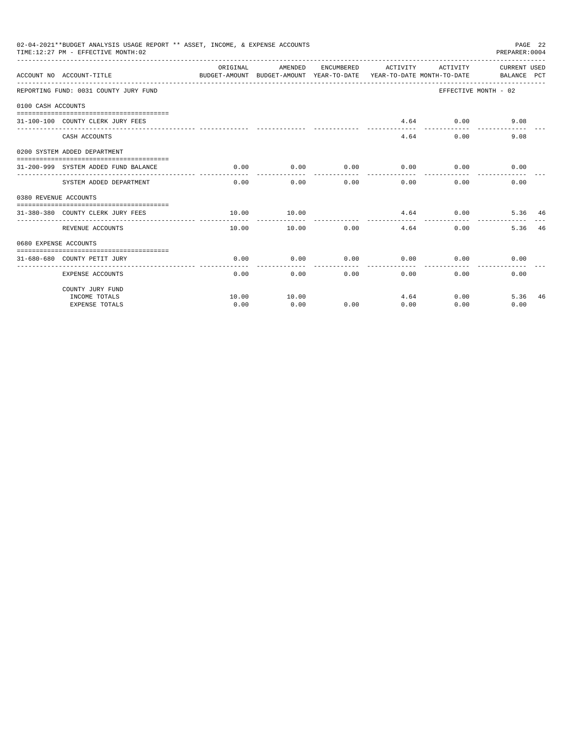|                       | 02-04-2021**BUDGET ANALYSIS USAGE REPORT ** ASSET, INCOME, & EXPENSE ACCOUNTS<br>TIME: 12:27 PM - EFFECTIVE MONTH: 02 |          |                       |              |              |                                                   | PAGE 22<br>PREPARER: 0004 |    |
|-----------------------|-----------------------------------------------------------------------------------------------------------------------|----------|-----------------------|--------------|--------------|---------------------------------------------------|---------------------------|----|
|                       | BUDGET-AMOUNT BUDGET-AMOUNT YEAR-TO-DATE YEAR-TO-DATE_MONTH-TO-DATE BALANCE PCT<br>ACCOUNT NO ACCOUNT-TITLE           | ORIGINAL |                       |              |              | AMENDED ENCUMBERED ACTIVITY ACTIVITY CURRENT USED |                           |    |
|                       | REPORTING FUND: 0031 COUNTY JURY FUND                                                                                 |          |                       |              |              |                                                   | EFFECTIVE MONTH - 02      |    |
| 0100 CASH ACCOUNTS    |                                                                                                                       |          |                       |              |              |                                                   |                           |    |
|                       | 31-100-100 COUNTY CLERK JURY FEES                                                                                     |          |                       |              |              | $4.64$ 0.00                                       | 9.08                      |    |
|                       | CASH ACCOUNTS                                                                                                         |          |                       |              |              | 4.64<br>0.00                                      | 9.08                      |    |
|                       | 0200 SYSTEM ADDED DEPARTMENT                                                                                          |          |                       |              |              |                                                   |                           |    |
|                       | 31-200-999 SYSTEM ADDED FUND BALANCE                                                                                  | 0.00     | 0.00<br>------------- | ------------ | .            | $0.00$ $0.00$ $0.00$ $0.00$<br>-----------        | 0.00                      |    |
|                       | SYSTEM ADDED DEPARTMENT                                                                                               |          | $0.00$ 0.00           |              | 0.00         | $0.00$ and $0.00$<br>0.00                         | 0.00                      |    |
| 0380 REVENUE ACCOUNTS |                                                                                                                       |          |                       |              |              |                                                   |                           |    |
|                       | 31-380-380 COUNTY CLERK JURY FEES                                                                                     | 10.00    | 10.00                 |              |              | $4.64$ 0.00                                       | 5.36 46                   |    |
|                       | REVENUE ACCOUNTS                                                                                                      | 10.00    | 10.00                 |              | 0.00<br>4.64 |                                                   | 0.00<br>5.36              | 46 |
| 0680 EXPENSE ACCOUNTS |                                                                                                                       |          |                       |              |              |                                                   |                           |    |
|                       | 31-680-680 COUNTY PETIT JURY                                                                                          | 0.00     | 0.00                  | 0.00         | 0.00         | 0.00                                              | 0.00                      |    |
|                       | <b>EXPENSE ACCOUNTS</b>                                                                                               | 0.00     |                       | 0.00         | 0.00         | 0.00                                              | 0.00<br>0.00              |    |
|                       | COUNTY JURY FUND                                                                                                      |          |                       |              |              |                                                   |                           |    |
|                       | INCOME TOTALS                                                                                                         | 10.00    | 10.00                 |              |              | 4.64                                              | 5.36<br>0.00              | 46 |
|                       | <b>EXPENSE TOTALS</b>                                                                                                 | 0.00     | 0.00                  | 0.00         | 0.00         | 0.00                                              | 0.00                      |    |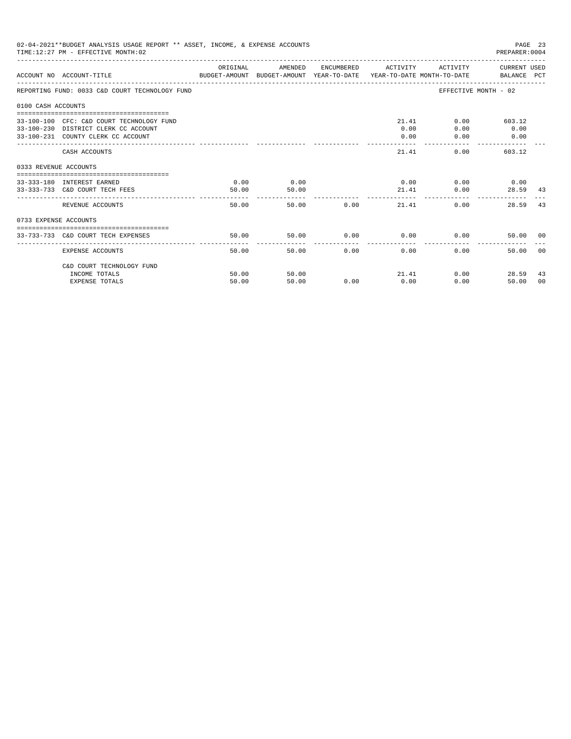| 02-04-2021**BUDGET ANALYSIS USAGE REPORT ** ASSET, INCOME, & EXPENSE ACCOUNTS<br>PAGE 23<br>TIME: 12:27 PM - EFFECTIVE MONTH: 02<br>PREPARER: 0004<br>ACTIVITY CURRENT USED<br>ORIGINAL<br>AMENDED<br>ENCUMBERED ACTIVITY<br>BUDGET-AMOUNT BUDGET-AMOUNT YEAR-TO-DATE  YEAR-TO-DATE MONTH-TO-DATE     BALANCE PCT<br>ACCOUNT NO ACCOUNT-TITLE<br>EFFECTIVE MONTH - 02<br>REPORTING FUND: 0033 C&D COURT TECHNOLOGY FUND<br>0100 CASH ACCOUNTS<br>21.41<br>33-100-100 CFC: C&D COURT TECHNOLOGY FUND<br>$0.00$ 603.12<br>0.00<br>33-100-230 DISTRICT CLERK CC ACCOUNT<br>0.00<br>0.00<br>33-100-231 COUNTY CLERK CC ACCOUNT<br>0.00<br>0.00<br>0.00<br>21.41<br>0.00<br>603.12<br>CASH ACCOUNTS<br>0333 REVENUE ACCOUNTS<br>0.00<br>$0.00$ $0.00$ $0.00$ $0.00$<br>0.00<br>33-333-180 INTEREST EARNED<br>50.00<br>33-333-733 C&D COURT TECH FEES<br>21.41<br>50.00<br>0.00<br>.<br>50.00<br>50.00 0.00<br>21.41<br>0.00<br>REVENUE ACCOUNTS<br>28.59<br>0733 EXPENSE ACCOUNTS<br>50.00<br>$0.00$ $0.00$ $0.00$ $0.00$<br>50.00<br>33-733-733 C&D COURT TECH EXPENSES<br>50.00<br>50.00<br>0.00<br>0.00<br>0.00<br>EXPENSE ACCOUNTS<br>50.00 |                                        |                |                |      |      |               |                                    |
|--------------------------------------------------------------------------------------------------------------------------------------------------------------------------------------------------------------------------------------------------------------------------------------------------------------------------------------------------------------------------------------------------------------------------------------------------------------------------------------------------------------------------------------------------------------------------------------------------------------------------------------------------------------------------------------------------------------------------------------------------------------------------------------------------------------------------------------------------------------------------------------------------------------------------------------------------------------------------------------------------------------------------------------------------------------------------------------------------------------------------------------------|----------------------------------------|----------------|----------------|------|------|---------------|------------------------------------|
|                                                                                                                                                                                                                                                                                                                                                                                                                                                                                                                                                                                                                                                                                                                                                                                                                                                                                                                                                                                                                                                                                                                                            |                                        |                |                |      |      |               |                                    |
|                                                                                                                                                                                                                                                                                                                                                                                                                                                                                                                                                                                                                                                                                                                                                                                                                                                                                                                                                                                                                                                                                                                                            |                                        |                |                |      |      |               |                                    |
|                                                                                                                                                                                                                                                                                                                                                                                                                                                                                                                                                                                                                                                                                                                                                                                                                                                                                                                                                                                                                                                                                                                                            |                                        |                |                |      |      |               |                                    |
|                                                                                                                                                                                                                                                                                                                                                                                                                                                                                                                                                                                                                                                                                                                                                                                                                                                                                                                                                                                                                                                                                                                                            |                                        |                |                |      |      |               |                                    |
|                                                                                                                                                                                                                                                                                                                                                                                                                                                                                                                                                                                                                                                                                                                                                                                                                                                                                                                                                                                                                                                                                                                                            |                                        |                |                |      |      |               |                                    |
|                                                                                                                                                                                                                                                                                                                                                                                                                                                                                                                                                                                                                                                                                                                                                                                                                                                                                                                                                                                                                                                                                                                                            |                                        |                |                |      |      |               |                                    |
|                                                                                                                                                                                                                                                                                                                                                                                                                                                                                                                                                                                                                                                                                                                                                                                                                                                                                                                                                                                                                                                                                                                                            |                                        |                |                |      |      |               | 28.59 43                           |
|                                                                                                                                                                                                                                                                                                                                                                                                                                                                                                                                                                                                                                                                                                                                                                                                                                                                                                                                                                                                                                                                                                                                            |                                        |                |                |      |      |               | 43                                 |
|                                                                                                                                                                                                                                                                                                                                                                                                                                                                                                                                                                                                                                                                                                                                                                                                                                                                                                                                                                                                                                                                                                                                            |                                        |                |                |      |      |               |                                    |
|                                                                                                                                                                                                                                                                                                                                                                                                                                                                                                                                                                                                                                                                                                                                                                                                                                                                                                                                                                                                                                                                                                                                            |                                        |                |                |      |      |               | 50.00 00                           |
|                                                                                                                                                                                                                                                                                                                                                                                                                                                                                                                                                                                                                                                                                                                                                                                                                                                                                                                                                                                                                                                                                                                                            |                                        |                |                |      |      |               | 0 <sub>0</sub>                     |
|                                                                                                                                                                                                                                                                                                                                                                                                                                                                                                                                                                                                                                                                                                                                                                                                                                                                                                                                                                                                                                                                                                                                            | C&D COURT TECHNOLOGY FUND              |                |                |      |      |               |                                    |
|                                                                                                                                                                                                                                                                                                                                                                                                                                                                                                                                                                                                                                                                                                                                                                                                                                                                                                                                                                                                                                                                                                                                            | INCOME TOTALS<br><b>EXPENSE TOTALS</b> | 50.00<br>50.00 | 50.00<br>50.00 | 0.00 | 0.00 | 21.41<br>0.00 | 0.00<br>28.59<br>43<br>50.00<br>00 |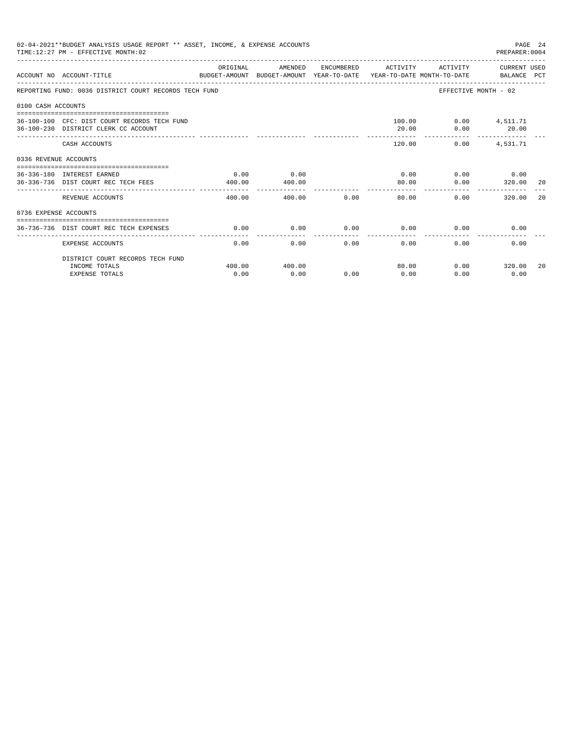|                    | 02-04-2021**BUDGET ANALYSIS USAGE REPORT ** ASSET, INCOME, & EXPENSE ACCOUNTS<br>PAGE 24<br>TIME: 12:27 PM - EFFECTIVE MONTH: 02<br>PREPARER: 0004<br>ENCUMBERED ACTIVITY<br>ACTIVITY CURRENT USED<br>ORIGINAL<br>AMENDED<br>ACCOUNT NO ACCOUNT-TITLE<br>BUDGET-AMOUNT BUDGET-AMOUNT YEAR-TO-DATE  YEAR-TO-DATE MONTH-TO-DATE      BALANCE PCT<br>REPORTING FUND: 0036 DISTRICT COURT RECORDS TECH FUND<br>EFFECTIVE MONTH - 02<br>100.00   0.00   4,511.71<br>36-100-100 CFC: DIST COURT RECORDS TECH FUND<br>36-100-230 DISTRICT CLERK CC ACCOUNT<br>20.00<br>0.00<br>20.00<br>120.00<br>0.00<br>4,531.71<br>CASH ACCOUNTS<br>0336 REVENUE ACCOUNTS<br>$0.00$ 0.00<br>0.00<br>0.00<br>36-336-180 INTEREST EARNED<br>0.00<br>80.00<br>36-336-736 DIST COURT REC TECH FEES<br>400.00<br>400.00<br>0.00<br>320.00<br>-20<br>REVENUE ACCOUNTS<br>400.00<br>0.00<br>320.00<br>400.00<br>80.00<br>0.00<br>20<br>0736 EXPENSE ACCOUNTS |                |                |      |               |      |                       |    |
|--------------------|-----------------------------------------------------------------------------------------------------------------------------------------------------------------------------------------------------------------------------------------------------------------------------------------------------------------------------------------------------------------------------------------------------------------------------------------------------------------------------------------------------------------------------------------------------------------------------------------------------------------------------------------------------------------------------------------------------------------------------------------------------------------------------------------------------------------------------------------------------------------------------------------------------------------------------------|----------------|----------------|------|---------------|------|-----------------------|----|
|                    |                                                                                                                                                                                                                                                                                                                                                                                                                                                                                                                                                                                                                                                                                                                                                                                                                                                                                                                                   |                |                |      |               |      |                       |    |
|                    |                                                                                                                                                                                                                                                                                                                                                                                                                                                                                                                                                                                                                                                                                                                                                                                                                                                                                                                                   |                |                |      |               |      |                       |    |
| 0100 CASH ACCOUNTS |                                                                                                                                                                                                                                                                                                                                                                                                                                                                                                                                                                                                                                                                                                                                                                                                                                                                                                                                   |                |                |      |               |      |                       |    |
|                    |                                                                                                                                                                                                                                                                                                                                                                                                                                                                                                                                                                                                                                                                                                                                                                                                                                                                                                                                   |                |                |      |               |      |                       |    |
|                    |                                                                                                                                                                                                                                                                                                                                                                                                                                                                                                                                                                                                                                                                                                                                                                                                                                                                                                                                   |                |                |      |               |      |                       |    |
|                    |                                                                                                                                                                                                                                                                                                                                                                                                                                                                                                                                                                                                                                                                                                                                                                                                                                                                                                                                   |                |                |      |               |      |                       |    |
|                    |                                                                                                                                                                                                                                                                                                                                                                                                                                                                                                                                                                                                                                                                                                                                                                                                                                                                                                                                   |                |                |      |               |      |                       |    |
|                    |                                                                                                                                                                                                                                                                                                                                                                                                                                                                                                                                                                                                                                                                                                                                                                                                                                                                                                                                   |                |                |      |               |      |                       |    |
|                    |                                                                                                                                                                                                                                                                                                                                                                                                                                                                                                                                                                                                                                                                                                                                                                                                                                                                                                                                   |                |                |      |               |      |                       |    |
|                    | 36-736-736 DIST COURT REC TECH EXPENSES                                                                                                                                                                                                                                                                                                                                                                                                                                                                                                                                                                                                                                                                                                                                                                                                                                                                                           | 0.00           | 0.00           | 0.00 | 0.00          |      | 0.00<br>0.00          |    |
|                    | <b>EXPENSE ACCOUNTS</b>                                                                                                                                                                                                                                                                                                                                                                                                                                                                                                                                                                                                                                                                                                                                                                                                                                                                                                           | 0.00           | 0.00           | 0.00 | 0.00          | 0.00 | 0.00                  |    |
|                    | DISTRICT COURT RECORDS TECH FUND                                                                                                                                                                                                                                                                                                                                                                                                                                                                                                                                                                                                                                                                                                                                                                                                                                                                                                  |                |                |      |               |      |                       |    |
|                    | INCOME TOTALS<br><b>EXPENSE TOTALS</b>                                                                                                                                                                                                                                                                                                                                                                                                                                                                                                                                                                                                                                                                                                                                                                                                                                                                                            | 400.00<br>0.00 | 400.00<br>0.00 | 0.00 | 80.00<br>0.00 | 0.00 | $0.00$ 320.00<br>0.00 | 20 |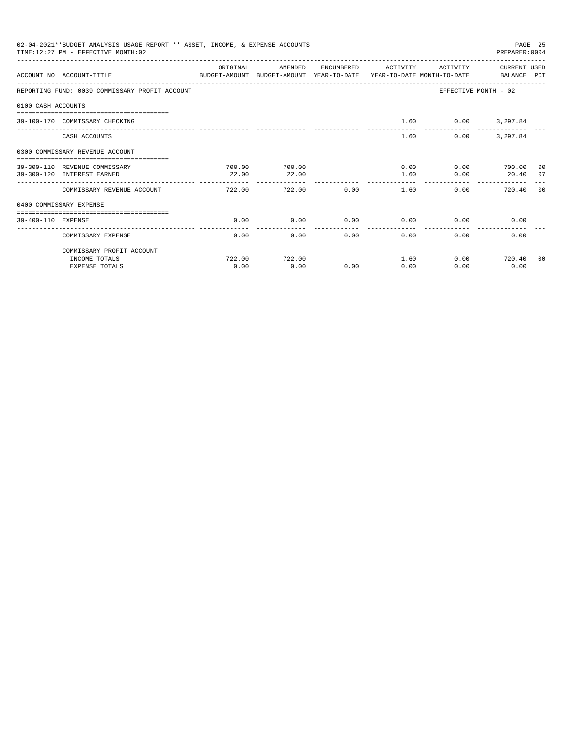|                    | 02-04-2021**BUDGET ANALYSIS USAGE REPORT ** ASSET, INCOME, & EXPENSE ACCOUNTS<br>TIME: 12:27 PM - EFFECTIVE MONTH: 02 |          |                         |      |                     |                      | PAGE 25<br>PREPARER: 0004 |    |
|--------------------|-----------------------------------------------------------------------------------------------------------------------|----------|-------------------------|------|---------------------|----------------------|---------------------------|----|
|                    | ACCOUNT NO ACCOUNT-TITLE CONTROL SUDGET-AMOUNT BUDGET-AMOUNT YEAR-TO-DATE YEAR-TO-DATE MONTH-TO-DATE BALANCE PCT      | ORIGINAL | AMENDED                 |      | ENCUMBERED ACTIVITY | ACTIVITY             | CURRENT USED              |    |
|                    | REPORTING FUND: 0039 COMMISSARY PROFIT ACCOUNT                                                                        |          |                         |      |                     | EFFECTIVE MONTH - 02 |                           |    |
| 0100 CASH ACCOUNTS |                                                                                                                       |          |                         |      |                     |                      |                           |    |
|                    | 39-100-170 COMMISSARY CHECKING                                                                                        |          |                         |      | 1.60                |                      | $0.00$ 3,297.84           |    |
|                    | CASH ACCOUNTS                                                                                                         |          |                         |      | 1.60                | 0.00                 | 3,297.84                  |    |
|                    | 0300 COMMISSARY REVENUE ACCOUNT<br>=====================================                                              |          |                         |      |                     |                      |                           |    |
|                    | 39-300-110 REVENUE COMMISSARY                                                                                         | 700.00   | 700.00                  |      | 0.00                |                      | 0.00 700.00 00            |    |
|                    | 39-300-120 INTEREST EARNED                                                                                            | 22.00    | 22.00                   |      | 1.60                | 0.00                 | 20.40                     | 07 |
|                    | COMMISSARY REVENUE ACCOUNT                                                                                            | 722.00   | -------------<br>722.00 | 0.00 | 1.60                | 0.00                 | 720.40                    | 00 |
|                    | 0400 COMMISSARY EXPENSE                                                                                               |          |                         |      |                     |                      |                           |    |
| 39-400-110 EXPENSE |                                                                                                                       | 0.00     | 0.00                    | 0.00 | 0.00                | 0.00                 | 0.00                      |    |
|                    | COMMISSARY EXPENSE                                                                                                    | 0.00     | 0.00                    | 0.00 | -------<br>0.00     | 0.00                 | 0.00                      |    |
|                    | COMMISSARY PROFIT ACCOUNT                                                                                             |          |                         |      |                     |                      |                           |    |
|                    | INCOME TOTALS                                                                                                         | 722.00   | 722.00                  |      | 1.60                | 0.00                 | 720.40                    | 00 |
|                    | <b>EXPENSE TOTALS</b>                                                                                                 | 0.00     | 0.00                    | 0.00 | 0.00                | 0.00                 | 0.00                      |    |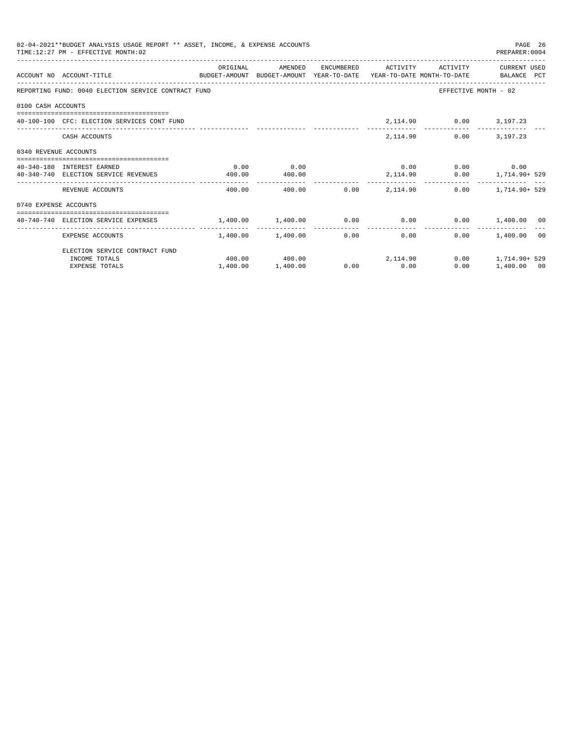| 02-04-2021**BUDGET ANALYSIS USAGE REPORT ** ASSET, INCOME, & EXPENSE ACCOUNTS<br>PAGE 26<br>TIME: 12:27 PM - EFFECTIVE MONTH: 02<br>PREPARER: 0004<br>ORIGINAL<br>AMENDED<br>ENCUMBERED ACTIVITY ACTIVITY<br>CURRENT USED<br>ACCOUNT NO ACCOUNT-TITLE COMPUTE SUDGET-AMOUNT BUDGET-AMOUNT YEAR-TO-DATE YEAR-TO-DATE MONTH-TO-DATE BALANCE PCT<br>REPORTING FUND: 0040 ELECTION SERVICE CONTRACT FUND<br>EFFECTIVE MONTH - 02<br>0100 CASH ACCOUNTS<br>2, 114.90 0.00 3, 197.23<br>40-100-100 CFC: ELECTION SERVICES CONT FUND<br>2,114.90<br>$0.00$ $3.197.23$<br>CASH ACCOUNTS<br>0340 REVENUE ACCOUNTS<br>0.00<br>$0.00$ $0.00$ $0.00$ $0.00$<br>0.00<br>40-340-180 INTEREST EARNED<br>2,114.90   0.00   1,714.90+ 529<br>40-340-740 ELECTION SERVICE REVENUES<br>400.00<br>400.00<br>-------------<br>$0.00$ 2.114.90<br>$0.00$ 1, 714, 90+ 529<br>REVENUE ACCOUNTS<br>400.00<br>400.00<br>0740 EXPENSE ACCOUNTS<br>$1,400.00$ $0.00$ $0.00$ $0.00$ $0.00$ $0.00$ $0.00$ $0.00$ $0.00$ $0.00$ $0.00$ $0.00$ $0.00$ $0.00$<br>----------------<br>$1.400.00$ $1.400.00$<br>0.00<br>0.00<br>$0.00$ 1,400.00 00<br>EXPENSE ACCOUNTS<br>ELECTION SERVICE CONTRACT FUND<br>$400.00$ $400.00$ $2,114.90$<br>$0.00$ 1, 714, 90+ 529 |                       |          |          |             |      |             |  |
|---------------------------------------------------------------------------------------------------------------------------------------------------------------------------------------------------------------------------------------------------------------------------------------------------------------------------------------------------------------------------------------------------------------------------------------------------------------------------------------------------------------------------------------------------------------------------------------------------------------------------------------------------------------------------------------------------------------------------------------------------------------------------------------------------------------------------------------------------------------------------------------------------------------------------------------------------------------------------------------------------------------------------------------------------------------------------------------------------------------------------------------------------------------------------------------------------------------------------------|-----------------------|----------|----------|-------------|------|-------------|--|
|                                                                                                                                                                                                                                                                                                                                                                                                                                                                                                                                                                                                                                                                                                                                                                                                                                                                                                                                                                                                                                                                                                                                                                                                                                 |                       |          |          |             |      |             |  |
|                                                                                                                                                                                                                                                                                                                                                                                                                                                                                                                                                                                                                                                                                                                                                                                                                                                                                                                                                                                                                                                                                                                                                                                                                                 |                       |          |          |             |      |             |  |
|                                                                                                                                                                                                                                                                                                                                                                                                                                                                                                                                                                                                                                                                                                                                                                                                                                                                                                                                                                                                                                                                                                                                                                                                                                 |                       |          |          |             |      |             |  |
|                                                                                                                                                                                                                                                                                                                                                                                                                                                                                                                                                                                                                                                                                                                                                                                                                                                                                                                                                                                                                                                                                                                                                                                                                                 |                       |          |          |             |      |             |  |
|                                                                                                                                                                                                                                                                                                                                                                                                                                                                                                                                                                                                                                                                                                                                                                                                                                                                                                                                                                                                                                                                                                                                                                                                                                 |                       |          |          |             |      |             |  |
|                                                                                                                                                                                                                                                                                                                                                                                                                                                                                                                                                                                                                                                                                                                                                                                                                                                                                                                                                                                                                                                                                                                                                                                                                                 |                       |          |          |             |      |             |  |
|                                                                                                                                                                                                                                                                                                                                                                                                                                                                                                                                                                                                                                                                                                                                                                                                                                                                                                                                                                                                                                                                                                                                                                                                                                 |                       |          |          |             |      |             |  |
|                                                                                                                                                                                                                                                                                                                                                                                                                                                                                                                                                                                                                                                                                                                                                                                                                                                                                                                                                                                                                                                                                                                                                                                                                                 |                       |          |          |             |      |             |  |
|                                                                                                                                                                                                                                                                                                                                                                                                                                                                                                                                                                                                                                                                                                                                                                                                                                                                                                                                                                                                                                                                                                                                                                                                                                 |                       |          |          |             |      |             |  |
|                                                                                                                                                                                                                                                                                                                                                                                                                                                                                                                                                                                                                                                                                                                                                                                                                                                                                                                                                                                                                                                                                                                                                                                                                                 |                       |          |          |             |      |             |  |
|                                                                                                                                                                                                                                                                                                                                                                                                                                                                                                                                                                                                                                                                                                                                                                                                                                                                                                                                                                                                                                                                                                                                                                                                                                 |                       |          |          |             |      |             |  |
|                                                                                                                                                                                                                                                                                                                                                                                                                                                                                                                                                                                                                                                                                                                                                                                                                                                                                                                                                                                                                                                                                                                                                                                                                                 |                       |          |          |             |      |             |  |
|                                                                                                                                                                                                                                                                                                                                                                                                                                                                                                                                                                                                                                                                                                                                                                                                                                                                                                                                                                                                                                                                                                                                                                                                                                 |                       |          |          |             |      |             |  |
|                                                                                                                                                                                                                                                                                                                                                                                                                                                                                                                                                                                                                                                                                                                                                                                                                                                                                                                                                                                                                                                                                                                                                                                                                                 | INCOME TOTALS         |          |          |             |      |             |  |
|                                                                                                                                                                                                                                                                                                                                                                                                                                                                                                                                                                                                                                                                                                                                                                                                                                                                                                                                                                                                                                                                                                                                                                                                                                 | <b>EXPENSE TOTALS</b> | 1,400.00 | 1,400.00 | $0.00$ 0.00 | 0.00 | 1,400.00 00 |  |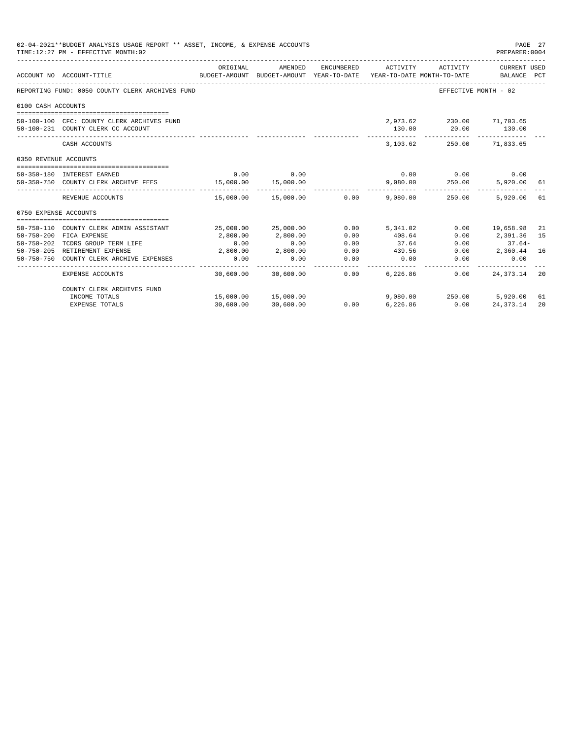| 02-04-2021**BUDGET ANALYSIS USAGE REPORT ** ASSET, INCOME, & EXPENSE ACCOUNTS<br>PAGE 27<br>TIME: 12:27 PM - EFFECTIVE MONTH: 02<br>PREPARER: 0004<br>ORIGINAL<br>ENCUMBERED<br>CURRENT USED<br>AMENDED<br>ACTIVITY<br>ACTIVITY<br>ACCOUNT NO ACCOUNT-TITLE<br>BUDGET-AMOUNT BUDGET-AMOUNT YEAR-TO-DATE<br>YEAR-TO-DATE MONTH-TO-DATE<br>BALANCE PCT<br>REPORTING FUND: 0050 COUNTY CLERK ARCHIVES FUND<br>EFFECTIVE MONTH - 02<br>0100 CASH ACCOUNTS<br>2,973.62 230.00 71,703.65<br>50-100-100 CFC: COUNTY CLERK ARCHIVES FUND<br>130.00<br>20.00 130.00<br>50-100-231 COUNTY CLERK CC ACCOUNT<br>-------------<br>CASH ACCOUNTS<br>3,103.62<br>250.00 71.833.65<br>0350 REVENUE ACCOUNTS<br>0.00<br>$0.00$ $0.00$ $0.00$ $0.00$<br>0.00<br>50-350-180 INTEREST EARNED<br>9,080.00  250.00  5,920.00  61<br>15,000.00<br>50-350-750 COUNTY CLERK ARCHIVE FEES 15,000.00<br>-------------<br>REVENUE ACCOUNTS<br>$15.000.00$ $15.000.00$ $0.00$ $9.080.00$ $250.00$<br>5.920.00<br>0750 EXPENSE ACCOUNTS |                                         |           |                      |      |          |                          |                     |     |
|-----------------------------------------------------------------------------------------------------------------------------------------------------------------------------------------------------------------------------------------------------------------------------------------------------------------------------------------------------------------------------------------------------------------------------------------------------------------------------------------------------------------------------------------------------------------------------------------------------------------------------------------------------------------------------------------------------------------------------------------------------------------------------------------------------------------------------------------------------------------------------------------------------------------------------------------------------------------------------------------------------------|-----------------------------------------|-----------|----------------------|------|----------|--------------------------|---------------------|-----|
|                                                                                                                                                                                                                                                                                                                                                                                                                                                                                                                                                                                                                                                                                                                                                                                                                                                                                                                                                                                                           |                                         |           |                      |      |          |                          |                     |     |
|                                                                                                                                                                                                                                                                                                                                                                                                                                                                                                                                                                                                                                                                                                                                                                                                                                                                                                                                                                                                           |                                         |           |                      |      |          |                          |                     |     |
|                                                                                                                                                                                                                                                                                                                                                                                                                                                                                                                                                                                                                                                                                                                                                                                                                                                                                                                                                                                                           |                                         |           |                      |      |          |                          |                     |     |
|                                                                                                                                                                                                                                                                                                                                                                                                                                                                                                                                                                                                                                                                                                                                                                                                                                                                                                                                                                                                           |                                         |           |                      |      |          |                          |                     |     |
|                                                                                                                                                                                                                                                                                                                                                                                                                                                                                                                                                                                                                                                                                                                                                                                                                                                                                                                                                                                                           |                                         |           |                      |      |          |                          |                     |     |
|                                                                                                                                                                                                                                                                                                                                                                                                                                                                                                                                                                                                                                                                                                                                                                                                                                                                                                                                                                                                           |                                         |           |                      |      |          |                          |                     |     |
|                                                                                                                                                                                                                                                                                                                                                                                                                                                                                                                                                                                                                                                                                                                                                                                                                                                                                                                                                                                                           |                                         |           |                      |      |          |                          |                     |     |
|                                                                                                                                                                                                                                                                                                                                                                                                                                                                                                                                                                                                                                                                                                                                                                                                                                                                                                                                                                                                           |                                         |           |                      |      |          |                          |                     |     |
|                                                                                                                                                                                                                                                                                                                                                                                                                                                                                                                                                                                                                                                                                                                                                                                                                                                                                                                                                                                                           |                                         |           |                      |      |          |                          |                     | 61  |
|                                                                                                                                                                                                                                                                                                                                                                                                                                                                                                                                                                                                                                                                                                                                                                                                                                                                                                                                                                                                           |                                         |           |                      |      |          |                          |                     |     |
|                                                                                                                                                                                                                                                                                                                                                                                                                                                                                                                                                                                                                                                                                                                                                                                                                                                                                                                                                                                                           | 50-750-110 COUNTY CLERK ADMIN ASSISTANT |           | 25,000.00 25,000.00  | 0.00 | 5,341.02 |                          | $0.00$ 19,658.98 21 |     |
| $50 - 750 - 200$                                                                                                                                                                                                                                                                                                                                                                                                                                                                                                                                                                                                                                                                                                                                                                                                                                                                                                                                                                                          | FICA EXPENSE                            | 2,800.00  | 2,800.00             | 0.00 | 408.64   | 0.00                     | 2,391.36 15         |     |
| 50-750-202                                                                                                                                                                                                                                                                                                                                                                                                                                                                                                                                                                                                                                                                                                                                                                                                                                                                                                                                                                                                | TCDRS GROUP TERM LIFE                   | 0.00      | 0.00                 | 0.00 | 37.64    | 0.00                     | $37.64-$            |     |
|                                                                                                                                                                                                                                                                                                                                                                                                                                                                                                                                                                                                                                                                                                                                                                                                                                                                                                                                                                                                           | 50-750-205 RETIREMENT EXPENSE           | 2,800.00  | 2,800.00             | 0.00 | 439.56   | 0.00                     | 2,360.44 16         |     |
| 50-750-750                                                                                                                                                                                                                                                                                                                                                                                                                                                                                                                                                                                                                                                                                                                                                                                                                                                                                                                                                                                                | COUNTY CLERK ARCHIVE EXPENSES           | 0.00      | 0.00                 | 0.00 | 0.00     | 0.00                     | 0.00                |     |
|                                                                                                                                                                                                                                                                                                                                                                                                                                                                                                                                                                                                                                                                                                                                                                                                                                                                                                                                                                                                           | <b>EXPENSE ACCOUNTS</b>                 |           | 30,600.00 30,600.00  | 0.00 | 6,226.86 | 0.00                     | 24, 373, 14         | -20 |
|                                                                                                                                                                                                                                                                                                                                                                                                                                                                                                                                                                                                                                                                                                                                                                                                                                                                                                                                                                                                           | COUNTY CLERK ARCHIVES FUND              |           |                      |      |          |                          |                     |     |
|                                                                                                                                                                                                                                                                                                                                                                                                                                                                                                                                                                                                                                                                                                                                                                                                                                                                                                                                                                                                           | INCOME TOTALS                           |           | 15,000.00  15,000.00 |      |          | 9,080.00 250.00 5,920.00 |                     | 61  |
|                                                                                                                                                                                                                                                                                                                                                                                                                                                                                                                                                                                                                                                                                                                                                                                                                                                                                                                                                                                                           | <b>EXPENSE TOTALS</b>                   | 30,600.00 | 30,600.00            | 0.00 | 6,226.86 | 0.00                     | 24, 373. 14         | 20  |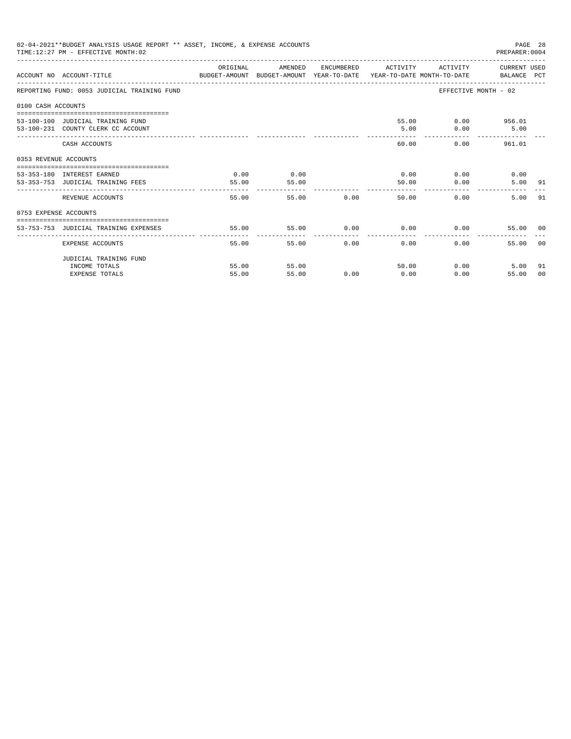|                                                                                                    | 02-04-2021**BUDGET ANALYSIS USAGE REPORT ** ASSET, INCOME, & EXPENSE ACCOUNTS<br>TIME: 12:27 PM - EFFECTIVE MONTH: 02 |                  |         |       |                             | PAGE 28<br>PREPARER: 0004 |                             |       |
|----------------------------------------------------------------------------------------------------|-----------------------------------------------------------------------------------------------------------------------|------------------|---------|-------|-----------------------------|---------------------------|-----------------------------|-------|
|                                                                                                    | ACCOUNT NO ACCOUNT-TITLE CONTROL SUDGET-AMOUNT BUDGET-AMOUNT YEAR-TO-DATE YEAR-TO-DATE MONTH-TO-DATE BALANCE PCT      | ORIGINAL         | AMENDED |       | ENCUMBERED ACTIVITY         |                           | ACTIVITY CURRENT USED       |       |
|                                                                                                    | REPORTING FUND: 0053 JUDICIAL TRAINING FUND                                                                           |                  |         |       |                             |                           | EFFECTIVE MONTH - 02        |       |
|                                                                                                    |                                                                                                                       |                  |         |       |                             |                           |                             |       |
|                                                                                                    |                                                                                                                       |                  |         |       |                             |                           |                             |       |
|                                                                                                    | 53-100-100 JUDICIAL TRAINING FUND                                                                                     |                  |         |       |                             |                           | 55.00 0.00 956.01           |       |
| 0100 CASH ACCOUNTS<br>0353 REVENUE ACCOUNTS<br>53-353-180 INTEREST EARNED<br>0753 EXPENSE ACCOUNTS | 53-100-231 COUNTY CLERK CC ACCOUNT                                                                                    |                  |         |       | 5.00                        | 0.00                      | 5.00                        |       |
|                                                                                                    | CASH ACCOUNTS                                                                                                         |                  |         |       | 60.00                       |                           | $0.00$ and $0.00$<br>961.01 |       |
|                                                                                                    |                                                                                                                       |                  |         |       |                             |                           |                             |       |
|                                                                                                    |                                                                                                                       | 0.00             | 0.00    |       |                             | $0.00$ 0.00               | 0.00                        |       |
|                                                                                                    | 53-353-753 JUDICIAL TRAINING FEES                                                                                     | 55.00            | 55.00   |       | 50.00                       | 0.00                      | 5.00 91                     |       |
|                                                                                                    | REVENUE ACCOUNTS                                                                                                      | -------<br>55.00 |         | 55.00 | 0.00                        | 50.00<br>0.00             | 5.00 91                     |       |
|                                                                                                    |                                                                                                                       |                  |         |       |                             |                           |                             |       |
|                                                                                                    |                                                                                                                       |                  |         |       |                             |                           |                             |       |
|                                                                                                    | 53-753-753 JUDICIAL TRAINING EXPENSES                                                                                 | 55.00            | 55.00   |       | $0.00$ $0.00$ $0.00$ $0.00$ |                           | 55.00 00                    |       |
|                                                                                                    | EXPENSE ACCOUNTS                                                                                                      | 55.00            | 55.00   | 0.00  | 0.00                        | $0.00 -$                  | 55.00                       | - 0.0 |
|                                                                                                    | JUDICIAL TRAINING FUND                                                                                                |                  |         |       |                             |                           |                             |       |
|                                                                                                    | INCOME TOTALS                                                                                                         | 55.00            | 55.00   |       | 50.00                       |                           | $0.00$ and $0.00$<br>5.00   | 91    |
|                                                                                                    | <b>EXPENSE TOTALS</b>                                                                                                 | 55.00            | 55.00   | 0.00  | 0.00                        | 0.00                      | 55.00                       | 00    |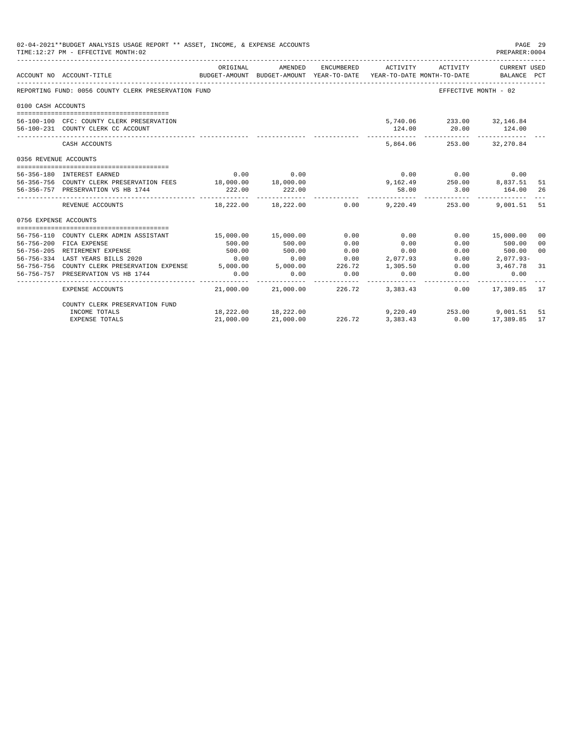|                       | 02-04-2021**BUDGET ANALYSIS USAGE REPORT ** ASSET, INCOME, & EXPENSE ACCOUNTS<br>PAGE 29<br>TIME: 12:27 PM - EFFECTIVE MONTH: 02<br>PREPARER: 0004                                                                                                |           |                                                                                |            |                       |                                                    |                                |                |  |
|-----------------------|---------------------------------------------------------------------------------------------------------------------------------------------------------------------------------------------------------------------------------------------------|-----------|--------------------------------------------------------------------------------|------------|-----------------------|----------------------------------------------------|--------------------------------|----------------|--|
|                       | ACCOUNT NO ACCOUNT-TITLE                                                                                                                                                                                                                          | ORIGINAL  | AMENDED<br>BUDGET-AMOUNT BUDGET-AMOUNT YEAR-TO-DATE YEAR-TO-DATE MONTH-TO-DATE | ENCUMBERED | ACTIVITY              | ACTIVITY                                           | CURRENT USED<br>BALANCE PCT    |                |  |
|                       | REPORTING FUND: 0056 COUNTY CLERK PRESERVATION FUND                                                                                                                                                                                               |           |                                                                                |            |                       | -----------------------------                      | EFFECTIVE MONTH - 02           |                |  |
| 0100 CASH ACCOUNTS    |                                                                                                                                                                                                                                                   |           |                                                                                |            |                       |                                                    |                                |                |  |
|                       |                                                                                                                                                                                                                                                   |           |                                                                                |            |                       |                                                    |                                |                |  |
|                       | 56-100-100 CFC: COUNTY CLERK PRESERVATION                                                                                                                                                                                                         |           |                                                                                |            |                       | 5,740.06 233.00 32,146.84                          |                                |                |  |
|                       | 56-100-231 COUNTY CLERK CC ACCOUNT                                                                                                                                                                                                                |           |                                                                                |            | 124.00<br>----------- | --------------                                     | 20.00 124.00<br>-------------- |                |  |
|                       | CASH ACCOUNTS                                                                                                                                                                                                                                     |           |                                                                                |            |                       | 5,864.06 253.00 32,270.84                          |                                |                |  |
| 0356 REVENUE ACCOUNTS |                                                                                                                                                                                                                                                   |           |                                                                                |            |                       |                                                    |                                |                |  |
|                       |                                                                                                                                                                                                                                                   |           |                                                                                |            |                       |                                                    |                                |                |  |
|                       | 56-356-180 INTEREST EARNED                                                                                                                                                                                                                        | 0.00      | 0.00                                                                           |            |                       | $0.00$ $0.00$ $0.00$                               |                                |                |  |
|                       | 56-356-756 COUNTY CLERK PRESERVATION FEES 18,000.00 18,000.00                                                                                                                                                                                     |           |                                                                                |            |                       | 9, 162.49 250.00 8, 837.51<br>58.00 3.00 164.00    |                                | - 51           |  |
|                       | 56-356-757 PRESERVATION VS HB 1744                                                                                                                                                                                                                | 222.00    | 222.00                                                                         |            |                       | ------------                                       |                                | -26            |  |
|                       | REVENUE ACCOUNTS                                                                                                                                                                                                                                  |           |                                                                                |            |                       | $18,222.00$ $18,222.00$ $0.00$ $9,220.49$ $253.00$ | 9,001.51 51                    |                |  |
| 0756 EXPENSE ACCOUNTS |                                                                                                                                                                                                                                                   |           |                                                                                |            |                       |                                                    |                                |                |  |
|                       |                                                                                                                                                                                                                                                   |           |                                                                                |            |                       |                                                    |                                |                |  |
|                       | 56-756-110 COUNTY CLERK ADMIN ASSISTANT                                                                                                                                                                                                           |           | 15,000.00 15,000.00                                                            | 0.00       | 0.00                  |                                                    | $0.00$ 15,000.00               | 0 <sub>0</sub> |  |
|                       | 56-756-200 FICA EXPENSE                                                                                                                                                                                                                           | 500.00    | 500.00                                                                         | 0.00       | 0.00                  | 0.00                                               | 500.00                         | 0 <sup>0</sup> |  |
|                       | 56-756-205 RETIREMENT EXPENSE                                                                                                                                                                                                                     | 500.00    | 500.00                                                                         | 0.00       | 0.00                  | 0.00                                               | 500.00                         | 0 <sup>0</sup> |  |
|                       |                                                                                                                                                                                                                                                   |           |                                                                                |            | 2,077.93              | 0.00                                               | 2,077.93-                      |                |  |
|                       |                                                                                                                                                                                                                                                   |           |                                                                                |            | 1,305.50              | 0.00                                               | 3,467.78 31                    |                |  |
|                       | $\begin{tabular}{lllllllllllllllllllll} \hline 56-756-756 & \text{COUNTY CLERK PRESERVATION EXPENSE} & 0.00 & 0.00 & 0.00 & 0.00 \\ 56-756-756 & \text{COUNTY CLERK PRESERVATION EXPENSE} & 5,000.00 & 5,000.00 & 226.72 \\ \hline \end{tabular}$ |           |                                                                                |            | 0.00                  | 0.00                                               | 0.00                           |                |  |
|                       | EXPENSE ACCOUNTS                                                                                                                                                                                                                                  |           | 21,000.00 21,000.00 226.72 3,383.43                                            |            |                       | 0.00                                               | 17,389.85 17                   |                |  |
|                       | COUNTY CLERK PRESERVATION FUND                                                                                                                                                                                                                    |           |                                                                                |            |                       |                                                    |                                |                |  |
|                       | INCOME TOTALS                                                                                                                                                                                                                                     |           | 18,222.00 18,222.00                                                            |            |                       | 9,220.49 253.00 9,001.51                           |                                | 51             |  |
|                       | <b>EXPENSE TOTALS</b>                                                                                                                                                                                                                             | 21,000.00 | 21,000.00                                                                      | 226.72     | 3,383.43              | 0.00                                               | 17,389.85                      | 17             |  |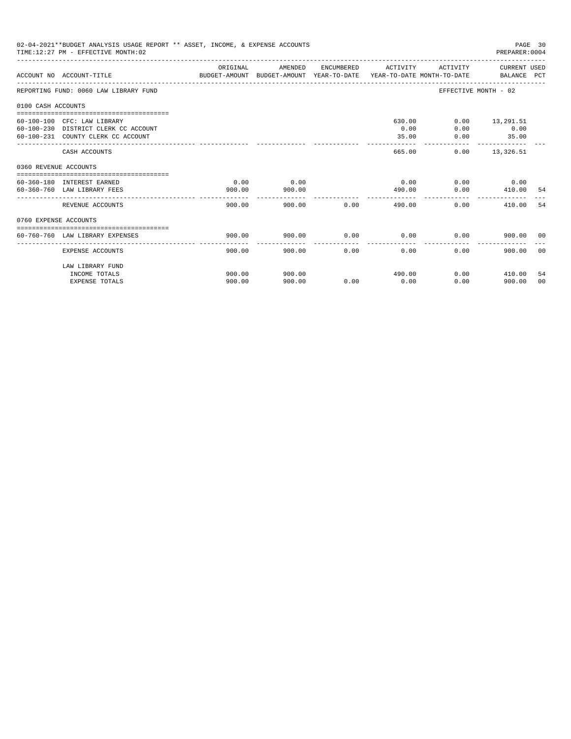| 02-04-2021**BUDGET ANALYSIS USAGE REPORT ** ASSET, INCOME, & EXPENSE ACCOUNTS<br>PAGE 30<br>TIME: 12:27 PM - EFFECTIVE MONTH: 02<br>PREPARER: 0004<br>ORIGINAL<br>ACTIVITY CURRENT USED<br>AMENDED<br>ENCUMBERED ACTIVITY<br>ACCOUNT NO ACCOUNT-TITLE COMPUTER ANOUNT BUDGET-AMOUNT HEAR-TO-DATE YEAR-TO-DATE MONTH-TO-DATE BALANCE PCT<br>REPORTING FUND: 0060 LAW LIBRARY FUND<br>EFFECTIVE MONTH - 02<br>0100 CASH ACCOUNTS<br>60-100-100 CFC: LAW LIBRARY<br>630.00<br>$0.00$ 13,291.51<br>60-100-230 DISTRICT CLERK CC ACCOUNT<br>0.00<br>0.00<br>0.00<br>60-100-231 COUNTY CLERK CC ACCOUNT<br>35.00<br>0.00<br>35.00<br>-------------<br>------------<br>$0.00$ 13,326.51<br>CASH ACCOUNTS<br>665.00<br>0360 REVENUE ACCOUNTS<br>0.00<br>0.00<br>0.00<br>$0.00$ 0.00<br>60-360-180 INTEREST EARNED<br>410.00<br>60-360-760 LAW LIBRARY FEES<br>900.00<br>900.00<br>490.00<br>0.00<br>-54<br>------------<br>900.00<br>900.00<br>0.00<br>490.00<br>0.00<br>410.00<br>REVENUE ACCOUNTS<br>-54<br>0760 EXPENSE ACCOUNTS<br>0.00<br>0.00<br>0.00<br>60-760-760 LAW LIBRARY EXPENSES<br>900.00<br>900.00<br>900.00 00<br>__________________________________ |                       |        |        |                |        |      |               |       |
|---------------------------------------------------------------------------------------------------------------------------------------------------------------------------------------------------------------------------------------------------------------------------------------------------------------------------------------------------------------------------------------------------------------------------------------------------------------------------------------------------------------------------------------------------------------------------------------------------------------------------------------------------------------------------------------------------------------------------------------------------------------------------------------------------------------------------------------------------------------------------------------------------------------------------------------------------------------------------------------------------------------------------------------------------------------------------------------------------------------------------------------------------------------|-----------------------|--------|--------|----------------|--------|------|---------------|-------|
|                                                                                                                                                                                                                                                                                                                                                                                                                                                                                                                                                                                                                                                                                                                                                                                                                                                                                                                                                                                                                                                                                                                                                               |                       |        |        |                |        |      |               |       |
|                                                                                                                                                                                                                                                                                                                                                                                                                                                                                                                                                                                                                                                                                                                                                                                                                                                                                                                                                                                                                                                                                                                                                               |                       |        |        |                |        |      |               |       |
|                                                                                                                                                                                                                                                                                                                                                                                                                                                                                                                                                                                                                                                                                                                                                                                                                                                                                                                                                                                                                                                                                                                                                               |                       |        |        |                |        |      |               |       |
|                                                                                                                                                                                                                                                                                                                                                                                                                                                                                                                                                                                                                                                                                                                                                                                                                                                                                                                                                                                                                                                                                                                                                               |                       |        |        |                |        |      |               |       |
|                                                                                                                                                                                                                                                                                                                                                                                                                                                                                                                                                                                                                                                                                                                                                                                                                                                                                                                                                                                                                                                                                                                                                               |                       |        |        |                |        |      |               |       |
|                                                                                                                                                                                                                                                                                                                                                                                                                                                                                                                                                                                                                                                                                                                                                                                                                                                                                                                                                                                                                                                                                                                                                               |                       |        |        |                |        |      |               |       |
|                                                                                                                                                                                                                                                                                                                                                                                                                                                                                                                                                                                                                                                                                                                                                                                                                                                                                                                                                                                                                                                                                                                                                               |                       |        |        |                |        |      |               |       |
|                                                                                                                                                                                                                                                                                                                                                                                                                                                                                                                                                                                                                                                                                                                                                                                                                                                                                                                                                                                                                                                                                                                                                               |                       |        |        |                |        |      |               |       |
|                                                                                                                                                                                                                                                                                                                                                                                                                                                                                                                                                                                                                                                                                                                                                                                                                                                                                                                                                                                                                                                                                                                                                               |                       |        |        |                |        |      |               |       |
|                                                                                                                                                                                                                                                                                                                                                                                                                                                                                                                                                                                                                                                                                                                                                                                                                                                                                                                                                                                                                                                                                                                                                               |                       |        |        |                |        |      |               |       |
|                                                                                                                                                                                                                                                                                                                                                                                                                                                                                                                                                                                                                                                                                                                                                                                                                                                                                                                                                                                                                                                                                                                                                               |                       |        |        |                |        |      |               |       |
|                                                                                                                                                                                                                                                                                                                                                                                                                                                                                                                                                                                                                                                                                                                                                                                                                                                                                                                                                                                                                                                                                                                                                               |                       |        |        |                |        |      |               |       |
|                                                                                                                                                                                                                                                                                                                                                                                                                                                                                                                                                                                                                                                                                                                                                                                                                                                                                                                                                                                                                                                                                                                                                               |                       |        |        |                |        |      |               |       |
|                                                                                                                                                                                                                                                                                                                                                                                                                                                                                                                                                                                                                                                                                                                                                                                                                                                                                                                                                                                                                                                                                                                                                               |                       |        |        |                |        |      |               |       |
|                                                                                                                                                                                                                                                                                                                                                                                                                                                                                                                                                                                                                                                                                                                                                                                                                                                                                                                                                                                                                                                                                                                                                               |                       |        |        |                |        |      |               |       |
|                                                                                                                                                                                                                                                                                                                                                                                                                                                                                                                                                                                                                                                                                                                                                                                                                                                                                                                                                                                                                                                                                                                                                               |                       |        |        |                |        |      |               |       |
|                                                                                                                                                                                                                                                                                                                                                                                                                                                                                                                                                                                                                                                                                                                                                                                                                                                                                                                                                                                                                                                                                                                                                               | EXPENSE ACCOUNTS      | 900.00 |        | 0.00<br>900.00 | 0.00   | 0.00 | 900.00        | - 0.0 |
|                                                                                                                                                                                                                                                                                                                                                                                                                                                                                                                                                                                                                                                                                                                                                                                                                                                                                                                                                                                                                                                                                                                                                               | LAW LIBRARY FUND      |        |        |                |        |      |               |       |
|                                                                                                                                                                                                                                                                                                                                                                                                                                                                                                                                                                                                                                                                                                                                                                                                                                                                                                                                                                                                                                                                                                                                                               | INCOME TOTALS         | 900.00 | 900.00 |                | 490.00 |      | $0.00$ 410.00 | 54    |
|                                                                                                                                                                                                                                                                                                                                                                                                                                                                                                                                                                                                                                                                                                                                                                                                                                                                                                                                                                                                                                                                                                                                                               | <b>EXPENSE TOTALS</b> | 900.00 | 900.00 | 0.00           | 0.00   | 0.00 | 900.00        | 00    |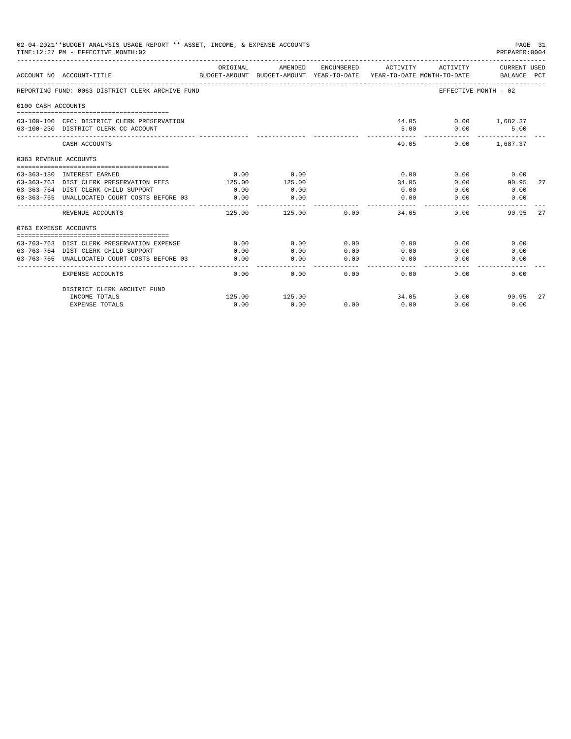|                       | 02-04-2021**BUDGET ANALYSIS USAGE REPORT ** ASSET, INCOME, & EXPENSE ACCOUNTS<br>TIME: 12:27 PM - EFFECTIVE MONTH: 02 |          |                                                                                |                                                                                                                                                                                                                                                                                                                                                                                                      |                       |                             | PAGE 31<br>PREPARER: 0004   |    |
|-----------------------|-----------------------------------------------------------------------------------------------------------------------|----------|--------------------------------------------------------------------------------|------------------------------------------------------------------------------------------------------------------------------------------------------------------------------------------------------------------------------------------------------------------------------------------------------------------------------------------------------------------------------------------------------|-----------------------|-----------------------------|-----------------------------|----|
|                       | ACCOUNT NO ACCOUNT-TITLE                                                                                              | ORIGINAL | AMENDED<br>BUDGET-AMOUNT BUDGET-AMOUNT YEAR-TO-DATE YEAR-TO-DATE MONTH-TO-DATE | ENCUMBERED                                                                                                                                                                                                                                                                                                                                                                                           | ACTIVITY              | ACTIVITY                    | CURRENT USED<br>BALANCE PCT |    |
|                       | REPORTING FUND: 0063 DISTRICT CLERK ARCHIVE FUND                                                                      |          |                                                                                |                                                                                                                                                                                                                                                                                                                                                                                                      |                       | EFFECTIVE MONTH - 02        |                             |    |
| 0100 CASH ACCOUNTS    |                                                                                                                       |          |                                                                                |                                                                                                                                                                                                                                                                                                                                                                                                      |                       |                             |                             |    |
|                       | 63-100-100 CFC: DISTRICT CLERK PRESERVATION<br>63-100-230 DISTRICT CLERK CC ACCOUNT                                   |          |                                                                                |                                                                                                                                                                                                                                                                                                                                                                                                      | 5.00<br>-------       | 44.05 0.00 1,682.37<br>0.00 | 5.00                        |    |
|                       | CASH ACCOUNTS                                                                                                         |          |                                                                                |                                                                                                                                                                                                                                                                                                                                                                                                      | 49.05                 |                             | $0.00$ 1.687.37             |    |
| 0363 REVENUE ACCOUNTS |                                                                                                                       |          |                                                                                |                                                                                                                                                                                                                                                                                                                                                                                                      |                       |                             |                             |    |
|                       |                                                                                                                       |          |                                                                                |                                                                                                                                                                                                                                                                                                                                                                                                      |                       |                             |                             |    |
|                       | 63-363-180 INTEREST EARNED                                                                                            | 0.00     | 0.00                                                                           |                                                                                                                                                                                                                                                                                                                                                                                                      | 0.00                  | 0.00                        | 0.00                        |    |
|                       | 63-363-763 DIST CLERK PRESERVATION FEES                                                                               | 125.00   | 125.00                                                                         |                                                                                                                                                                                                                                                                                                                                                                                                      | 34.05                 | 0.00                        | 90.95                       | 27 |
|                       | 63-363-764 DIST CLERK CHILD SUPPORT                                                                                   | 0.00     | 0.00                                                                           |                                                                                                                                                                                                                                                                                                                                                                                                      | 0.00                  | 0.00                        | 0.00                        |    |
|                       | 63-363-765 UNALLOCATED COURT COSTS BEFORE 03                                                                          | 0.00     | 0.00<br>----------                                                             |                                                                                                                                                                                                                                                                                                                                                                                                      | 0.00<br>$- - - - - -$ | 0.00                        | 0.00                        |    |
|                       | REVENUE ACCOUNTS                                                                                                      | 125.00   | 125.00                                                                         | 0.00                                                                                                                                                                                                                                                                                                                                                                                                 | 34.05                 | 0.00                        | 90.95                       | 27 |
| 0763 EXPENSE ACCOUNTS |                                                                                                                       |          |                                                                                |                                                                                                                                                                                                                                                                                                                                                                                                      |                       |                             |                             |    |
|                       |                                                                                                                       |          |                                                                                |                                                                                                                                                                                                                                                                                                                                                                                                      |                       |                             |                             |    |
|                       | 63-763-763 DIST CLERK PRESERVATION EXPENSE                                                                            | 0.00     | 0.00                                                                           | 0.00                                                                                                                                                                                                                                                                                                                                                                                                 | 0.00                  | 0.00                        | 0.00                        |    |
|                       | 63-763-764 DIST CLERK CHILD SUPPORT                                                                                   | 0.00     | 0.00                                                                           | 0.00                                                                                                                                                                                                                                                                                                                                                                                                 | 0.00                  | 0.00                        | 0.00                        |    |
|                       | 63-763-765 UNALLOCATED COURT COSTS BEFORE 03                                                                          | 0.00     | 0.00                                                                           | 0.00<br>$\frac{1}{2} \frac{1}{2} \frac{1}{2} \frac{1}{2} \frac{1}{2} \frac{1}{2} \frac{1}{2} \frac{1}{2} \frac{1}{2} \frac{1}{2} \frac{1}{2} \frac{1}{2} \frac{1}{2} \frac{1}{2} \frac{1}{2} \frac{1}{2} \frac{1}{2} \frac{1}{2} \frac{1}{2} \frac{1}{2} \frac{1}{2} \frac{1}{2} \frac{1}{2} \frac{1}{2} \frac{1}{2} \frac{1}{2} \frac{1}{2} \frac{1}{2} \frac{1}{2} \frac{1}{2} \frac{1}{2} \frac{$ | 0.00<br>$- - - - -$   | 0.00                        | 0.00                        |    |
|                       | <b>EXPENSE ACCOUNTS</b>                                                                                               | 0.00     | 0.00                                                                           | 0.00                                                                                                                                                                                                                                                                                                                                                                                                 | 0.00                  | 0.00                        | 0.00                        |    |
|                       | DISTRICT CLERK ARCHIVE FUND                                                                                           |          |                                                                                |                                                                                                                                                                                                                                                                                                                                                                                                      |                       |                             |                             |    |
|                       | INCOME TOTALS                                                                                                         | 125.00   | 125.00                                                                         |                                                                                                                                                                                                                                                                                                                                                                                                      | 34.05                 | 0.00                        | 90.95                       | 27 |
|                       | <b>EXPENSE TOTALS</b>                                                                                                 | 0.00     | 0.00                                                                           | 0.00                                                                                                                                                                                                                                                                                                                                                                                                 | 0.00                  | 0.00                        | 0.00                        |    |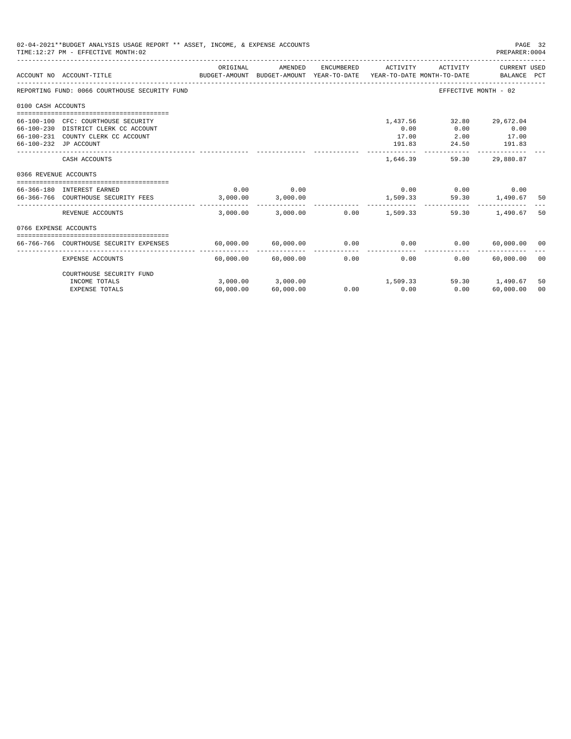|                       | 02-04-2021**BUDGET ANALYSIS USAGE REPORT ** ASSET, INCOME, & EXPENSE ACCOUNTS<br>PAGE 32<br>TIME: 12:27 PM - EFFECTIVE MONTH: 02<br>PREPARER: 0004<br>CURRENT USED<br>ORIGINAL<br>AMENDED<br>ENCUMBERED<br>ACTIVITY<br>ACTIVITY<br>BUDGET-AMOUNT BUDGET-AMOUNT YEAR-TO-DATE YEAR-TO-DATE_MONTH-TO-DATE ________________________________<br>ACCOUNT NO ACCOUNT-TITLE<br>REPORTING FUND: 0066 COURTHOUSE SECURITY FUND<br>EFFECTIVE MONTH - 02<br>0100 CASH ACCOUNTS<br>1,437.56<br>29,672.04<br>66-100-100 CFC: COURTHOUSE SECURITY<br>32.80<br>0.00<br>66-100-230 DISTRICT CLERK CC ACCOUNT<br>0.00<br>0.00<br>17.00<br>66-100-231 COUNTY CLERK CC ACCOUNT<br>17.00<br>2.00<br>24.50<br>191.83<br>66-100-232 JP ACCOUNT<br>191.83 |           |                                          |                       |                     |                             |                             |          |
|-----------------------|-----------------------------------------------------------------------------------------------------------------------------------------------------------------------------------------------------------------------------------------------------------------------------------------------------------------------------------------------------------------------------------------------------------------------------------------------------------------------------------------------------------------------------------------------------------------------------------------------------------------------------------------------------------------------------------------------------------------------------------|-----------|------------------------------------------|-----------------------|---------------------|-----------------------------|-----------------------------|----------|
|                       |                                                                                                                                                                                                                                                                                                                                                                                                                                                                                                                                                                                                                                                                                                                                   |           |                                          |                       |                     |                             |                             |          |
|                       |                                                                                                                                                                                                                                                                                                                                                                                                                                                                                                                                                                                                                                                                                                                                   |           |                                          |                       |                     |                             |                             |          |
|                       |                                                                                                                                                                                                                                                                                                                                                                                                                                                                                                                                                                                                                                                                                                                                   |           |                                          |                       |                     |                             |                             |          |
|                       |                                                                                                                                                                                                                                                                                                                                                                                                                                                                                                                                                                                                                                                                                                                                   |           |                                          |                       |                     |                             |                             |          |
|                       | CASH ACCOUNTS                                                                                                                                                                                                                                                                                                                                                                                                                                                                                                                                                                                                                                                                                                                     |           |                                          |                       | 1,646.39            | 59.30                       | 29,880.87                   |          |
| 0366 REVENUE ACCOUNTS |                                                                                                                                                                                                                                                                                                                                                                                                                                                                                                                                                                                                                                                                                                                                   |           |                                          |                       |                     |                             |                             |          |
|                       | 66-366-180 INTEREST EARNED<br>66-366-766 COURTHOUSE SECURITY FEES 3,000.00                                                                                                                                                                                                                                                                                                                                                                                                                                                                                                                                                                                                                                                        | 0.00      | 0.00<br>3,000.00                         |                       |                     | $0.00$ $0.00$ $0.00$ $0.00$ | 1,509.33 59.30 1,490.67     | 50       |
|                       | REVENUE ACCOUNTS                                                                                                                                                                                                                                                                                                                                                                                                                                                                                                                                                                                                                                                                                                                  |           | 3,000.00 3,000.00                        |                       | $0.00$ 1,509.33     | 59.30                       | 1,490.67                    | 50       |
| 0766 EXPENSE ACCOUNTS |                                                                                                                                                                                                                                                                                                                                                                                                                                                                                                                                                                                                                                                                                                                                   |           |                                          |                       |                     |                             |                             |          |
|                       | 66-766-766 COURTHOUSE SECURITY EXPENSES                                                                                                                                                                                                                                                                                                                                                                                                                                                                                                                                                                                                                                                                                           |           | 60,000.00 60,000.00                      |                       | $0.00$ 0.00         | 0.00                        | 60,000,00 00                |          |
|                       | EXPENSE ACCOUNTS                                                                                                                                                                                                                                                                                                                                                                                                                                                                                                                                                                                                                                                                                                                  |           | -------------<br>$60,000.00$ $60,000.00$ | -------------<br>0.00 | -----------<br>0.00 | 0.00                        | -------------<br>60,000.00  | - 00     |
|                       | COURTHOUSE SECURITY FUND                                                                                                                                                                                                                                                                                                                                                                                                                                                                                                                                                                                                                                                                                                          |           |                                          |                       |                     |                             |                             |          |
|                       | INCOME TOTALS<br><b>EXPENSE TOTALS</b>                                                                                                                                                                                                                                                                                                                                                                                                                                                                                                                                                                                                                                                                                            | 60,000.00 | 3,000.00 3,000.00<br>60,000.00           | 0.00                  | 1,509.33<br>0.00    | 0.00                        | 59.30 1.490.67<br>60,000.00 | 50<br>00 |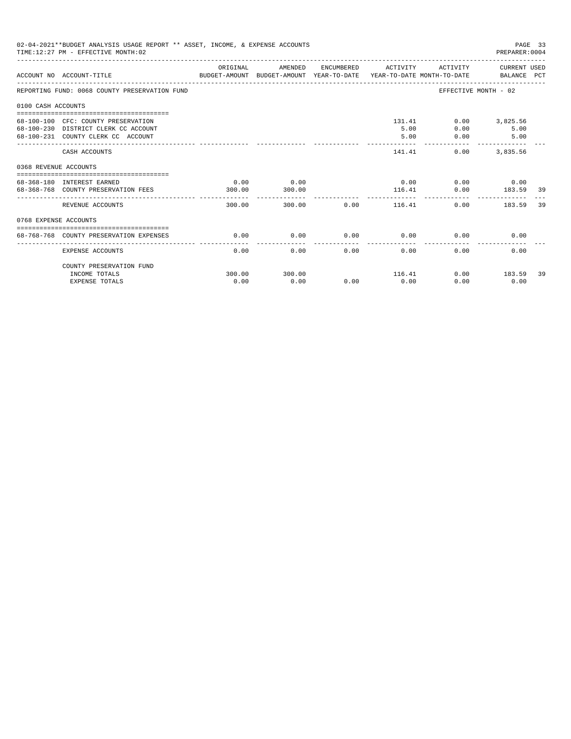| 02-04-2021**BUDGET ANALYSIS USAGE REPORT ** ASSET, INCOME, & EXPENSE ACCOUNTS<br>PAGE 33<br>TIME: 12:27 PM - EFFECTIVE MONTH: 02<br>PREPARER: 0004<br>ACTIVITY CURRENT USED<br>ORIGINAL<br>AMENDED<br>ENCUMBERED ACTIVITY<br>BUDGET-AMOUNT BUDGET-AMOUNT YEAR-TO-DATE  YEAR-TO-DATE MONTH-TO-DATE     BALANCE PCT<br>ACCOUNT NO ACCOUNT-TITLE<br>EFFECTIVE MONTH - 02<br>REPORTING FUND: 0068 COUNTY PRESERVATION FUND<br>0100 CASH ACCOUNTS<br>68-100-100 CFC: COUNTY PRESERVATION<br>131.41<br>$0.00$ 3,825.56<br>68-100-230 DISTRICT CLERK CC ACCOUNT<br>5.00<br>0.00<br>5.00<br>68-100-231 COUNTY CLERK CC ACCOUNT<br>5.00<br>5.00<br>0.00<br>-------------<br>141.41<br>0.00<br>3,835.56<br>CASH ACCOUNTS<br>0368 REVENUE ACCOUNTS<br>$0.00$ $0.00$ $0.00$ $0.00$ |                                                                   |                |                |      |                                    |      |                |    |
|------------------------------------------------------------------------------------------------------------------------------------------------------------------------------------------------------------------------------------------------------------------------------------------------------------------------------------------------------------------------------------------------------------------------------------------------------------------------------------------------------------------------------------------------------------------------------------------------------------------------------------------------------------------------------------------------------------------------------------------------------------------------|-------------------------------------------------------------------|----------------|----------------|------|------------------------------------|------|----------------|----|
|                                                                                                                                                                                                                                                                                                                                                                                                                                                                                                                                                                                                                                                                                                                                                                        |                                                                   |                |                |      |                                    |      |                |    |
|                                                                                                                                                                                                                                                                                                                                                                                                                                                                                                                                                                                                                                                                                                                                                                        |                                                                   |                |                |      |                                    |      |                |    |
|                                                                                                                                                                                                                                                                                                                                                                                                                                                                                                                                                                                                                                                                                                                                                                        |                                                                   |                |                |      |                                    |      |                |    |
|                                                                                                                                                                                                                                                                                                                                                                                                                                                                                                                                                                                                                                                                                                                                                                        |                                                                   |                |                |      |                                    |      |                |    |
|                                                                                                                                                                                                                                                                                                                                                                                                                                                                                                                                                                                                                                                                                                                                                                        |                                                                   |                |                |      |                                    |      |                |    |
|                                                                                                                                                                                                                                                                                                                                                                                                                                                                                                                                                                                                                                                                                                                                                                        |                                                                   |                |                |      |                                    |      |                |    |
|                                                                                                                                                                                                                                                                                                                                                                                                                                                                                                                                                                                                                                                                                                                                                                        | 68-368-180 INTEREST EARNED<br>68-368-768 COUNTY PRESERVATION FEES | 0.00<br>300.00 | 0.00<br>300.00 |      | 116.41                             |      | 0.00 183.59 39 |    |
|                                                                                                                                                                                                                                                                                                                                                                                                                                                                                                                                                                                                                                                                                                                                                                        | REVENUE ACCOUNTS                                                  | 300.00         |                |      | ------------<br>300.00 0.00 116.41 | 0.00 | 183.59         | 39 |
| 0768 EXPENSE ACCOUNTS                                                                                                                                                                                                                                                                                                                                                                                                                                                                                                                                                                                                                                                                                                                                                  |                                                                   |                |                |      |                                    |      |                |    |
|                                                                                                                                                                                                                                                                                                                                                                                                                                                                                                                                                                                                                                                                                                                                                                        | 68-768-768 COUNTY PRESERVATION EXPENSES                           | 0.00           | 0.00           |      | $0.00$ 0.00                        |      | 0.00<br>0.00   |    |
|                                                                                                                                                                                                                                                                                                                                                                                                                                                                                                                                                                                                                                                                                                                                                                        | EXPENSE ACCOUNTS                                                  | 0.00           | 0.00           | 0.00 | 0.00                               | 0.00 | 0.00           |    |
|                                                                                                                                                                                                                                                                                                                                                                                                                                                                                                                                                                                                                                                                                                                                                                        | COUNTY PRESERVATION FUND                                          |                |                |      |                                    |      |                |    |
|                                                                                                                                                                                                                                                                                                                                                                                                                                                                                                                                                                                                                                                                                                                                                                        | INCOME TOTALS                                                     | 300.00         | 300.00         |      | 116.41                             |      | $0.00$ 183.59  | 39 |
|                                                                                                                                                                                                                                                                                                                                                                                                                                                                                                                                                                                                                                                                                                                                                                        | <b>EXPENSE TOTALS</b>                                             | 0.00           | 0.00           | 0.00 | 0.00                               | 0.00 | 0.00           |    |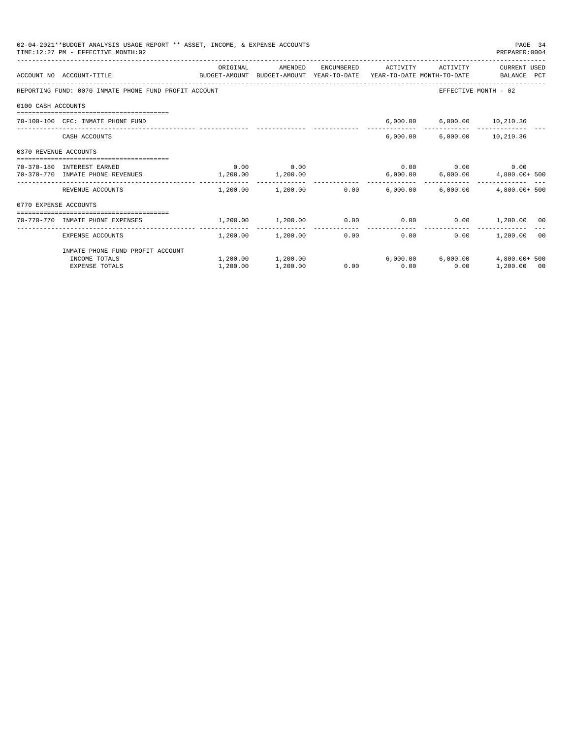| 02-04-2021**BUDGET ANALYSIS USAGE REPORT ** ASSET, INCOME, & EXPENSE ACCOUNTS<br>PAGE 34<br>TIME: 12:27 PM - EFFECTIVE MONTH: 02<br>PREPARER: 0004<br>ORIGINAL<br>ENCUMBERED ACTIVITY<br>ACTIVITY<br>CURRENT USED<br>AMENDED<br>BUDGET-AMOUNT BUDGET-AMOUNT YEAR-TO-DATE YEAR-TO-DATE MONTH-TO-DATE BALANCE PCT<br>ACCOUNT NO ACCOUNT-TITLE<br>REPORTING FUND: 0070 INMATE PHONE FUND PROFIT ACCOUNT<br>EFFECTIVE MONTH - 02<br>0100 CASH ACCOUNTS<br>6,000.00 6,000.00 10,210.36<br>70-100-100 CFC: INMATE PHONE FUND<br>6,000.00 6,000.00 10,210.36<br>CASH ACCOUNTS<br>0370 REVENUE ACCOUNTS<br>$0.00$ 0.00<br>$0.00$ $0.00$ $0.00$ $0.00$<br>70-370-180 INTEREST EARNED<br>$1,200.00$ $1,200.00$<br>$6,000.00$ $6,000.00$ $4,800.00+500$<br>70-370-770 INMATE PHONE REVENUES<br>$1,200.00$ $1,200.00$ $0.00$ $6,000.00$ $6,000.00$ $4,800.00+500$<br>REVENUE ACCOUNTS<br>0770 EXPENSE ACCOUNTS<br>----------------------------------<br>$1.200.00$ $1.200.00$ $0.00$ $0.00$ $0.00$ $1.200.00$ $0.0$<br>70-770-770 INMATE PHONE EXPENSES<br>---------------<br>$1,200.00$ $1,200.00$<br>0.00<br>0.00<br>$0.00$ 1,200.00 00 |          |                      |      |      |      |                                                     |  |
|-------------------------------------------------------------------------------------------------------------------------------------------------------------------------------------------------------------------------------------------------------------------------------------------------------------------------------------------------------------------------------------------------------------------------------------------------------------------------------------------------------------------------------------------------------------------------------------------------------------------------------------------------------------------------------------------------------------------------------------------------------------------------------------------------------------------------------------------------------------------------------------------------------------------------------------------------------------------------------------------------------------------------------------------------------------------------------------------------------------------------------|----------|----------------------|------|------|------|-----------------------------------------------------|--|
|                                                                                                                                                                                                                                                                                                                                                                                                                                                                                                                                                                                                                                                                                                                                                                                                                                                                                                                                                                                                                                                                                                                               |          |                      |      |      |      |                                                     |  |
|                                                                                                                                                                                                                                                                                                                                                                                                                                                                                                                                                                                                                                                                                                                                                                                                                                                                                                                                                                                                                                                                                                                               |          |                      |      |      |      |                                                     |  |
|                                                                                                                                                                                                                                                                                                                                                                                                                                                                                                                                                                                                                                                                                                                                                                                                                                                                                                                                                                                                                                                                                                                               |          |                      |      |      |      |                                                     |  |
|                                                                                                                                                                                                                                                                                                                                                                                                                                                                                                                                                                                                                                                                                                                                                                                                                                                                                                                                                                                                                                                                                                                               |          |                      |      |      |      |                                                     |  |
|                                                                                                                                                                                                                                                                                                                                                                                                                                                                                                                                                                                                                                                                                                                                                                                                                                                                                                                                                                                                                                                                                                                               |          |                      |      |      |      |                                                     |  |
|                                                                                                                                                                                                                                                                                                                                                                                                                                                                                                                                                                                                                                                                                                                                                                                                                                                                                                                                                                                                                                                                                                                               |          |                      |      |      |      |                                                     |  |
|                                                                                                                                                                                                                                                                                                                                                                                                                                                                                                                                                                                                                                                                                                                                                                                                                                                                                                                                                                                                                                                                                                                               |          |                      |      |      |      |                                                     |  |
|                                                                                                                                                                                                                                                                                                                                                                                                                                                                                                                                                                                                                                                                                                                                                                                                                                                                                                                                                                                                                                                                                                                               |          |                      |      |      |      | $6.000.00$ $6.000.00$ $4.800.00+500$<br>1,200.00 00 |  |
|                                                                                                                                                                                                                                                                                                                                                                                                                                                                                                                                                                                                                                                                                                                                                                                                                                                                                                                                                                                                                                                                                                                               |          |                      |      |      |      |                                                     |  |
|                                                                                                                                                                                                                                                                                                                                                                                                                                                                                                                                                                                                                                                                                                                                                                                                                                                                                                                                                                                                                                                                                                                               |          |                      |      |      |      |                                                     |  |
|                                                                                                                                                                                                                                                                                                                                                                                                                                                                                                                                                                                                                                                                                                                                                                                                                                                                                                                                                                                                                                                                                                                               |          |                      |      |      |      |                                                     |  |
| EXPENSE ACCOUNTS                                                                                                                                                                                                                                                                                                                                                                                                                                                                                                                                                                                                                                                                                                                                                                                                                                                                                                                                                                                                                                                                                                              |          |                      |      |      |      |                                                     |  |
| INMATE PHONE FUND PROFIT ACCOUNT                                                                                                                                                                                                                                                                                                                                                                                                                                                                                                                                                                                                                                                                                                                                                                                                                                                                                                                                                                                                                                                                                              |          |                      |      |      |      |                                                     |  |
| INCOME TOTALS                                                                                                                                                                                                                                                                                                                                                                                                                                                                                                                                                                                                                                                                                                                                                                                                                                                                                                                                                                                                                                                                                                                 |          | 1,200.00    1,200.00 |      |      |      |                                                     |  |
| <b>EXPENSE TOTALS</b>                                                                                                                                                                                                                                                                                                                                                                                                                                                                                                                                                                                                                                                                                                                                                                                                                                                                                                                                                                                                                                                                                                         | 1,200.00 | 1,200.00             | 0.00 | 0.00 | 0.00 |                                                     |  |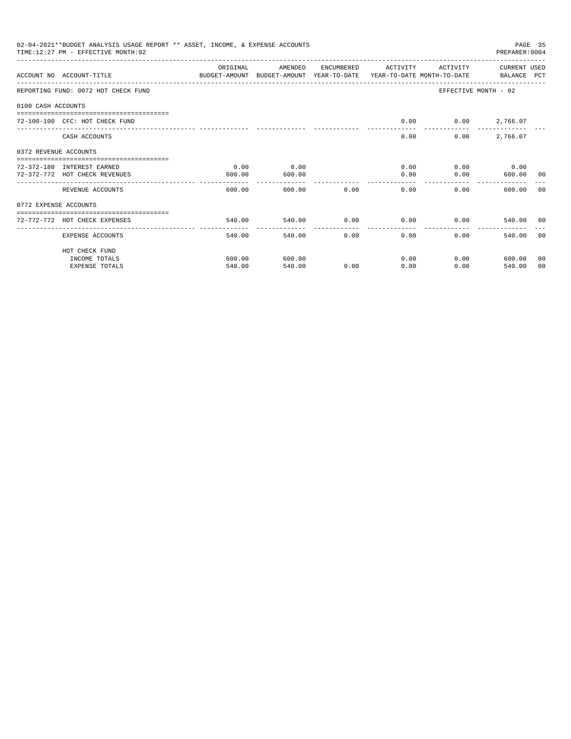| 02-04-2021**BUDGET ANALYSIS USAGE REPORT ** ASSET, INCOME, & EXPENSE ACCOUNTS<br>PAGE 35<br>TIME:12:27 PM - EFFECTIVE MONTH:02<br>PREPARER: 0004<br>ORIGINAL<br>AMENDED<br>ENCUMBERED<br>ACTIVITY<br>ACTIVITY<br>CURRENT USED<br>ACCOUNT NO ACCOUNT-TITLE<br>BUDGET-AMOUNT BUDGET-AMOUNT YEAR-TO-DATE YEAR-TO-DATE MONTH-TO-DATE BALANCE PCT<br>EFFECTIVE MONTH - 02<br>REPORTING FUND: 0072 HOT CHECK FUND<br>0100 CASH ACCOUNTS<br>0.00<br>$0.00$ 2,766.07<br>72-100-100 CFC: HOT CHECK FUND<br>2,766.07<br>CASH ACCOUNTS<br>0.00<br>0.00<br>0372 REVENUE ACCOUNTS<br>0.00<br>0.00<br>$0.00$ 0.00<br>72-372-180 INTEREST EARNED<br>0.00<br>0.00<br>72-372-772 HOT CHECK REVENUES<br>0.00<br>600.00 00<br>600.00<br>600.00<br>600.00 0.00<br>0.00<br>600.00<br>0.00<br>600.00<br>REVENUE ACCOUNTS<br>- 0.0<br>0772 EXPENSE ACCOUNTS<br>=================================<br>$0.00$ 0.00<br>540.00<br>$0.00$ and $0.00$<br>540.00 00<br>72-772-772 HOT CHECK EXPENSES<br>540.00 |               |              |              |                |      |        |       |
|---------------------------------------------------------------------------------------------------------------------------------------------------------------------------------------------------------------------------------------------------------------------------------------------------------------------------------------------------------------------------------------------------------------------------------------------------------------------------------------------------------------------------------------------------------------------------------------------------------------------------------------------------------------------------------------------------------------------------------------------------------------------------------------------------------------------------------------------------------------------------------------------------------------------------------------------------------------------------------|---------------|--------------|--------------|----------------|------|--------|-------|
|                                                                                                                                                                                                                                                                                                                                                                                                                                                                                                                                                                                                                                                                                                                                                                                                                                                                                                                                                                                 |               |              |              |                |      |        |       |
|                                                                                                                                                                                                                                                                                                                                                                                                                                                                                                                                                                                                                                                                                                                                                                                                                                                                                                                                                                                 |               |              |              |                |      |        |       |
|                                                                                                                                                                                                                                                                                                                                                                                                                                                                                                                                                                                                                                                                                                                                                                                                                                                                                                                                                                                 |               |              |              |                |      |        |       |
|                                                                                                                                                                                                                                                                                                                                                                                                                                                                                                                                                                                                                                                                                                                                                                                                                                                                                                                                                                                 |               |              |              |                |      |        |       |
|                                                                                                                                                                                                                                                                                                                                                                                                                                                                                                                                                                                                                                                                                                                                                                                                                                                                                                                                                                                 |               |              |              |                |      |        |       |
|                                                                                                                                                                                                                                                                                                                                                                                                                                                                                                                                                                                                                                                                                                                                                                                                                                                                                                                                                                                 |               |              |              |                |      |        |       |
|                                                                                                                                                                                                                                                                                                                                                                                                                                                                                                                                                                                                                                                                                                                                                                                                                                                                                                                                                                                 |               |              |              |                |      |        |       |
|                                                                                                                                                                                                                                                                                                                                                                                                                                                                                                                                                                                                                                                                                                                                                                                                                                                                                                                                                                                 |               |              |              |                |      |        |       |
|                                                                                                                                                                                                                                                                                                                                                                                                                                                                                                                                                                                                                                                                                                                                                                                                                                                                                                                                                                                 |               |              |              |                |      |        |       |
|                                                                                                                                                                                                                                                                                                                                                                                                                                                                                                                                                                                                                                                                                                                                                                                                                                                                                                                                                                                 |               |              |              |                |      |        |       |
|                                                                                                                                                                                                                                                                                                                                                                                                                                                                                                                                                                                                                                                                                                                                                                                                                                                                                                                                                                                 |               |              |              |                |      |        |       |
|                                                                                                                                                                                                                                                                                                                                                                                                                                                                                                                                                                                                                                                                                                                                                                                                                                                                                                                                                                                 |               |              |              |                |      |        |       |
|                                                                                                                                                                                                                                                                                                                                                                                                                                                                                                                                                                                                                                                                                                                                                                                                                                                                                                                                                                                 | ------------- | ------------ | ------------ | -------------- |      |        |       |
| EXPENSE ACCOUNTS                                                                                                                                                                                                                                                                                                                                                                                                                                                                                                                                                                                                                                                                                                                                                                                                                                                                                                                                                                | 540.00        | 540.00       |              | 0.00<br>0.00   | 0.00 | 540.00 | - 0.0 |
| HOT CHECK FUND                                                                                                                                                                                                                                                                                                                                                                                                                                                                                                                                                                                                                                                                                                                                                                                                                                                                                                                                                                  |               |              |              |                |      |        |       |
| INCOME TOTALS                                                                                                                                                                                                                                                                                                                                                                                                                                                                                                                                                                                                                                                                                                                                                                                                                                                                                                                                                                   | 600.00        | 600.00       |              | 0.00           | 0.00 | 600.00 | 00    |
| <b>EXPENSE TOTALS</b>                                                                                                                                                                                                                                                                                                                                                                                                                                                                                                                                                                                                                                                                                                                                                                                                                                                                                                                                                           | 540.00        | 540.00       | 0.00         | 0.00           | 0.00 | 540.00 | 00    |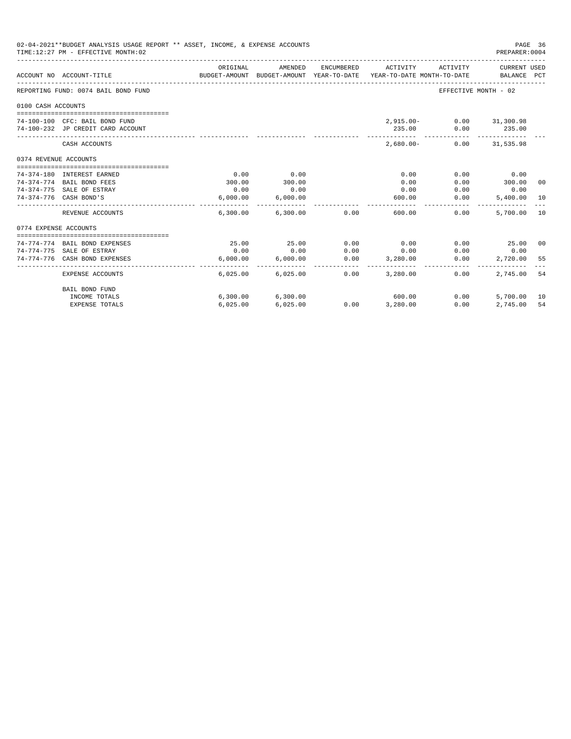|                                                        | 02-04-2021**BUDGET ANALYSIS USAGE REPORT ** ASSET, INCOME, & EXPENSE ACCOUNTS<br>TIME: 12:27 PM - EFFECTIVE MONTH: 02 |          |                   |               |                                                                                 |                          | PAGE 36<br>PREPARER: 0004   |     |
|--------------------------------------------------------|-----------------------------------------------------------------------------------------------------------------------|----------|-------------------|---------------|---------------------------------------------------------------------------------|--------------------------|-----------------------------|-----|
|                                                        | ACCOUNT NO ACCOUNT-TITLE                                                                                              | ORIGINAL | AMENDED           | ENCUMBERED    | ACTIVITY<br>BUDGET-AMOUNT BUDGET-AMOUNT YEAR-TO-DATE YEAR-TO-DATE MONTH-TO-DATE | ACTIVITY                 | CURRENT USED<br>BALANCE PCT |     |
|                                                        | REPORTING FUND: 0074 BAIL BOND FUND                                                                                   |          |                   |               |                                                                                 | EFFECTIVE MONTH - 02     |                             |     |
| 0100 CASH ACCOUNTS                                     |                                                                                                                       |          |                   |               |                                                                                 |                          |                             |     |
|                                                        | 74-100-100 CFC: BAIL BOND FUND                                                                                        |          |                   |               |                                                                                 | 2,915.00- 0.00 31,300.98 |                             |     |
|                                                        | 74-100-232 JP CREDIT CARD ACCOUNT                                                                                     |          |                   |               | 235.00                                                                          | 0.00                     | 235.00                      |     |
|                                                        | CASH ACCOUNTS                                                                                                         |          |                   |               | $2.680.00 -$                                                                    |                          | $0.00$ 31,535.98            |     |
| 0374 REVENUE ACCOUNTS                                  |                                                                                                                       |          |                   |               |                                                                                 |                          |                             |     |
|                                                        |                                                                                                                       |          |                   |               |                                                                                 |                          |                             |     |
|                                                        | 74-374-180 INTEREST EARNED                                                                                            | 0.00     | 0.00              |               | 0.00                                                                            | 0.00                     | 0.00                        |     |
|                                                        |                                                                                                                       | 300.00   | 300.00            |               | 0.00                                                                            | 0.00                     | 300.00                      | 00  |
| 74-374-774 BAIL BOND FEES<br>74-374-775 SALE OF ESTRAY |                                                                                                                       | 0.00     | 0.00              |               | 0.00                                                                            | 0.00                     | 0.00                        |     |
|                                                        | 74-374-776 CASH BOND'S                                                                                                | 6,000.00 | 6,000.00          |               | 600.00                                                                          | 0.00                     | 5,400.00                    | 10  |
|                                                        | REVENUE ACCOUNTS                                                                                                      | 6.300.00 |                   | 6,300.00 0.00 | 600.00                                                                          | 0.00                     | 5,700.00                    | 10  |
| 0774 EXPENSE ACCOUNTS                                  |                                                                                                                       |          |                   |               |                                                                                 |                          |                             |     |
|                                                        |                                                                                                                       |          |                   |               |                                                                                 |                          |                             |     |
|                                                        | 74-774-774 BAIL BOND EXPENSES                                                                                         | 25.00    | 25.00             | 0.00          | 0.00                                                                            | 0.00                     | 25.00 00                    |     |
|                                                        | 74-774-775 SALE OF ESTRAY                                                                                             | 0.00     | 0.00              | 0.00          | 0.00                                                                            | 0.00                     | 0.00                        |     |
|                                                        | 74-774-776 CASH BOND EXPENSES                                                                                         | 6.000.00 | 6.000.00          | 0.00          | 3,280,00                                                                        | 0.00                     | 2,720.00                    | -55 |
|                                                        | EXPENSE ACCOUNTS                                                                                                      | 6.025.00 | 6,025.00          | 0.00          | 3,280,00                                                                        | 0.00                     | 2,745.00                    | -54 |
|                                                        | <b>BAIL BOND FUND</b>                                                                                                 |          |                   |               |                                                                                 |                          |                             |     |
|                                                        | INCOME TOTALS                                                                                                         |          | 6,300.00 6,300.00 |               | 600.00                                                                          | 0.00                     | 5,700.00                    | 10  |
|                                                        | <b>EXPENSE TOTALS</b>                                                                                                 | 6,025.00 | 6,025.00          | 0.00          | 3,280.00                                                                        | 0.00                     | 2,745.00                    | 54  |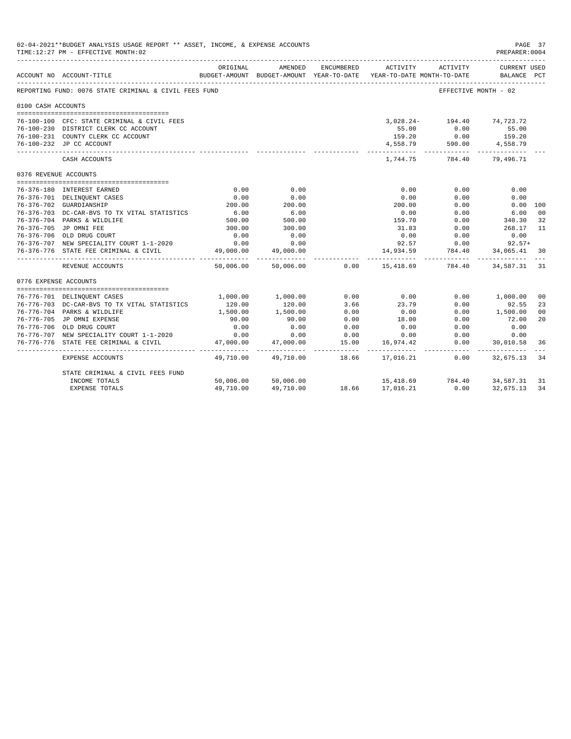| 02-04-2021**BUDGET ANALYSIS USAGE REPORT ** ASSET, INCOME, & EXPENSE ACCOUNTS<br>PAGE 37<br>TIME: 12:27 PM - EFFECTIVE MONTH: 02<br>PREPARER: 0004<br>AMENDED<br>ENCUMBERED<br>ORIGINAL<br>ACTIVITY<br>ACTIVITY<br>CURRENT USED<br>BUDGET-AMOUNT BUDGET-AMOUNT YEAR-TO-DATE YEAR-TO-DATE MONTH-TO-DATE<br>BALANCE PCT<br>ACCOUNT NO ACCOUNT-TITLE<br>REPORTING FUND: 0076 STATE CRIMINAL & CIVIL FEES FUND<br>EFFECTIVE MONTH - 02<br>0100 CASH ACCOUNTS<br>3,028.24- 194.40 74,723.72<br>76-100-100 CFC: STATE CRIMINAL & CIVIL FEES<br>55.00 0.00 55.00<br>76-100-230 DISTRICT CLERK CC ACCOUNT<br>76-100-231 COUNTY CLERK CC ACCOUNT<br>159.20<br>0.00<br>159.20<br>$4,558.79$ $590.00$ $4,558.79$<br>76-100-232 JP CC ACCOUNT<br>-------------<br>------------<br>784.40<br>1,744.75<br>79,496.71<br>CASH ACCOUNTS<br>0376 REVENUE ACCOUNTS<br>0.00<br>0.00<br>0.00<br>0.00<br>0.00<br>76-376-180 INTEREST EARNED<br>0.00<br>76-376-701 DELINQUENT CASES<br>0.00<br>0.00<br>0.00<br>0.00<br>200.00<br>76-376-702 GUARDIANSHIP<br>200.00<br>200.00<br>0.00<br>0.00 100<br>$6.00$<br>500.00<br>$500$<br>500<br>76-376-703 DC-CAR-BVS TO TX VITAL STATISTICS<br>0.00<br>0.00<br>6.00<br>340.30<br>159.70<br>76-376-704 PARKS & WILDLIFE<br>0.00<br>76-376-705 JP OMNI FEE<br>300.00<br>300.00<br>31.83<br>268.17<br>0.00<br>0.00<br>0.00<br>76-376-706 OLD DRUG COURT<br>0.00<br>0.00<br>0.00<br>$92.57$ 0.00 92.57+<br>0.00<br>76-376-707 NEW SPECIALITY COURT 1-1-2020<br>0.00<br>14,934.59<br>784.40<br>76-376-776 STATE FEE CRIMINAL & CIVIL<br>49,000.00<br>49,000.00<br>34,065.41<br>. <u>.</u><br>0.00<br>15,418.69 784.40<br>50,006.00<br>50,006.00<br>34,587.31<br>REVENUE ACCOUNTS<br>0776 EXPENSE ACCOUNTS<br>1,000.00 1,000.00<br>0.00<br>0.00<br>0.00 1,000.00<br>76-776-701 DELINQUENT CASES<br>120.00<br>3.66<br>23.79<br>0.00<br>76-776-703 DC-CAR-BVS TO TX VITAL STATISTICS<br>120.00<br>92.55<br>1,500.00<br>1,500.00<br>76-776-704 PARKS & WILDLIFE<br>1,500.00<br>0.00<br>0.00<br>0.00<br>76-776-705 JP OMNI EXPENSE<br>90.00<br>90.00<br>0.00<br>18.00<br>0.00<br>72.00<br>76-776-706 OLD DRUG COURT<br>0.00<br>0.00<br>0.00<br>0.00<br>0.00<br>0.00<br>76-776-707 NEW SPECIALITY COURT 1-1-2020<br>0.00<br>0.00<br>0.00<br>0.00<br>0.00<br>0.00<br>0.00<br>47,000.00<br>47,000.00<br>15.00<br>76-776-776 STATE FEE CRIMINAL & CIVIL<br>16,974.42<br>30,010.58 |                                  |            |                     |             |                            |              |           |                      |
|---------------------------------------------------------------------------------------------------------------------------------------------------------------------------------------------------------------------------------------------------------------------------------------------------------------------------------------------------------------------------------------------------------------------------------------------------------------------------------------------------------------------------------------------------------------------------------------------------------------------------------------------------------------------------------------------------------------------------------------------------------------------------------------------------------------------------------------------------------------------------------------------------------------------------------------------------------------------------------------------------------------------------------------------------------------------------------------------------------------------------------------------------------------------------------------------------------------------------------------------------------------------------------------------------------------------------------------------------------------------------------------------------------------------------------------------------------------------------------------------------------------------------------------------------------------------------------------------------------------------------------------------------------------------------------------------------------------------------------------------------------------------------------------------------------------------------------------------------------------------------------------------------------------------------------------------------------------------------------------------------------------------------------------------------------------------------------------------------------------------------------------------------------------------------------------------------------------------------------------------------------------------------------------------------------------------------------------------------------------------------------------|----------------------------------|------------|---------------------|-------------|----------------------------|--------------|-----------|----------------------|
|                                                                                                                                                                                                                                                                                                                                                                                                                                                                                                                                                                                                                                                                                                                                                                                                                                                                                                                                                                                                                                                                                                                                                                                                                                                                                                                                                                                                                                                                                                                                                                                                                                                                                                                                                                                                                                                                                                                                                                                                                                                                                                                                                                                                                                                                                                                                                                                       |                                  |            |                     |             |                            |              |           |                      |
|                                                                                                                                                                                                                                                                                                                                                                                                                                                                                                                                                                                                                                                                                                                                                                                                                                                                                                                                                                                                                                                                                                                                                                                                                                                                                                                                                                                                                                                                                                                                                                                                                                                                                                                                                                                                                                                                                                                                                                                                                                                                                                                                                                                                                                                                                                                                                                                       |                                  |            |                     |             |                            |              |           |                      |
|                                                                                                                                                                                                                                                                                                                                                                                                                                                                                                                                                                                                                                                                                                                                                                                                                                                                                                                                                                                                                                                                                                                                                                                                                                                                                                                                                                                                                                                                                                                                                                                                                                                                                                                                                                                                                                                                                                                                                                                                                                                                                                                                                                                                                                                                                                                                                                                       |                                  |            |                     |             |                            |              |           |                      |
|                                                                                                                                                                                                                                                                                                                                                                                                                                                                                                                                                                                                                                                                                                                                                                                                                                                                                                                                                                                                                                                                                                                                                                                                                                                                                                                                                                                                                                                                                                                                                                                                                                                                                                                                                                                                                                                                                                                                                                                                                                                                                                                                                                                                                                                                                                                                                                                       |                                  |            |                     |             |                            |              |           |                      |
|                                                                                                                                                                                                                                                                                                                                                                                                                                                                                                                                                                                                                                                                                                                                                                                                                                                                                                                                                                                                                                                                                                                                                                                                                                                                                                                                                                                                                                                                                                                                                                                                                                                                                                                                                                                                                                                                                                                                                                                                                                                                                                                                                                                                                                                                                                                                                                                       |                                  |            |                     |             |                            |              |           |                      |
|                                                                                                                                                                                                                                                                                                                                                                                                                                                                                                                                                                                                                                                                                                                                                                                                                                                                                                                                                                                                                                                                                                                                                                                                                                                                                                                                                                                                                                                                                                                                                                                                                                                                                                                                                                                                                                                                                                                                                                                                                                                                                                                                                                                                                                                                                                                                                                                       |                                  |            |                     |             |                            |              |           |                      |
|                                                                                                                                                                                                                                                                                                                                                                                                                                                                                                                                                                                                                                                                                                                                                                                                                                                                                                                                                                                                                                                                                                                                                                                                                                                                                                                                                                                                                                                                                                                                                                                                                                                                                                                                                                                                                                                                                                                                                                                                                                                                                                                                                                                                                                                                                                                                                                                       |                                  |            |                     |             |                            |              |           |                      |
|                                                                                                                                                                                                                                                                                                                                                                                                                                                                                                                                                                                                                                                                                                                                                                                                                                                                                                                                                                                                                                                                                                                                                                                                                                                                                                                                                                                                                                                                                                                                                                                                                                                                                                                                                                                                                                                                                                                                                                                                                                                                                                                                                                                                                                                                                                                                                                                       |                                  |            |                     |             |                            |              |           |                      |
|                                                                                                                                                                                                                                                                                                                                                                                                                                                                                                                                                                                                                                                                                                                                                                                                                                                                                                                                                                                                                                                                                                                                                                                                                                                                                                                                                                                                                                                                                                                                                                                                                                                                                                                                                                                                                                                                                                                                                                                                                                                                                                                                                                                                                                                                                                                                                                                       |                                  |            |                     |             |                            |              |           |                      |
|                                                                                                                                                                                                                                                                                                                                                                                                                                                                                                                                                                                                                                                                                                                                                                                                                                                                                                                                                                                                                                                                                                                                                                                                                                                                                                                                                                                                                                                                                                                                                                                                                                                                                                                                                                                                                                                                                                                                                                                                                                                                                                                                                                                                                                                                                                                                                                                       |                                  |            |                     |             |                            |              |           |                      |
|                                                                                                                                                                                                                                                                                                                                                                                                                                                                                                                                                                                                                                                                                                                                                                                                                                                                                                                                                                                                                                                                                                                                                                                                                                                                                                                                                                                                                                                                                                                                                                                                                                                                                                                                                                                                                                                                                                                                                                                                                                                                                                                                                                                                                                                                                                                                                                                       |                                  |            |                     |             |                            |              |           |                      |
|                                                                                                                                                                                                                                                                                                                                                                                                                                                                                                                                                                                                                                                                                                                                                                                                                                                                                                                                                                                                                                                                                                                                                                                                                                                                                                                                                                                                                                                                                                                                                                                                                                                                                                                                                                                                                                                                                                                                                                                                                                                                                                                                                                                                                                                                                                                                                                                       |                                  |            |                     |             |                            |              |           |                      |
|                                                                                                                                                                                                                                                                                                                                                                                                                                                                                                                                                                                                                                                                                                                                                                                                                                                                                                                                                                                                                                                                                                                                                                                                                                                                                                                                                                                                                                                                                                                                                                                                                                                                                                                                                                                                                                                                                                                                                                                                                                                                                                                                                                                                                                                                                                                                                                                       |                                  |            |                     |             |                            |              |           |                      |
|                                                                                                                                                                                                                                                                                                                                                                                                                                                                                                                                                                                                                                                                                                                                                                                                                                                                                                                                                                                                                                                                                                                                                                                                                                                                                                                                                                                                                                                                                                                                                                                                                                                                                                                                                                                                                                                                                                                                                                                                                                                                                                                                                                                                                                                                                                                                                                                       |                                  |            |                     |             |                            |              |           | 0 <sup>0</sup>       |
|                                                                                                                                                                                                                                                                                                                                                                                                                                                                                                                                                                                                                                                                                                                                                                                                                                                                                                                                                                                                                                                                                                                                                                                                                                                                                                                                                                                                                                                                                                                                                                                                                                                                                                                                                                                                                                                                                                                                                                                                                                                                                                                                                                                                                                                                                                                                                                                       |                                  |            |                     |             |                            |              |           | 32                   |
|                                                                                                                                                                                                                                                                                                                                                                                                                                                                                                                                                                                                                                                                                                                                                                                                                                                                                                                                                                                                                                                                                                                                                                                                                                                                                                                                                                                                                                                                                                                                                                                                                                                                                                                                                                                                                                                                                                                                                                                                                                                                                                                                                                                                                                                                                                                                                                                       |                                  |            |                     |             |                            |              |           | 11                   |
|                                                                                                                                                                                                                                                                                                                                                                                                                                                                                                                                                                                                                                                                                                                                                                                                                                                                                                                                                                                                                                                                                                                                                                                                                                                                                                                                                                                                                                                                                                                                                                                                                                                                                                                                                                                                                                                                                                                                                                                                                                                                                                                                                                                                                                                                                                                                                                                       |                                  |            |                     |             |                            |              |           |                      |
|                                                                                                                                                                                                                                                                                                                                                                                                                                                                                                                                                                                                                                                                                                                                                                                                                                                                                                                                                                                                                                                                                                                                                                                                                                                                                                                                                                                                                                                                                                                                                                                                                                                                                                                                                                                                                                                                                                                                                                                                                                                                                                                                                                                                                                                                                                                                                                                       |                                  |            |                     |             |                            |              |           |                      |
|                                                                                                                                                                                                                                                                                                                                                                                                                                                                                                                                                                                                                                                                                                                                                                                                                                                                                                                                                                                                                                                                                                                                                                                                                                                                                                                                                                                                                                                                                                                                                                                                                                                                                                                                                                                                                                                                                                                                                                                                                                                                                                                                                                                                                                                                                                                                                                                       |                                  |            |                     |             |                            |              |           | 30                   |
|                                                                                                                                                                                                                                                                                                                                                                                                                                                                                                                                                                                                                                                                                                                                                                                                                                                                                                                                                                                                                                                                                                                                                                                                                                                                                                                                                                                                                                                                                                                                                                                                                                                                                                                                                                                                                                                                                                                                                                                                                                                                                                                                                                                                                                                                                                                                                                                       |                                  |            |                     |             |                            |              |           | 31                   |
|                                                                                                                                                                                                                                                                                                                                                                                                                                                                                                                                                                                                                                                                                                                                                                                                                                                                                                                                                                                                                                                                                                                                                                                                                                                                                                                                                                                                                                                                                                                                                                                                                                                                                                                                                                                                                                                                                                                                                                                                                                                                                                                                                                                                                                                                                                                                                                                       |                                  |            |                     |             |                            |              |           |                      |
|                                                                                                                                                                                                                                                                                                                                                                                                                                                                                                                                                                                                                                                                                                                                                                                                                                                                                                                                                                                                                                                                                                                                                                                                                                                                                                                                                                                                                                                                                                                                                                                                                                                                                                                                                                                                                                                                                                                                                                                                                                                                                                                                                                                                                                                                                                                                                                                       |                                  |            |                     |             |                            |              |           |                      |
|                                                                                                                                                                                                                                                                                                                                                                                                                                                                                                                                                                                                                                                                                                                                                                                                                                                                                                                                                                                                                                                                                                                                                                                                                                                                                                                                                                                                                                                                                                                                                                                                                                                                                                                                                                                                                                                                                                                                                                                                                                                                                                                                                                                                                                                                                                                                                                                       |                                  |            |                     |             |                            |              |           | 0 <sup>0</sup>       |
|                                                                                                                                                                                                                                                                                                                                                                                                                                                                                                                                                                                                                                                                                                                                                                                                                                                                                                                                                                                                                                                                                                                                                                                                                                                                                                                                                                                                                                                                                                                                                                                                                                                                                                                                                                                                                                                                                                                                                                                                                                                                                                                                                                                                                                                                                                                                                                                       |                                  |            |                     |             |                            |              |           | 23                   |
|                                                                                                                                                                                                                                                                                                                                                                                                                                                                                                                                                                                                                                                                                                                                                                                                                                                                                                                                                                                                                                                                                                                                                                                                                                                                                                                                                                                                                                                                                                                                                                                                                                                                                                                                                                                                                                                                                                                                                                                                                                                                                                                                                                                                                                                                                                                                                                                       |                                  |            |                     |             |                            |              |           | 0 <sup>0</sup><br>20 |
|                                                                                                                                                                                                                                                                                                                                                                                                                                                                                                                                                                                                                                                                                                                                                                                                                                                                                                                                                                                                                                                                                                                                                                                                                                                                                                                                                                                                                                                                                                                                                                                                                                                                                                                                                                                                                                                                                                                                                                                                                                                                                                                                                                                                                                                                                                                                                                                       |                                  |            |                     |             |                            |              |           |                      |
|                                                                                                                                                                                                                                                                                                                                                                                                                                                                                                                                                                                                                                                                                                                                                                                                                                                                                                                                                                                                                                                                                                                                                                                                                                                                                                                                                                                                                                                                                                                                                                                                                                                                                                                                                                                                                                                                                                                                                                                                                                                                                                                                                                                                                                                                                                                                                                                       |                                  |            |                     |             |                            |              |           |                      |
|                                                                                                                                                                                                                                                                                                                                                                                                                                                                                                                                                                                                                                                                                                                                                                                                                                                                                                                                                                                                                                                                                                                                                                                                                                                                                                                                                                                                                                                                                                                                                                                                                                                                                                                                                                                                                                                                                                                                                                                                                                                                                                                                                                                                                                                                                                                                                                                       |                                  |            |                     |             |                            |              |           |                      |
|                                                                                                                                                                                                                                                                                                                                                                                                                                                                                                                                                                                                                                                                                                                                                                                                                                                                                                                                                                                                                                                                                                                                                                                                                                                                                                                                                                                                                                                                                                                                                                                                                                                                                                                                                                                                                                                                                                                                                                                                                                                                                                                                                                                                                                                                                                                                                                                       |                                  | __________ | .                   | --------- - |                            | ------------ | .         | 36                   |
|                                                                                                                                                                                                                                                                                                                                                                                                                                                                                                                                                                                                                                                                                                                                                                                                                                                                                                                                                                                                                                                                                                                                                                                                                                                                                                                                                                                                                                                                                                                                                                                                                                                                                                                                                                                                                                                                                                                                                                                                                                                                                                                                                                                                                                                                                                                                                                                       | EXPENSE ACCOUNTS                 | 49,710.00  | 49,710.00           | 18.66       | 17,016.21                  | 0.00         | 32,675.13 | 34                   |
|                                                                                                                                                                                                                                                                                                                                                                                                                                                                                                                                                                                                                                                                                                                                                                                                                                                                                                                                                                                                                                                                                                                                                                                                                                                                                                                                                                                                                                                                                                                                                                                                                                                                                                                                                                                                                                                                                                                                                                                                                                                                                                                                                                                                                                                                                                                                                                                       | STATE CRIMINAL & CIVIL FEES FUND |            |                     |             |                            |              |           |                      |
|                                                                                                                                                                                                                                                                                                                                                                                                                                                                                                                                                                                                                                                                                                                                                                                                                                                                                                                                                                                                                                                                                                                                                                                                                                                                                                                                                                                                                                                                                                                                                                                                                                                                                                                                                                                                                                                                                                                                                                                                                                                                                                                                                                                                                                                                                                                                                                                       | INCOME TOTALS                    |            | 50,006.00 50,006.00 |             | 15,418.69 784.40 34,587.31 |              |           | 31                   |
|                                                                                                                                                                                                                                                                                                                                                                                                                                                                                                                                                                                                                                                                                                                                                                                                                                                                                                                                                                                                                                                                                                                                                                                                                                                                                                                                                                                                                                                                                                                                                                                                                                                                                                                                                                                                                                                                                                                                                                                                                                                                                                                                                                                                                                                                                                                                                                                       | <b>EXPENSE TOTALS</b>            | 49,710.00  | 49,710.00           |             | 18.66 17,016.21            | 0.00         | 32,675.13 | 34                   |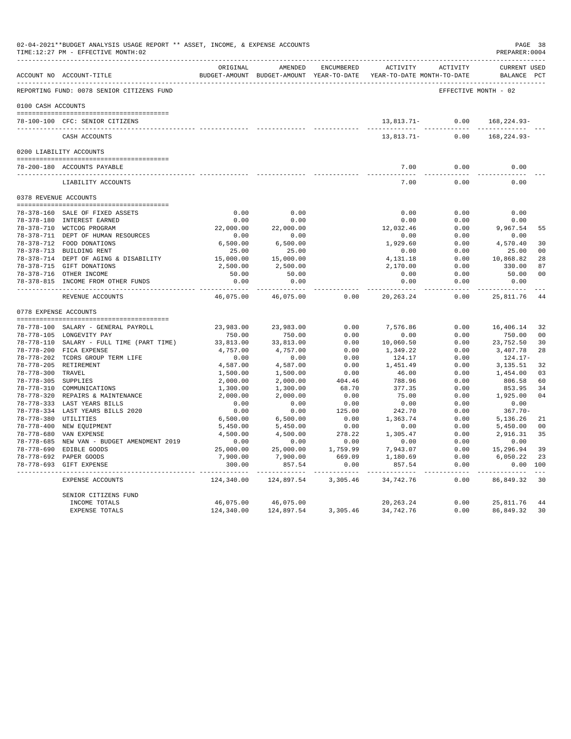|                     | ACCOUNT NO ACCOUNT-TITLE                                         | ORIGINAL   | AMENDED             | ENCUMBERED | BUDGET-AMOUNT BUDGET-AMOUNT YEAR-TO-DATE YEAR-TO-DATE MONTH-TO-DATE | ACTIVITY ACTIVITY    | <b>CURRENT USED</b><br>BALANCE PCT |                |
|---------------------|------------------------------------------------------------------|------------|---------------------|------------|---------------------------------------------------------------------|----------------------|------------------------------------|----------------|
|                     | REPORTING FUND: 0078 SENIOR CITIZENS FUND                        |            |                     |            |                                                                     | EFFECTIVE MONTH - 02 |                                    |                |
| 0100 CASH ACCOUNTS  |                                                                  |            |                     |            |                                                                     |                      |                                    |                |
|                     | 78-100-100 CFC: SENIOR CITIZENS                                  |            |                     |            |                                                                     | $13,813.71-$ 0.00    | 168,224.93-                        |                |
|                     | CASH ACCOUNTS                                                    |            |                     |            | $13,813.71-$                                                        | 0.00                 | 168, 224. 93-                      |                |
|                     |                                                                  |            |                     |            |                                                                     |                      |                                    |                |
|                     | 0200 LIABILITY ACCOUNTS                                          |            |                     |            |                                                                     |                      |                                    |                |
|                     | 78-200-180 ACCOUNTS PAYABLE<br>--------------------------------- |            |                     |            | 7.00<br>$- - - - - -$                                               | 0.00<br>$- - - - -$  | 0.00<br>-----                      |                |
|                     | LIABILITY ACCOUNTS                                               |            |                     |            | 7.00                                                                | 0.00                 | 0.00                               |                |
|                     | 0378 REVENUE ACCOUNTS                                            |            |                     |            |                                                                     |                      |                                    |                |
|                     | 78-378-160 SALE OF FIXED ASSETS                                  | 0.00       | 0.00                |            | 0.00                                                                | 0.00                 | 0.00                               |                |
|                     | 78-378-180 INTEREST EARNED                                       | 0.00       | 0.00                |            | 0.00                                                                | 0.00                 | 0.00                               |                |
|                     | 78-378-710 WCTCOG PROGRAM                                        | 22,000.00  | 22,000.00           |            | 12,032.46                                                           | 0.00                 | 9,967.54                           | 55             |
|                     | 78-378-711 DEPT OF HUMAN RESOURCES                               | 0.00       | 0.00                |            | 0.00                                                                | 0.00                 | 0.00                               |                |
|                     | 78-378-712 FOOD DONATIONS                                        | 6,500.00   | 6,500.00            |            | 1,929.60                                                            | 0.00                 | 4,570.40                           | 30             |
|                     | 78-378-713 BUILDING RENT                                         | 25.00      | 25.00               |            | 0.00                                                                | 0.00                 | 25.00                              | 0 <sub>0</sub> |
|                     | 78-378-714 DEPT OF AGING & DISABILITY                            | 15,000.00  | 15,000.00           |            | 4,131.18                                                            | 0.00                 | 10,868.82                          | 28             |
|                     | 78-378-715 GIFT DONATIONS                                        | 2,500.00   | 2,500.00            |            | 2,170.00                                                            | 0.00                 | 330.00                             | 87             |
|                     | 78-378-716 OTHER INCOME                                          | 50.00      | 50.00               |            | 0.00                                                                | 0.00                 | 50.00                              | 0 <sub>0</sub> |
|                     | 78-378-815 INCOME FROM OTHER FUNDS                               | 0.00       | 0.00<br>$- - - - -$ |            | 0.00<br>$\frac{1}{2}$                                               | 0.00<br>$- - - -$    | 0.00                               |                |
|                     | REVENUE ACCOUNTS                                                 | 46,075.00  | 46,075.00           | 0.00       | 20, 263. 24                                                         | 0.00                 | 25,811.76                          | 44             |
|                     | 0778 EXPENSE ACCOUNTS                                            |            |                     |            |                                                                     |                      |                                    |                |
|                     | 78-778-100 SALARY - GENERAL PAYROLL                              | 23,983.00  | 23,983.00           | 0.00       | 7,576.86                                                            | 0.00                 | 16,406.14                          | 32             |
|                     | 78-778-105 LONGEVITY PAY                                         | 750.00     | 750.00              | 0.00       | 0.00                                                                | 0.00                 | 750.00                             | 0 <sup>0</sup> |
|                     | 78-778-110 SALARY - FULL TIME (PART TIME)                        | 33,813.00  | 33,813.00           | 0.00       | 10,060.50                                                           | 0.00                 | 23,752.50                          | 30             |
|                     | 78-778-200 FICA EXPENSE                                          | 4,757.00   | 4,757.00            | 0.00       | 1,349.22                                                            | 0.00                 | 3,407.78                           | 28             |
|                     | 78-778-202 TCDRS GROUP TERM LIFE                                 | 0.00       | 0.00                | 0.00       | 124.17                                                              | 0.00                 | 124.17-                            |                |
|                     | 78-778-205 RETIREMENT                                            | 4,587.00   | 4,587.00            | 0.00       | 1,451.49                                                            | 0.00                 | 3,135.51                           | 32             |
| 78-778-300 TRAVEL   |                                                                  | 1,500.00   | 1,500.00            | 0.00       | 46.00                                                               | 0.00                 | 1,454.00                           | 03             |
| 78-778-305 SUPPLIES |                                                                  | 2,000.00   | 2,000.00            | 404.46     | 788.96                                                              | 0.00                 | 806.58                             | 60             |
|                     | 78-778-310 COMMUNICATIONS                                        | 1,300.00   | 1,300.00            | 68.70      | 377.35                                                              | 0.00                 | 853.95                             | 34             |
|                     | 78-778-320 REPAIRS & MAINTENANCE                                 | 2,000.00   | 2,000.00            | 0.00       | 75.00                                                               | 0.00                 | 1,925.00                           | 04             |
|                     | 78-778-333 LAST YEARS BILLS                                      | 0.00       | 0.00                | 0.00       | 0.00                                                                | 0.00                 | 0.00                               |                |
|                     | 78-778-334 LAST YEARS BILLS 2020                                 | 0.00       | 0.00                | 125.00     | 242.70                                                              | 0.00                 | $367.70 -$                         |                |
|                     | 78-778-380 UTILITIES                                             | 6,500.00   | 6,500.00            | 0.00       | 1,363.74                                                            | 0.00                 | 5,136.26                           | 21             |
|                     | 78-778-400 NEW EQUIPMENT                                         | 5,450.00   | 5,450.00            | 0.00       | 0.00                                                                | 0.00                 | 5,450.00                           | 0 <sup>0</sup> |
|                     | 78-778-680 VAN EXPENSE                                           | 4,500.00   | 4,500.00            | 278.22     | 1,305.47                                                            | 0.00                 | 2,916.31                           | 35             |
|                     | 78-778-685 NEW VAN - BUDGET AMENDMENT 2019                       | 0.00       | 0.00                | 0.00       | 0.00                                                                | 0.00                 | 0.00                               |                |
|                     | 78-778-690 EDIBLE GOODS                                          | 25,000.00  | 25,000.00           | 1,759.99   | 7,943.07                                                            | 0.00                 | 15,296.94                          | 39             |
|                     | 78-778-692 PAPER GOODS                                           | 7,900.00   | 7,900.00            | 669.09     | 1,180.69                                                            | 0.00                 | 6,050.22                           | 23             |
|                     | 78-778-693 GIFT EXPENSE                                          | 300.00     | 857.54              | 0.00       | 857.54                                                              | 0.00                 | 0.00 100                           |                |
|                     | EXPENSE ACCOUNTS                                                 | 124,340.00 | 124,897.54          | 3,305.46   | 34,742.76                                                           | 0.00                 | 86,849.32                          | 30             |
|                     | SENIOR CITIZENS FUND                                             |            |                     |            |                                                                     |                      |                                    |                |
|                     | INCOME TOTALS                                                    | 46,075.00  | 46,075.00           |            | 20, 263. 24                                                         | 0.00                 | 25,811.76                          | 44             |
|                     | EXPENSE TOTALS                                                   | 124,340.00 | 124,897.54          | 3,305.46   | 34,742.76                                                           | 0.00                 | 86,849.32                          | 30             |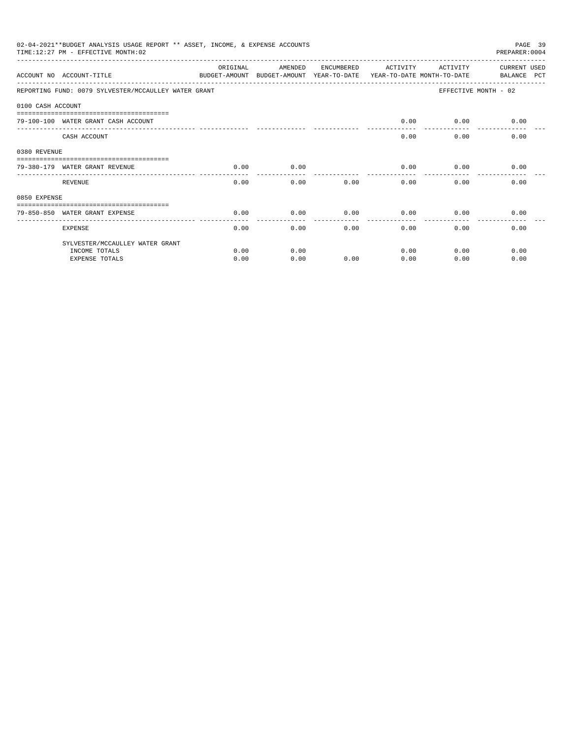|                   | 02-04-2021**BUDGET ANALYSIS USAGE REPORT ** ASSET, INCOME, & EXPENSE ACCOUNTS<br>PAGE 39<br>TIME:12:27 PM - EFFECTIVE MONTH:02<br>PREPARER: 0004<br>ORIGINAL<br>AMENDED<br>ENCUMBERED<br>ACTIVITY<br>ACTIVITY<br><b>CURRENT USED</b> |      |                                                                     |      |      |      |                      |  |  |
|-------------------|--------------------------------------------------------------------------------------------------------------------------------------------------------------------------------------------------------------------------------------|------|---------------------------------------------------------------------|------|------|------|----------------------|--|--|
|                   | ACCOUNT NO ACCOUNT-TITLE                                                                                                                                                                                                             |      | BUDGET-AMOUNT BUDGET-AMOUNT YEAR-TO-DATE YEAR-TO-DATE MONTH-TO-DATE |      |      |      | BALANCE PCT          |  |  |
|                   | REPORTING FUND: 0079 SYLVESTER/MCCAULLEY WATER GRANT                                                                                                                                                                                 |      |                                                                     |      |      |      | EFFECTIVE MONTH - 02 |  |  |
| 0100 CASH ACCOUNT |                                                                                                                                                                                                                                      |      |                                                                     |      |      |      |                      |  |  |
|                   | 79-100-100 WATER GRANT CASH ACCOUNT                                                                                                                                                                                                  |      |                                                                     |      | 0.00 | 0.00 | 0.00                 |  |  |
|                   | CASH ACCOUNT                                                                                                                                                                                                                         |      |                                                                     |      | 0.00 | 0.00 | 0.00                 |  |  |
| 0380 REVENUE      |                                                                                                                                                                                                                                      |      |                                                                     |      |      |      |                      |  |  |
|                   | 79-380-179 WATER GRANT REVENUE                                                                                                                                                                                                       | 0.00 | 0.00                                                                |      | 0.00 | 0.00 | 0.00                 |  |  |
|                   | REVENUE                                                                                                                                                                                                                              | 0.00 | 0.00                                                                | 0.00 | 0.00 | 0.00 | 0.00                 |  |  |
| 0850 EXPENSE      |                                                                                                                                                                                                                                      |      |                                                                     |      |      |      |                      |  |  |
|                   | 79-850-850 WATER GRANT EXPENSE                                                                                                                                                                                                       | 0.00 | 0.00                                                                | 0.00 | 0.00 | 0.00 | 0.00                 |  |  |
|                   | <b>EXPENSE</b>                                                                                                                                                                                                                       | 0.00 | 0.00                                                                | 0.00 | 0.00 | 0.00 | 0.00                 |  |  |
|                   | SYLVESTER/MCCAULLEY WATER GRANT                                                                                                                                                                                                      |      |                                                                     |      |      |      |                      |  |  |
|                   | INCOME TOTALS                                                                                                                                                                                                                        | 0.00 | 0.00                                                                |      | 0.00 | 0.00 | 0.00                 |  |  |
|                   | <b>EXPENSE TOTALS</b>                                                                                                                                                                                                                | 0.00 | 0.00                                                                | 0.00 | 0.00 | 0.00 | 0.00                 |  |  |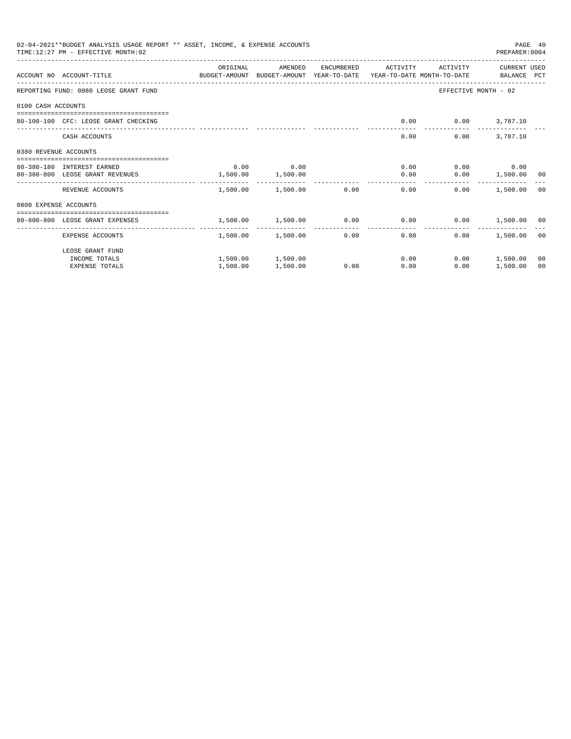| 02-04-2021**BUDGET ANALYSIS USAGE REPORT ** ASSET, INCOME, & EXPENSE ACCOUNTS<br>PAGE 40<br>TIME: 12:27 PM - EFFECTIVE MONTH: 02<br>PREPARER: 0004<br>CURRENT USED<br>ORIGINAL<br>AMENDED<br>ENCUMBERED<br>ACTIVITY<br>ACTIVITY<br>ACCOUNT NO ACCOUNT-TITLE CONTROL SUDGET-AMOUNT BUDGET-AMOUNT YEAR-TO-DATE YEAR-TO-DATE MONTH-TO-DATE BALANCE PCT<br>EFFECTIVE MONTH - 02<br>REPORTING FUND: 0080 LEOSE GRANT FUND<br>0100 CASH ACCOUNTS<br>0.00<br>80-100-100 CFC: LEOSE GRANT CHECKING<br>$0.00$ 3,787.10<br>3,787.10<br>CASH ACCOUNTS<br>0.00<br>0.00 |                                            |          |                        |      |                                 |      |                                                         |                |
|------------------------------------------------------------------------------------------------------------------------------------------------------------------------------------------------------------------------------------------------------------------------------------------------------------------------------------------------------------------------------------------------------------------------------------------------------------------------------------------------------------------------------------------------------------|--------------------------------------------|----------|------------------------|------|---------------------------------|------|---------------------------------------------------------|----------------|
|                                                                                                                                                                                                                                                                                                                                                                                                                                                                                                                                                            |                                            |          |                        |      |                                 |      |                                                         |                |
|                                                                                                                                                                                                                                                                                                                                                                                                                                                                                                                                                            |                                            |          |                        |      |                                 |      |                                                         |                |
|                                                                                                                                                                                                                                                                                                                                                                                                                                                                                                                                                            |                                            |          |                        |      |                                 |      |                                                         |                |
|                                                                                                                                                                                                                                                                                                                                                                                                                                                                                                                                                            |                                            |          |                        |      |                                 |      |                                                         |                |
|                                                                                                                                                                                                                                                                                                                                                                                                                                                                                                                                                            |                                            |          |                        |      |                                 |      |                                                         |                |
| 0380 REVENUE ACCOUNTS                                                                                                                                                                                                                                                                                                                                                                                                                                                                                                                                      |                                            |          |                        |      |                                 |      |                                                         |                |
|                                                                                                                                                                                                                                                                                                                                                                                                                                                                                                                                                            | 80-380-180 INTEREST EARNED                 | 0.00     | 0.00                   |      | 0.00                            |      | $0.00$ 0.00                                             |                |
|                                                                                                                                                                                                                                                                                                                                                                                                                                                                                                                                                            | 80-380-800 LEOSE GRANT REVENUES            | 1,500.00 | 1,500.00               |      | 0.00                            |      | $0.00$ 1,500.00 00<br>_________________________________ |                |
|                                                                                                                                                                                                                                                                                                                                                                                                                                                                                                                                                            | REVENUE ACCOUNTS                           | .        | 1,500.00 1,500.00 0.00 |      | 0.00                            | 0.00 | 1,500.00 00                                             |                |
| 0800 EXPENSE ACCOUNTS                                                                                                                                                                                                                                                                                                                                                                                                                                                                                                                                      |                                            |          |                        |      |                                 |      |                                                         |                |
|                                                                                                                                                                                                                                                                                                                                                                                                                                                                                                                                                            | 80-800-800 LEOSE GRANT EXPENSES            |          | 1,500.00 1,500.00 0.00 |      | 0.00                            |      | $0.00$ 1,500.00 00                                      |                |
|                                                                                                                                                                                                                                                                                                                                                                                                                                                                                                                                                            | -------------------- -<br>EXPENSE ACCOUNTS | .        | 1,500.00 1,500.00      | 0.00 | . _ _ _ _ _ _ _ _ _ _ _<br>0.00 | 0.00 | 1,500.00 00                                             |                |
|                                                                                                                                                                                                                                                                                                                                                                                                                                                                                                                                                            | LEOSE GRANT FUND                           |          |                        |      |                                 |      |                                                         |                |
|                                                                                                                                                                                                                                                                                                                                                                                                                                                                                                                                                            | INCOME TOTALS                              |          | 1,500.00 1,500.00      |      | 0.00                            |      | $0.00$ 1,500.00                                         | 0 <sup>0</sup> |
|                                                                                                                                                                                                                                                                                                                                                                                                                                                                                                                                                            | <b>EXPENSE TOTALS</b>                      | 1,500.00 | 1,500.00               | 0.00 | 0.00                            | 0.00 | 1,500.00                                                | 00             |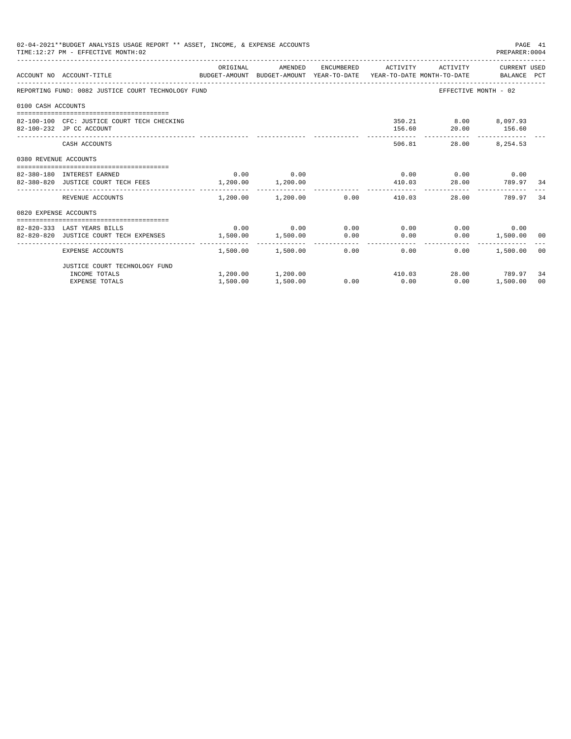|                       | 02-04-2021**BUDGET ANALYSIS USAGE REPORT ** ASSET, INCOME, & EXPENSE ACCOUNTS<br>TIME: 12:27 PM - EFFECTIVE MONTH: 02 |                       |                                                 |             |      |                                             | PREPARER: 0004                  | PAGE 41        |
|-----------------------|-----------------------------------------------------------------------------------------------------------------------|-----------------------|-------------------------------------------------|-------------|------|---------------------------------------------|---------------------------------|----------------|
|                       | ACCOUNT NO ACCOUNT-TITLE COMPUTE BUDGET-AMOUNT BUDGET-AMOUNT YEAR-TO-DATE YEAR-TO-DATE MONTH-TO-DATE BALANCE PCT      | ORIGINAL              | AMENDED                                         |             |      | ENCUMBERED ACTIVITY ACTIVITY CURRENT USED   |                                 |                |
|                       | REPORTING FUND: 0082 JUSTICE COURT TECHNOLOGY FUND                                                                    |                       |                                                 |             |      |                                             | EFFECTIVE MONTH - 02            |                |
| 0100 CASH ACCOUNTS    |                                                                                                                       |                       |                                                 |             |      |                                             |                                 |                |
|                       | 82-100-100 CFC: JUSTICE COURT TECH CHECKING<br>82-100-232 JP CC ACCOUNT                                               |                       |                                                 |             |      | 350.21 8.00 8,097.93<br>156.60 20.00 156.60 |                                 |                |
|                       | CASH ACCOUNTS                                                                                                         |                       |                                                 |             |      | -------------<br>506.81                     | -------------<br>28.00 8,254.53 |                |
| 0380 REVENUE ACCOUNTS |                                                                                                                       |                       |                                                 |             |      |                                             |                                 |                |
|                       | 82-380-180 INTEREST EARNED                                                                                            |                       | $0.00$ 0.00                                     |             |      | $0.00$ $0.00$ $0.00$ $0.00$                 |                                 |                |
|                       | 82-380-820 JUSTICE COURT TECH FEES                                                                                    | $1,200.00$ $1,200.00$ |                                                 |             |      | 410.03 28.00 789.97 34                      |                                 |                |
|                       | REVENUE ACCOUNTS                                                                                                      |                       | --------------<br>$1.200.00$ $1.200.00$ 0.00    |             |      | 410.03                                      | 789.97<br>28.00                 | 34             |
| 0820 EXPENSE ACCOUNTS |                                                                                                                       |                       |                                                 |             |      |                                             |                                 |                |
|                       | -----------------------------------                                                                                   |                       |                                                 |             |      |                                             |                                 |                |
|                       | 82-820-333 LAST YEARS BILLS                                                                                           |                       | $0.00$ 0.00                                     | $0.00$ 0.00 |      |                                             | $0.00$ 0.00                     |                |
|                       | 82-820-820 JUSTICE COURT TECH EXPENSES                                                                                | 1,500.00 1,500.00     |                                                 | 0.00        | 0.00 |                                             | $0.00$ 1,500.00 00              |                |
|                       | EXPENSE ACCOUNTS                                                                                                      |                       | $1.500.00$ $1.500.00$ $0.00$ 0.00 0.00          |             |      | 0.00                                        | 1,500.00 00                     |                |
|                       | JUSTICE COURT TECHNOLOGY FUND                                                                                         |                       |                                                 |             |      |                                             |                                 |                |
|                       | INCOME TOTALS                                                                                                         |                       | $1,200.00$ $1,200.00$ $410.03$ $28.00$ $789.97$ |             |      |                                             |                                 | 34             |
|                       | <b>EXPENSE TOTALS</b>                                                                                                 | 1,500.00              | 1,500.00                                        | 0.00        | 0.00 | 0.00                                        | 1,500.00                        | 0 <sup>0</sup> |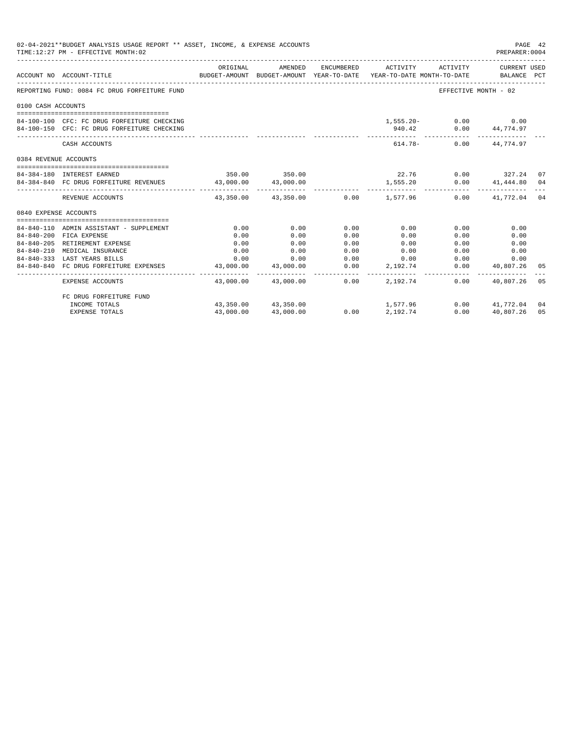| 02-04-2021**BUDGET ANALYSIS USAGE REPORT ** ASSET, INCOME, & EXPENSE ACCOUNTS<br>PAGE 42<br>TIME: 12:27 PM - EFFECTIVE MONTH: 02<br>PREPARER: 0004<br>ENCUMBERED ACTIVITY ACTIVITY CURRENT USED<br>ORIGINAL<br>AMENDED<br>BUDGET-AMOUNT BUDGET-AMOUNT YEAR-TO-DATE YEAR-TO-DATE MONTH-TO-DATE BALANCE PCT<br>ACCOUNT NO ACCOUNT-TITLE<br>REPORTING FUND: 0084 FC DRUG FORFEITURE FUND<br>EFFECTIVE MONTH - 02<br>0100 CASH ACCOUNTS<br>$1,555.20 - 0.00$ 0.00<br>84-100-100 CFC: FC DRUG FORFEITURE CHECKING<br>940.42 0.00 44,774.97<br>84-100-150 CFC: FC DRUG FORFEITURE CHECKING<br>------------- --------------<br>$614.78 -$<br>$0.00$ $44.774.97$<br>CASH ACCOUNTS |                                                            |                         |                                           |                |                        |                        |                                  |     |
|---------------------------------------------------------------------------------------------------------------------------------------------------------------------------------------------------------------------------------------------------------------------------------------------------------------------------------------------------------------------------------------------------------------------------------------------------------------------------------------------------------------------------------------------------------------------------------------------------------------------------------------------------------------------------|------------------------------------------------------------|-------------------------|-------------------------------------------|----------------|------------------------|------------------------|----------------------------------|-----|
|                                                                                                                                                                                                                                                                                                                                                                                                                                                                                                                                                                                                                                                                           |                                                            |                         |                                           |                |                        |                        |                                  |     |
|                                                                                                                                                                                                                                                                                                                                                                                                                                                                                                                                                                                                                                                                           |                                                            |                         |                                           |                |                        |                        |                                  |     |
|                                                                                                                                                                                                                                                                                                                                                                                                                                                                                                                                                                                                                                                                           |                                                            |                         |                                           |                |                        |                        |                                  |     |
|                                                                                                                                                                                                                                                                                                                                                                                                                                                                                                                                                                                                                                                                           |                                                            |                         |                                           |                |                        |                        |                                  |     |
|                                                                                                                                                                                                                                                                                                                                                                                                                                                                                                                                                                                                                                                                           |                                                            |                         |                                           |                |                        |                        |                                  |     |
|                                                                                                                                                                                                                                                                                                                                                                                                                                                                                                                                                                                                                                                                           |                                                            |                         |                                           |                |                        |                        |                                  |     |
|                                                                                                                                                                                                                                                                                                                                                                                                                                                                                                                                                                                                                                                                           |                                                            |                         |                                           |                |                        |                        |                                  |     |
| 0384 REVENUE ACCOUNTS                                                                                                                                                                                                                                                                                                                                                                                                                                                                                                                                                                                                                                                     |                                                            |                         |                                           |                |                        |                        |                                  |     |
|                                                                                                                                                                                                                                                                                                                                                                                                                                                                                                                                                                                                                                                                           | 84-384-180 INTEREST EARNED                                 |                         | 350.00 350.00                             |                |                        | $22.76$ 0.00 327.24 07 |                                  |     |
|                                                                                                                                                                                                                                                                                                                                                                                                                                                                                                                                                                                                                                                                           | 84-384-840 FC DRUG FORFEITURE REVENUES 43,000.00 43,000.00 |                         |                                           |                | 1,555.20               |                        | $0.00$ $41,444.80$ $04$          |     |
|                                                                                                                                                                                                                                                                                                                                                                                                                                                                                                                                                                                                                                                                           |                                                            | . <u>.</u> .            |                                           |                |                        |                        | ___________________________      |     |
|                                                                                                                                                                                                                                                                                                                                                                                                                                                                                                                                                                                                                                                                           | REVENUE ACCOUNTS                                           |                         | $43.350.00$ $43.350.00$ $0.00$ $1.577.96$ |                |                        |                        | $0.00$ $41,772.04$ 04            |     |
| 0840 EXPENSE ACCOUNTS                                                                                                                                                                                                                                                                                                                                                                                                                                                                                                                                                                                                                                                     |                                                            |                         |                                           |                |                        |                        |                                  |     |
|                                                                                                                                                                                                                                                                                                                                                                                                                                                                                                                                                                                                                                                                           |                                                            |                         |                                           |                |                        |                        |                                  |     |
|                                                                                                                                                                                                                                                                                                                                                                                                                                                                                                                                                                                                                                                                           | 84-840-110 ADMIN ASSISTANT - SUPPLEMENT                    | 0.00                    | 0.00                                      | 0.00           | 0.00                   | 0.00                   | 0.00                             |     |
|                                                                                                                                                                                                                                                                                                                                                                                                                                                                                                                                                                                                                                                                           | 84-840-200 FICA EXPENSE                                    | 0.00                    | 0.00                                      | 0.00           | 0.00                   | 0.00                   | 0.00                             |     |
| 84-840-205                                                                                                                                                                                                                                                                                                                                                                                                                                                                                                                                                                                                                                                                | RETIREMENT EXPENSE                                         | 0.00                    | 0.00                                      | 0.00           | 0.00                   | 0.00                   | 0.00                             |     |
| $84 - 840 - 210$                                                                                                                                                                                                                                                                                                                                                                                                                                                                                                                                                                                                                                                          | MEDICAL INSURANCE                                          | 0.00                    | 0.00                                      | 0.00           | 0.00                   | 0.00                   | 0.00                             |     |
|                                                                                                                                                                                                                                                                                                                                                                                                                                                                                                                                                                                                                                                                           | 84-840-333 LAST YEARS BILLS                                | 0.00                    | 0.00                                      | 0.00           | 0.00                   | 0.00                   | 0.00                             |     |
|                                                                                                                                                                                                                                                                                                                                                                                                                                                                                                                                                                                                                                                                           | 84-840-840 FC DRUG FORFEITURE EXPENSES                     | 43,000.00<br>---------- | 43,000.00<br>-------------                | 0.00<br>------ | 2,192.74<br>. <u>.</u> | --------------         | 0.00 40,807.26<br>-------------- | 05  |
|                                                                                                                                                                                                                                                                                                                                                                                                                                                                                                                                                                                                                                                                           | EXPENSE ACCOUNTS                                           |                         | 43,000.00 43,000.00                       | 0.00           | 2,192.74               | 0.00                   | 40,807.26                        | 0.5 |
|                                                                                                                                                                                                                                                                                                                                                                                                                                                                                                                                                                                                                                                                           | FC DRUG FORFEITURE FUND                                    |                         |                                           |                |                        |                        |                                  |     |
|                                                                                                                                                                                                                                                                                                                                                                                                                                                                                                                                                                                                                                                                           | INCOME TOTALS                                              |                         | 43,350.00 43,350.00                       |                | 1,577.96               |                        | $0.00$ $41.772.04$ 04            |     |
|                                                                                                                                                                                                                                                                                                                                                                                                                                                                                                                                                                                                                                                                           | EXPENSE TOTALS                                             | 43,000.00               | 43,000.00                                 | 0.00           | 2,192.74               | 0.00                   | 40,807.26                        | 05  |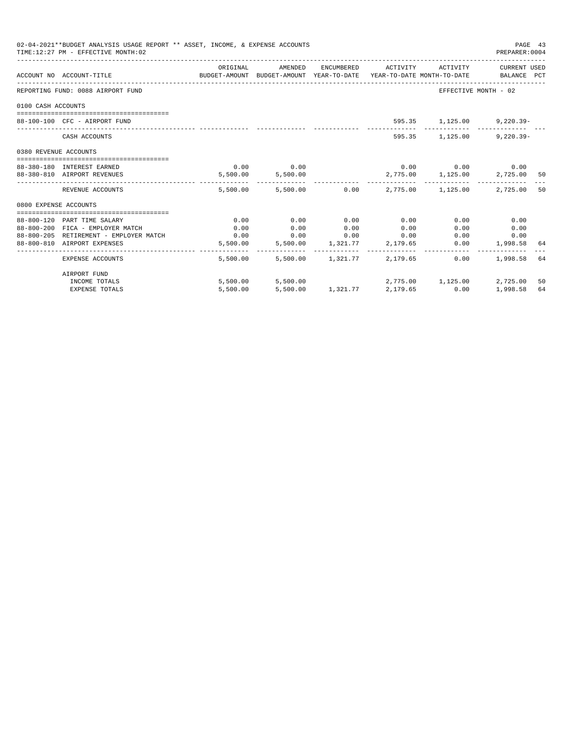| 02-04-2021**BUDGET ANALYSIS USAGE REPORT ** ASSET, INCOME, & EXPENSE ACCOUNTS<br>TIME:12:27 PM - EFFECTIVE MONTH:02 |                                        |                                                                                             |                                     |      |                            |                                           |                      | PAGE 43<br>PREPARER: 0004 |  |
|---------------------------------------------------------------------------------------------------------------------|----------------------------------------|---------------------------------------------------------------------------------------------|-------------------------------------|------|----------------------------|-------------------------------------------|----------------------|---------------------------|--|
|                                                                                                                     | ACCOUNT NO ACCOUNT-TITLE               | ORIGINAL<br>BUDGET-AMOUNT BUDGET-AMOUNT YEAR-TO-DATE YEAR-TO-DATE MONTH-TO-DATE BALANCE PCT | AMENDED                             |      |                            | ENCUMBERED ACTIVITY ACTIVITY CURRENT USED |                      |                           |  |
|                                                                                                                     | REPORTING FUND: 0088 AIRPORT FUND      |                                                                                             |                                     |      |                            |                                           | EFFECTIVE MONTH - 02 |                           |  |
| 0100 CASH ACCOUNTS                                                                                                  |                                        |                                                                                             |                                     |      |                            |                                           |                      |                           |  |
|                                                                                                                     | 88-100-100 CFC - AIRPORT FUND          |                                                                                             |                                     |      |                            | 595.35 1,125.00                           | $9,220.39 -$         |                           |  |
|                                                                                                                     | CASH ACCOUNTS                          |                                                                                             |                                     |      |                            | 595.35 1,125.00                           | $9.220.39 -$         |                           |  |
| 0380 REVENUE ACCOUNTS                                                                                               |                                        |                                                                                             |                                     |      |                            |                                           |                      |                           |  |
|                                                                                                                     | 88-380-180 INTEREST EARNED             | 0.00                                                                                        | 0.00                                |      |                            | $0.00$ $0.00$ $0.00$ $0.00$               |                      |                           |  |
|                                                                                                                     | 88-380-810 AIRPORT REVENUES            |                                                                                             | 5,500.00 5,500.00                   |      |                            | 2,775.00 1,125.00                         | 2,725.00 50          |                           |  |
|                                                                                                                     | REVENUE ACCOUNTS                       |                                                                                             |                                     |      |                            | 5,500.00 5,500.00 0.00 2,775.00 1,125.00  | 2,725.00             | 50                        |  |
| 0800 EXPENSE ACCOUNTS                                                                                               |                                        |                                                                                             |                                     |      |                            |                                           |                      |                           |  |
|                                                                                                                     |                                        |                                                                                             |                                     |      |                            |                                           |                      |                           |  |
|                                                                                                                     | 88-800-120 PART TIME SALARY            | 0.00                                                                                        | 0.00                                | 0.00 | 0.00                       | 0.00                                      | 0.00                 |                           |  |
|                                                                                                                     | 88-800-200 FICA - EMPLOYER MATCH       | 0.00                                                                                        | 0.00<br>$0.00$ $0.00$ $0.00$ $0.00$ | 0.00 | 0.00                       | 0.00                                      | 0.00                 |                           |  |
|                                                                                                                     | 88-800-205 RETIREMENT - EMPLOYER MATCH | 0.00                                                                                        | 5,500.00 5,500.00 1,321.77 2,179.65 |      |                            |                                           | 0.00<br>0.00         |                           |  |
|                                                                                                                     | 88-800-810 AIRPORT EXPENSES            |                                                                                             |                                     |      |                            |                                           | $0.00$ 1,998.58 64   |                           |  |
|                                                                                                                     | EXPENSE ACCOUNTS                       | 5,500.00                                                                                    |                                     |      | 5,500.00 1,321.77 2,179.65 | 0.00                                      | 1,998.58 64          |                           |  |
|                                                                                                                     | AIRPORT FUND                           |                                                                                             |                                     |      |                            |                                           |                      |                           |  |
|                                                                                                                     | INCOME TOTALS                          |                                                                                             |                                     |      |                            | 5,500.00 5,500.00 2,775.00 1,125.00       | 2,725.00             | 50                        |  |
|                                                                                                                     | <b>EXPENSE TOTALS</b>                  | 5,500.00                                                                                    |                                     |      | 5,500.00 1,321.77 2,179.65 | 0.00                                      | 1,998.58             | 64                        |  |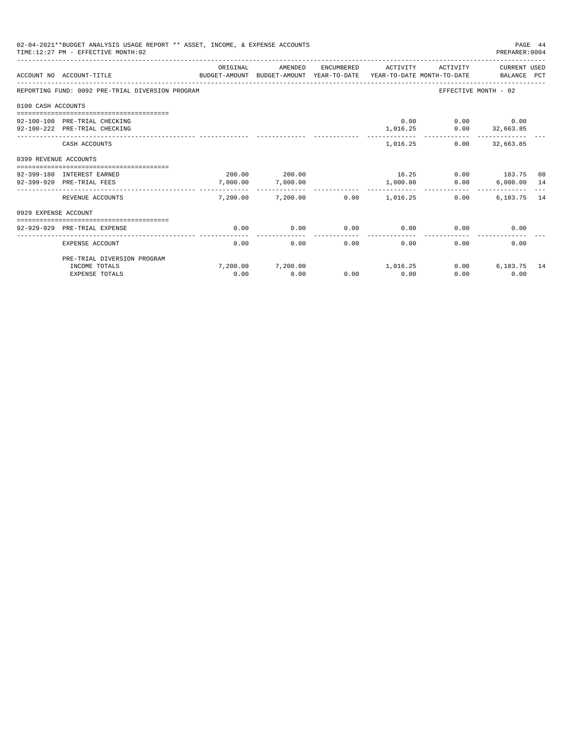| 02-04-2021**BUDGET ANALYSIS USAGE REPORT ** ASSET, INCOME, & EXPENSE ACCOUNTS<br>TIME: 12:27 PM - EFFECTIVE MONTH: 02<br>PREPARER: 0004 |                                                                                                                  |                      |                           |            |          |                               |                      | PAGE 44 |
|-----------------------------------------------------------------------------------------------------------------------------------------|------------------------------------------------------------------------------------------------------------------|----------------------|---------------------------|------------|----------|-------------------------------|----------------------|---------|
|                                                                                                                                         | ACCOUNT NO ACCOUNT-TITLE CONTROL SUDGET-AMOUNT BUDGET-AMOUNT YEAR-TO-DATE YEAR-TO-DATE MONTH-TO-DATE BALANCE PCT | ORIGINAL             | AMENDED                   | ENCUMBERED | ACTIVITY | ACTIVITY                      | CURRENT USED         |         |
|                                                                                                                                         | REPORTING FUND: 0092 PRE-TRIAL DIVERSION PROGRAM                                                                 |                      |                           |            |          |                               | EFFECTIVE MONTH - 02 |         |
| 0100 CASH ACCOUNTS                                                                                                                      |                                                                                                                  |                      |                           |            |          |                               |                      |         |
|                                                                                                                                         |                                                                                                                  |                      |                           |            |          |                               |                      |         |
|                                                                                                                                         | 92-100-100 PRE-TRIAL CHECKING                                                                                    |                      |                           |            |          | $0.00$ $0.00$ $0.00$          |                      |         |
|                                                                                                                                         | 92-100-222 PRE-TRIAL CHECKING                                                                                    |                      |                           |            |          | $1,016.25$ $0.00$ $32,663.85$ | --------------       |         |
|                                                                                                                                         | CASH ACCOUNTS                                                                                                    |                      |                           |            |          | 1,016.25                      | $0.00$ 32,663.85     |         |
| 0399 REVENUE ACCOUNTS                                                                                                                   |                                                                                                                  |                      |                           |            |          |                               |                      |         |
|                                                                                                                                         | 92-399-180 INTEREST EARNED                                                                                       |                      | 200.00 200.00             |            |          | 16.25 0.00 183.75 08          |                      |         |
|                                                                                                                                         |                                                                                                                  |                      |                           |            |          |                               |                      |         |
|                                                                                                                                         | 92-399-920 PRE-TRIAL FEES                                                                                        | 7,000.00<br>-------- | 7,000.00<br>_____________ |            | 1,000.00 | 0.00                          | $6,000.00$ 14        |         |
|                                                                                                                                         | REVENUE ACCOUNTS                                                                                                 |                      | 7,200.00 7,200.00         | 0.00       | 1,016.25 | 0.00                          | 6,183.75 14          |         |
| 0929 EXPENSE ACCOUNT                                                                                                                    |                                                                                                                  |                      |                           |            |          |                               |                      |         |
|                                                                                                                                         |                                                                                                                  |                      |                           |            |          |                               |                      |         |
|                                                                                                                                         | 92-929-929 PRE-TRIAL EXPENSE                                                                                     | 0.00                 | 0.00                      | 0.00       | 0.00     | 0.00                          | 0.00                 |         |
|                                                                                                                                         | EXPENSE ACCOUNT                                                                                                  | 0.00                 | 0.00                      | 0.00       | 0.00     | 0.00                          | 0.00                 |         |
|                                                                                                                                         | PRE-TRIAL DIVERSION PROGRAM                                                                                      |                      |                           |            |          |                               |                      |         |
|                                                                                                                                         | INCOME TOTALS                                                                                                    |                      | 7,200.00 7,200.00         |            | 1,016.25 |                               | 0.00<br>6,183.75 14  |         |
|                                                                                                                                         | <b>EXPENSE TOTALS</b>                                                                                            | 0.00                 | 0.00                      | 0.00       | 0.00     | 0.00                          | 0.00                 |         |